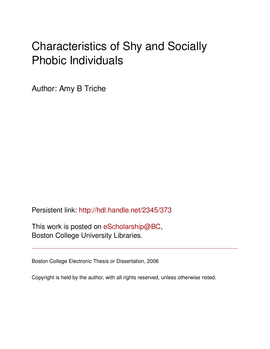# Characteristics of Shy and Socially Phobic Individuals

Author: Amy B Triche

Persistent link: <http://hdl.handle.net/2345/373>

This work is posted on [eScholarship@BC](http://escholarship.bc.edu), Boston College University Libraries.

Boston College Electronic Thesis or Dissertation, 2006

Copyright is held by the author, with all rights reserved, unless otherwise noted.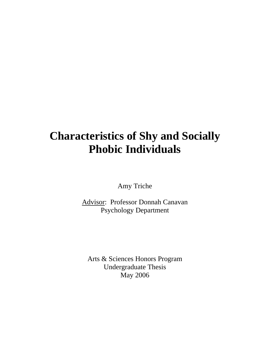## **Characteristics of Shy and Socially Phobic Individuals**

Amy Triche

Advisor: Professor Donnah Canavan Psychology Department

Arts & Sciences Honors Program Undergraduate Thesis May 2006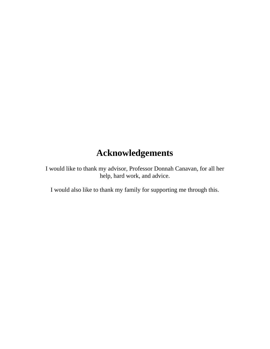## **Acknowledgements**

I would like to thank my advisor, Professor Donnah Canavan, for all her help, hard work, and advice.

I would also like to thank my family for supporting me through this.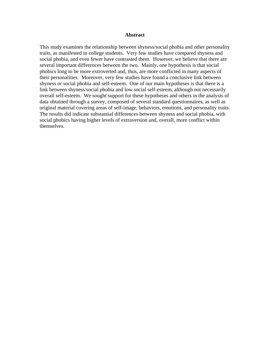#### **Abstract**

This study examines the relationship between shyness/social phobia and other personality traits, as manifested in college students. Very few studies have compared shyness and social phobia, and even fewer have contrasted them. However, we believe that there are several important differences between the two. Mainly, one hypothesis is that social phobics long to be more extroverted and, thus, are more conflicted in many aspects of their personalities. Moreover, very few studies have found a conclusive link between shyness or social phobia and self-esteem. One of our main hypotheses is that there is a link between shyness/social phobia and low social self-esteem, although not necessarily overall self-esteem. We sought support for these hypotheses and others in the analysis of data obtained through a survey, composed of several standard questionnaires, as well as original material covering areas of self-image, behaviors, emotions, and personality traits. The results did indicate substantial differences between shyness and social phobia, with social phobics having higher levels of extraversion and, overall, more conflict within themselves.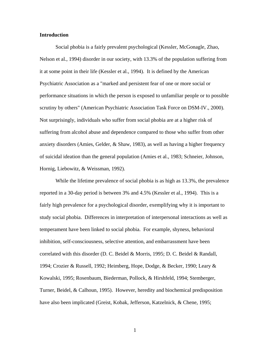#### **Introduction**

Social phobia is a fairly prevalent psychological (Kessler, McGonagle, Zhao, Nelson et al., 1994) disorder in our society, with 13.3% of the population suffering from it at some point in their life (Kessler et al., 1994). It is defined by the American Psychiatric Association as a "marked and persistent fear of one or more social or performance situations in which the person is exposed to unfamiliar people or to possible scrutiny by others" (American Psychiatric Association Task Force on DSM-IV., 2000). Not surprisingly, individuals who suffer from social phobia are at a higher risk of suffering from alcohol abuse and dependence compared to those who suffer from other anxiety disorders (Amies, Gelder, & Shaw, 1983), as well as having a higher frequency of suicidal ideation than the general population (Amies et al., 1983; Schneier, Johnson, Hornig, Liebowitz, & Weissman, 1992).

While the lifetime prevalence of social phobia is as high as 13.3%, the prevalence reported in a 30-day period is between 3% and 4.5% (Kessler et al., 1994). This is a fairly high prevalence for a psychological disorder, exemplifying why it is important to study social phobia. Differences in interpretation of interpersonal interactions as well as temperament have been linked to social phobia. For example, shyness, behavioral inhibition, self-consciousness, selective attention, and embarrassment have been correlated with this disorder (D. C. Beidel & Morris, 1995; D. C. Beidel & Randall, 1994; Crozier & Russell, 1992; Heimberg, Hope, Dodge, & Becker, 1990; Leary & Kowalski, 1995; Rosenbaum, Biederman, Pollock, & Hirshfeld, 1994; Stemberger, Turner, Beidel, & Calhoun, 1995). However, heredity and biochemical predisposition have also been implicated (Greist, Kobak, Jefferson, Katzelnick, & Chene, 1995;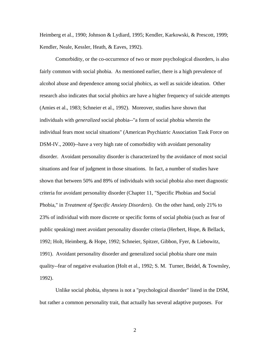Heimberg et al., 1990; Johnson & Lydiard, 1995; Kendler, Karkowski, & Prescott, 1999; Kendler, Neale, Kessler, Heath, & Eaves, 1992).

Comorbidity, or the co-occurrence of two or more psychological disorders, is also fairly common with social phobia. As mentioned earlier, there is a high prevalence of alcohol abuse and dependence among social phobics, as well as suicide ideation. Other research also indicates that social phobics are have a higher frequency of suicide attempts (Amies et al., 1983; Schneier et al., 1992). Moreover, studies have shown that individuals with *generalized* social phobia--"a form of social phobia wherein the individual fears most social situations" (American Psychiatric Association Task Force on DSM-IV., 2000)--have a very high rate of comorbidity with avoidant personality disorder. Avoidant personality disorder is characterized by the avoidance of most social situations and fear of judgment in those situations. In fact, a number of studies have shown that between 50% and 89% of individuals with social phobia also meet diagnostic criteria for avoidant personality disorder (Chapter 11, "Specific Phobias and Social Phobia," in *Treatment of Specific Anxiety Disorders*). On the other hand, only 21% to 23% of individual with more discrete or specific forms of social phobia (such as fear of public speaking) meet avoidant personality disorder criteria (Herbert, Hope, & Bellack, 1992; Holt, Heimberg, & Hope, 1992; Schneier, Spitzer, Gibbon, Fyer, & Liebowitz, 1991). Avoidant personality disorder and generalized social phobia share one main quality--fear of negative evaluation (Holt et al., 1992; S. M. Turner, Beidel, & Townsley, 1992).

Unlike social phobia, shyness is not a "psychological disorder" listed in the DSM, but rather a common personality trait, that actually has several adaptive purposes. For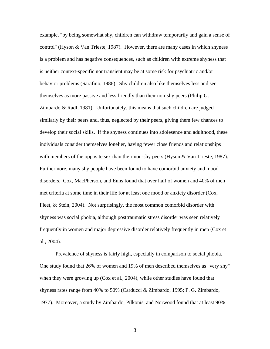example, "by being somewhat shy, children can withdraw temporarily and gain a sense of control" (Hyson & Van Trieste, 1987). However, there are many cases in which shyness is a problem and has negative consequences, such as children with extreme shyness that is neither context-specific nor transient may be at some risk for psychiatric and/or behavior problems (Sarafino, 1986). Shy children also like themselves less and see themselves as more passive and less friendly than their non-shy peers (Philip G. Zimbardo & Radl, 1981). Unfortunately, this means that such children are judged similarly by their peers and, thus, neglected by their peers, giving them few chances to develop their social skills. If the shyness continues into adolesence and adulthood, these individuals consider themselves lonelier, having fewer close friends and relationships with members of the opposite sex than their non-shy peers (Hyson & Van Trieste, 1987). Furthermore, many shy people have been found to have comorbid anxiety and mood disorders. Cox, MacPherson, and Enns found that over half of women and 40% of men met criteria at some time in their life for at least one mood or anxiety disorder (Cox, Fleet, & Stein, 2004). Not surprisingly, the most common comorbid disorder with shyness was social phobia, although posttraumatic stress disorder was seen relatively frequently in women and major depressive disorder relatively frequently in men (Cox et al., 2004).

Prevalence of shyness is fairly high, especially in comparison to social phobia. One study found that 26% of women and 19% of men described themselves as "very shy" when they were growing up (Cox et al., 2004), while other studies have found that shyness rates range from 40% to 50% (Carducci & Zimbardo, 1995; P. G. Zimbardo, 1977). Moreover, a study by Zimbardo, Pilkonis, and Norwood found that at least 90%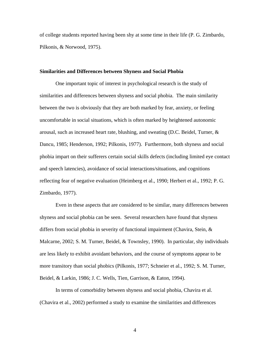of college students reported having been shy at some time in their life (P. G. Zimbardo, Pilkonis, & Norwood, 1975).

#### **Similarities and Differences between Shyness and Social Phobia**

One important topic of interest in psychological research is the study of similarities and differences between shyness and social phobia. The main similarity between the two is obviously that they are both marked by fear, anxiety, or feeling uncomfortable in social situations, which is often marked by heightened autonomic arousal, such as increased heart rate, blushing, and sweating (D.C. Beidel, Turner, & Dancu, 1985; Henderson, 1992; Pilkonis, 1977). Furthermore, both shyness and social phobia impart on their sufferers certain social skills defects (including limited eye contact and speech latencies), avoidance of social interactions/situations, and cognitions reflecting fear of negative evaluation (Heimberg et al., 1990; Herbert et al., 1992; P. G. Zimbardo, 1977).

Even in these aspects that are considered to be similar, many differences between shyness and social phobia can be seen. Several researchers have found that shyness differs from social phobia in severity of functional impairment (Chavira, Stein, & Malcarne, 2002; S. M. Turner, Beidel, & Townsley, 1990). In particular, shy individuals are less likely to exhibit avoidant behaviors, and the course of symptoms appear to be more transitory than social phobics (Pilkonis, 1977; Schneier et al., 1992; S. M. Turner, Beidel, & Larkin, 1986; J. C. Wells, Tien, Garrison, & Eaton, 1994).

In terms of comorbidity between shyness and social phobia, Chavira et al. (Chavira et al., 2002) performed a study to examine the similarities and differences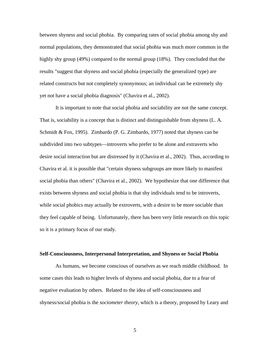between shyness and social phobia. By comparing rates of social phobia among shy and normal populations, they demonstrated that social phobia was much more common in the highly shy group (49%) compared to the normal group (18%). They concluded that the results "suggest that shyness and social phobia (especially the generalized type) are related constructs but not completely synonymous; an individual can be extremely shy yet not have a social phobia diagnosis" (Chavira et al., 2002).

It is important to note that social phobia and sociability are not the same concept. That is, sociability is a concept that is distinct and distinguishable from shyness (L. A. Schmidt & Fox, 1995). Zimbardo (P. G. Zimbardo, 1977) noted that shyness can be subdivided into two subtypes—introverts who prefer to be alone and extraverts who desire social interaction but are distressed by it (Chavira et al., 2002). Thus, according to Chavira et al. it is possible that "certain shyness subgroups are more likely to manifest social phobia than others" (Chavira et al., 2002). We hypothesize that one difference that exists between shyness and social phobia is that shy individuals tend to be introverts, while social phobics may actually be extroverts, with a desire to be more sociable than they feel capable of being. Unfortunately, there has been very little research on this topic so it is a primary focus of our study.

#### **Self-Consciousness, Interpersonal Interpretation, and Shyness or Social Phobia**

As humans, we become conscious of ourselves as we reach middle childhood. In some cases this leads to higher levels of shyness and social phobia, due to a fear of negative evaluation by others. Related to the idea of self-consciousness and shyness/social phobia is the *sociometer theory*, which is a theory, proposed by Leary and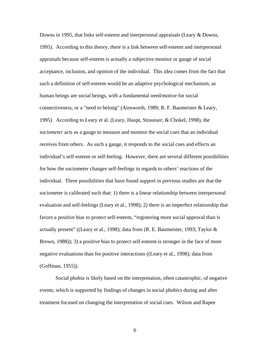Downs in 1995, that links self-esteem and interpersonal appraisals (Leary & Downs, 1995). According to this theory, there is a link between self-esteem and interpersonal appraisals because self-esteem is actually a subjective monitor or gauge of social acceptance, inclusion, and opinion of the individual. This idea comes from the fact that such a definition of self-esteem would be an adaptive psychological mechanism, as human beings are social beings, with a fundamental need/motive for social connectiveness, or a "need to belong" (Ainsworth, 1989; R. F. Baumeister & Leary, 1995). According to Leary et al. (Leary, Haupt, Strausser, & Chokel, 1998), the *sociometer* acts as a gauge to measure and monitor the social cues that an individual receives from others. As such a gauge, it responds to the social cues and effects an individual's self-esteem or self-feeling. However, there are several different possibilities for how the sociometer changes self-feelings in regards to others' reactions of the individual. Three possibilities that have found support in previous studies are that the sociometer is calibrated such that: 1) there is a linear relationship between interpersonal evaluation and self-feelings (Leary et al., 1998); 2) there is an imperfect relationship that favors a positive bias to protect self-esteem, "registering more social approval than is actually present" ((Leary et al., 1998); data from (R. E. Baumeister, 1993; Taylor & Brown, 1988)); 3) a positive bias to protect self-esteem is stronger in the face of more negative evaluations than for positive interactions ((Leary et al., 1998); data from (Goffman, 1955)).

Social phobia is likely based on the interpretation, often catastrophic, of negative events, which is supported by findings of changes in social phobics during and after treatment focused on changing the interpretation of social cues. Wilson and Rapee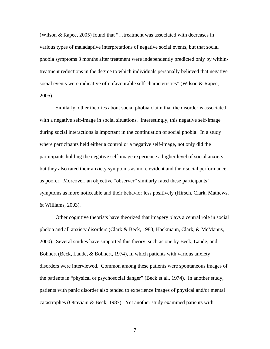(Wilson & Rapee, 2005) found that "…treatment was associated with decreases in various types of maladaptive interpretations of negative social events, but that social phobia symptoms 3 months after treatment were independently predicted only by withintreatment reductions in the degree to which individuals personally believed that negative social events were indicative of unfavourable self-characteristics" (Wilson & Rapee, 2005).

Similarly, other theories about social phobia claim that the disorder is associated with a negative self-image in social situations. Interestingly, this negative self-image during social interactions is important in the continuation of social phobia. In a study where participants held either a control or a negative self-image, not only did the participants holding the negative self-image experience a higher level of social anxiety, but they also rated their anxiety symptoms as more evident and their social performance as poorer. Moreover, an objective "observer" similarly rated these participants' symptoms as more noticeable and their behavior less positively (Hirsch, Clark, Mathews, & Williams, 2003).

Other cognitive theorists have theorized that imagery plays a central role in social phobia and all anxiety disorders (Clark & Beck, 1988; Hackmann, Clark, & McManus, 2000). Several studies have supported this theory, such as one by Beck, Laude, and Bohnert (Beck, Laude, & Bohnert, 1974), in which patients with various anxiety disorders were interviewed. Common among these patients were spontaneous images of the patients in "physical or psychosocial danger" (Beck et al., 1974). In another study, patients with panic disorder also tended to experience images of physical and/or mental catastrophes (Ottaviani & Beck, 1987). Yet another study examined patients with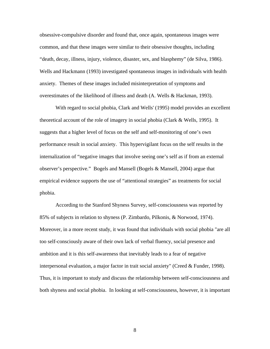obsessive-compulsive disorder and found that, once again, spontaneous images were common, and that these images were similar to their obsessive thoughts, including "death, decay, illness, injury, violence, disaster, sex, and blasphemy" (de Silva, 1986). Wells and Hackmann (1993) investigated spontaneous images in individuals with health anxiety. Themes of these images included misinterpretation of symptoms and overestimates of the likelihood of illness and death (A. Wells & Hackman, 1993).

With regard to social phobia, Clark and Wells' (1995) model provides an excellent theoretical account of the role of imagery in social phobia (Clark & Wells, 1995). It suggests that a higher level of focus on the self and self-monitoring of one's own performance result in social anxiety. This hypervigilant focus on the self results in the internalization of "negative images that involve seeing one's self as if from an external observer's perspective." Bogels and Mansell (Bogels & Mansell, 2004) argue that empirical evidence supports the use of "attentional strategies" as treatments for social phobia.

According to the Stanford Shyness Survey, self-consciousness was reported by 85% of subjects in relation to shyness (P. Zimbardo, Pilkonis, & Norwood, 1974). Moreover, in a more recent study, it was found that individuals with social phobia "are all too self-consciously aware of their own lack of verbal fluency, social presence and ambition and it is this self-awareness that inevitably leads to a fear of negative interpersonal evaluation, a major factor in trait social anxiety" (Creed & Funder, 1998). Thus, it is important to study and discuss the relationship between self-consciousness and both shyness and social phobia. In looking at self-consciousness, however, it is important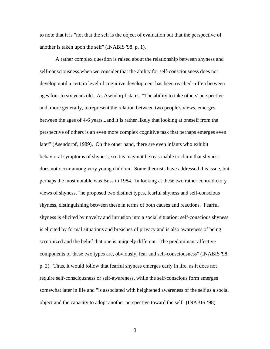to note that it is "not that the self is the object of evaluation but that the perspective of another is taken upon the self" (INABIS '98, p. 1).

A rather complex question is raised about the relationship between shyness and self-consciousness when we consider that the ability for self-consciousness does not develop until a certain level of cognitive development has been reached--often between ages four to six years old. As Asendorpf states, "The ability to take others' perspective and, more generally, to represent the relation between two people's views, emerges between the ages of 4-6 years...and it is rather likely that looking at oneself from the perspective of others is an even more complex cognitive task that perhaps emerges even later" (Asendorpf, 1989). On the other hand, there are even infants who exhibit behavioral symptoms of shyness, so it is may not be reasonable to claim that shyness does not occur among very young children. Some theorists have addressed this issue, but perhaps the most notable was Buss in 1984. In looking at these two rather contradictory views of shyness, "he proposed two distinct types, fearful shyness and self-conscious shyness, distinguishing between these in terms of both causes and reactions. Fearful shyness is elicited by novelty and intrusion into a social situation; self-conscious shyness is elicited by formal situations and breaches of privacy and is also awareness of being scrutinized and the belief that one is uniquely different. The predominant affective components of these two types are, obviously, fear and self-consciousness" (INABIS '98, p. 2). Thus, it would follow that fearful shyness emerges early in life, as it does not require self-consciousness or self-awareness, while the self-conscious form emerges somewhat later in life and "is associated with heightened awareness of the self as a social object and the capacity to adopt another perspective toward the self" (INABIS '98).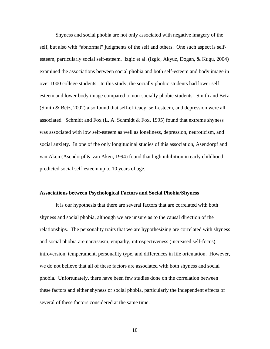Shyness and social phobia are not only associated with negative imagery of the self, but also with "abnormal" judgments of the self and others. One such aspect is selfesteem, particularly social self-esteem. Izgic et al. (Izgic, Akyuz, Dogan, & Kugu, 2004) examined the associations between social phobia and both self-esteem and body image in over 1000 college students. In this study, the socially phobic students had lower self esteem and lower body image compared to non-socially phobic students. Smith and Betz (Smith & Betz, 2002) also found that self-efficacy, self-esteem, and depression were all associated. Schmidt and Fox (L. A. Schmidt  $& Fox$ , 1995) found that extreme shyness was associated with low self-esteem as well as loneliness, depression, neuroticism, and social anxiety. In one of the only longitudinal studies of this association, Asendorpf and van Aken (Asendorpf & van Aken, 1994) found that high inhibition in early childhood predicted social self-esteem up to 10 years of age.

#### **Associations between Psychological Factors and Social Phobia/Shyness**

It is our hypothesis that there are several factors that are correlated with both shyness and social phobia, although we are unsure as to the causal direction of the relationships. The personality traits that we are hypothesizing are correlated with shyness and social phobia are narcissism, empathy, introspectiveness (increased self-focus), introversion, temperament, personality type, and differences in life orientation. However, we do not believe that all of these factors are associated with both shyness and social phobia. Unfortunately, there have been few studies done on the correlation between these factors and either shyness or social phobia, particularly the independent effects of several of these factors considered at the same time.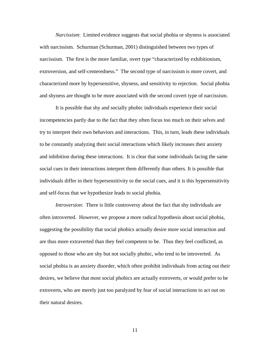*Narcissism*: Limited evidence suggests that social phobia or shyness is associated with narcissism. Schurman (Schurman, 2001) distinguished between two types of narcissism. The first is the more familiar, overt type "characterized by exhibitionism, extroversion, and self-centeredness." The second type of narcissism is more covert, and characterized more by hypersensitive, shyness, and sensitivity to rejection. Social phobia and shyness are thought to be more associated with the second covert type of narcissism.

It is possible that shy and socially phobic individuals experience their social incompetencies partly due to the fact that they often focus too much on their selves and try to interpret their own behaviors and interactions. This, in turn, leads these individuals to be constantly analyzing their social interactions which likely increases their anxiety and inhibition during these interactions. It is clear that some individuals facing the same social cues in their interactions interpret them differently than others. It is possible that individuals differ in their hypersensitivity to the social cues, and it is this hypersensitivity and self-focus that we hypothesize leads to social phobia.

*Introversion*: There is little controversy about the fact that shy individuals are often introverted. However, we propose a more radical hypothesis about social phobia, suggesting the possibility that social phobics actually desire more social interaction and are thus more extraverted than they feel competent to be. Thus they feel conflicted, as opposed to those who are shy but not socially phobic, who tend to be introverted. As social phobia is an anxiety disorder, which often prohibit individuals from acting out their desires, we believe that most social phobics are actually extroverts, or would prefer to be extroverts, who are merely just too paralyzed by fear of social interactions to act out on their natural desires.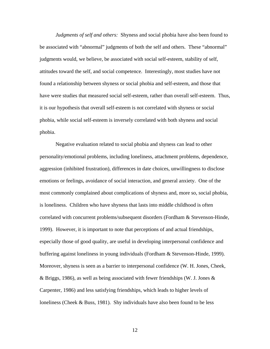*Judgments of self and others:* Shyness and social phobia have also been found to be associated with "abnormal" judgments of both the self and others. These "abnormal" judgments would, we believe, be associated with social self-esteem, stability of self, attitudes toward the self, and social competence. Interestingly, most studies have not found a relationship between shyness or social phobia and self-esteem, and those that have were studies that measured social self-esteem, rather than overall self-esteem. Thus, it is our hypothesis that overall self-esteem is not correlated with shyness or social phobia, while social self-esteem is inversely correlated with both shyness and social phobia.

Negative evaluation related to social phobia and shyness can lead to other personality/emotional problems, including loneliness, attachment problems, dependence, aggression (inhibited frustration), differences in date choices, unwillingness to disclose emotions or feelings, avoidance of social interaction, and general anxiety. One of the most commonly complained about complications of shyness and, more so, social phobia, is loneliness. Children who have shyness that lasts into middle childhood is often correlated with concurrent problems/subsequent disorders (Fordham & Stevenson-Hinde, 1999). However, it is important to note that perceptions of and actual friendships, especially those of good quality, are useful in developing interpersonal confidence and buffering against loneliness in young individuals (Fordham & Stevenson-Hinde, 1999). Moreover, shyness is seen as a barrier to interpersonal confidence (W. H. Jones, Cheek, & Briggs, 1986), as well as being associated with fewer friendships (W. J. Jones & Carpenter, 1986) and less satisfying friendships, which leads to higher levels of loneliness (Cheek & Buss, 1981). Shy individuals have also been found to be less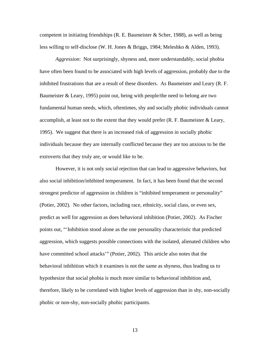competent in initiating friendships  $(R. E.$  Baumeister  $&$  Scher, 1988), as well as being less willing to self-disclose (W. H. Jones & Briggs, 1984; Meleshko & Alden, 1993).

*Aggression*: Not surprisingly, shyness and, more understandably, social phobia have often been found to be associated with high levels of aggression, probably due to the inhibited frustrations that are a result of these disorders. As Baumeister and Leary (R. F. Baumeister & Leary, 1995) point out, being with people/the need to belong are two fundamental human needs, which, oftentimes, shy and socially phobic individuals cannot accomplish, at least not to the extent that they would prefer  $(R, F, B\text{a}$  uneister  $\&$  Leary, 1995). We suggest that there is an increased risk of aggression in socially phobic individuals because they are internally conflicted because they are too anxious to be the extroverts that they truly are, or would like to be.

However, it is not only social rejection that can lead to aggressive behaviors, but also social inhibition/inhibited temperament. In fact, it has been found that the second strongest predictor of aggression in children is "inhibited temperament or personality" (Potier, 2002). No other factors, including race, ethnicity, social class, or even sex, predict as well for aggression as does behavioral inhibition (Potier, 2002). As Fischer points out, "'Inhibition stood alone as the one personality characteristic that predicted aggression, which suggests possible connections with the isolated, alienated children who have committed school attacks'" (Potier, 2002). This article also notes that the behavioral inhibition which it examines is not the same as shyness, thus leading us to hypothesize that social phobia is much more similar to behavioral inhibition and, therefore, likely to be correlated with higher levels of aggression than in shy, non-socially phobic or non-shy, non-socially phobic participants.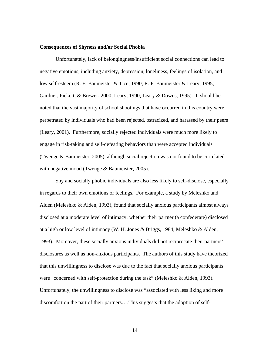#### **Consequences of Shyness and/or Social Phobia**

Unfortunately, lack of belongingness/insufficient social connections can lead to negative emotions, including anxiety, depression, loneliness, feelings of isolation, and low self-esteem (R. E. Baumeister & Tice, 1990; R. F. Baumeister & Leary, 1995; Gardner, Pickett, & Brewer, 2000; Leary, 1990; Leary & Downs, 1995). It should be noted that the vast majority of school shootings that have occurred in this country were perpetrated by individuals who had been rejected, ostracized, and harassed by their peers (Leary, 2001). Furthermore, socially rejected individuals were much more likely to engage in risk-taking and self-defeating behaviors than were accepted individuals (Twenge & Baumeister, 2005), although social rejection was not found to be correlated with negative mood (Twenge & Baumeister, 2005).

Shy and socially phobic individuals are also less likely to self-disclose, especially in regards to their own emotions or feelings. For example, a study by Meleshko and Alden (Meleshko & Alden, 1993), found that socially anxious participants almost always disclosed at a moderate level of intimacy, whether their partner (a confederate) disclosed at a high or low level of intimacy (W. H. Jones & Briggs, 1984; Meleshko & Alden, 1993). Moreover, these socially anxious individuals did not reciprocate their partners' disclosures as well as non-anxious participants. The authors of this study have theorized that this unwillingness to disclose was due to the fact that socially anxious participants were "concerned with self-protection during the task" (Meleshko & Alden, 1993). Unfortunately, the unwillingness to disclose was "associated with less liking and more discomfort on the part of their partners….This suggests that the adoption of self-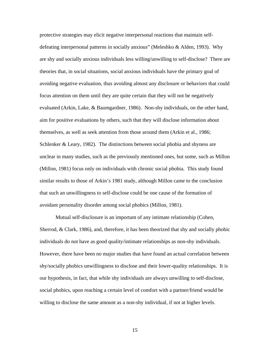protective strategies may elicit negative interpersonal reactions that maintain selfdefeating interpersonal patterns in socially anxious" (Meleshko & Alden, 1993). Why are shy and socially anxious individuals less willing/unwilling to self-disclose? There are theories that, in social situations, social anxious individuals have the primary goal of avoiding negative evaluation, thus avoiding almost any disclosure or behaviors that could focus attention on them until they are quite certain that they will not be negatively evaluated (Arkin, Lake, & Baumgardner, 1986). Non-shy individuals, on the other hand, aim for positive evaluations by others, such that they will disclose information about themselves, as well as seek attention from those around them (Arkin et al., 1986; Schlenker & Leary, 1982). The distinctions between social phobia and shyness are unclear in many studies, such as the previously mentioned ones, but some, such as Millon (Millon, 1981) focus only on individuals with chronic social phobia. This study found similar results to those of Arkin's 1981 study, although Millon came to the conclusion that such an unwillingness to self-disclose could be one cause of the formation of avoidant personality disorder among social phobics (Millon, 1981).

Mutual self-disclosure is an important of any intimate relationship (Cohen, Sherrod, & Clark, 1986), and, therefore, it has been theorized that shy and socially phobic individuals do not have as good quality/intimate relationships as non-shy individuals. However, there have been no major studies that have found an actual correlation between shy/socially phobics unwillingness to disclose and their lower-quality relationships. It is our hypothesis, in fact, that while shy individuals are always unwilling to self-disclose, social phobics, upon reaching a certain level of comfort with a partner/friend would be willing to disclose the same amount as a non-shy individual, if not at higher levels.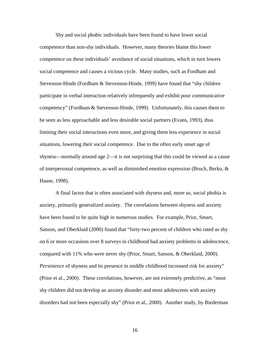Shy and social phobic individuals have been found to have lower social competence than non-shy individuals. However, many theories blame this lower competence on these individuals' avoidance of social situations, which in turn lowers social competence and causes a vicious cycle. Many studies, such as Fordham and Stevenson-Hinde (Fordham & Stevenson-Hinde, 1999) have found that "shy children participate in verbal interaction relatively infrequently and exhibit poor communicative competency" (Fordham & Stevenson-Hinde, 1999). Unfortunately, this causes them to be seen as less approachable and less desirable social partners (Evans, 1993), thus limiting their social interactions even more, and giving them less experience in social situations, lowering their social competence. Due to the often early onset age of shyness—normally around age 2—it is not surprising that this could be viewed as a cause of interpersonal competence, as well as diminished emotion expression (Bruch, Berko, & Haase, 1998).

A final factor that is often associated with shyness and, more so, social phobia is anxiety, primarily generalized anxiety. The correlations between shyness and anxiety have been found to be quite high in numerous studies. For example, Prior, Smart, Sanson, and Oberklaid (2000) found that "forty-two percent of children who rated as shy on 6 or more occasions over 8 surveys in childhood had anxiety problems in adolescence, compared with 11% who were never shy (Prior, Smart, Sanson, & Oberklaid, 2000). *Persistence* of shyness and its presence in middle childhood increased risk for anxiety" (Prior et al., 2000). These correlations, however, are not extremely predictive, as "most shy children did not develop an anxiety disorder and most adolescents with anxiety disorders had not been especially shy" (Prior et al., 2000). Another study, by Biederman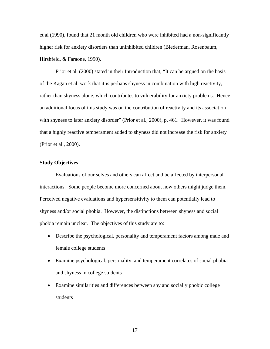et al (1990), found that 21 month old children who were inhibited had a non-significantly higher risk for anxiety disorders than uninhibited children (Biederman, Rosenbaum, Hirshfeld, & Faraone, 1990).

Prior et al. (2000) stated in their Introduction that, "It can be argued on the basis of the Kagan et al. work that it is perhaps shyness in combination with high reactivity, rather than shyness alone, which contributes to vulnerability for anxiety problems. Hence an additional focus of this study was on the contribution of reactivity and its association with shyness to later anxiety disorder" (Prior et al., 2000), p. 461. However, it was found that a highly reactive temperament added to shyness did not increase the risk for anxiety (Prior et al., 2000).

## **Study Objectives**

Evaluations of our selves and others can affect and be affected by interpersonal interactions. Some people become more concerned about how others might judge them. Perceived negative evaluations and hypersensitivity to them can potentially lead to shyness and/or social phobia. However, the distinctions between shyness and social phobia remain unclear. The objectives of this study are to:

- Describe the psychological, personality and temperament factors among male and female college students
- Examine psychological, personality, and temperament correlates of social phobia and shyness in college students
- Examine similarities and differences between shy and socially phobic college students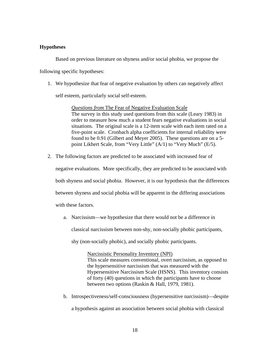## **Hypotheses**

Based on previous literature on shyness and/or social phobia, we propose the following specific hypotheses:

1. We hypothesize that fear of negative evaluation by others can negatively affect

self esteem, particularly social self-esteem.

*Questions from* The Fear of Negative Evaluation Scale The survey in this study used questions from this scale (Leary 1983) in order to measure how much a student fears negative evaluations in social situations. The original scale is a 12-item scale with each item rated on a five-point scale. Cronbach alpha coefficients for internal reliability were found to be 0.91 (Gilbert and Meyer 2005). These questions are on a 5 point Likhert Scale, from "Very Little" (A/1) to "Very Much" (E/5).

2. The following factors are predicted to be associated with increased fear of

negative evaluations. More specifically, they are predicted to be associated with

both shyness and social phobia. However, it is our hypothesis that the differences

between shyness and social phobia will be apparent in the differing associations

with these factors.

a. Narcissism—we hypothesize that there would not be a difference in classical narcissism between non-shy, non-socially phobic participants,

shy (non-socially phobic), and socially phobic participants.

Narcissistic Personality Inventory (NPI)

This scale measures conventional, overt narcissism, as opposed to the hypersensitive narcissism that was measured with the Hypersensitive Narcissism Scale (HSNS). This inventory consists of forty (40) questions in which the participants have to choose between two options (Raskin & Hall, 1979, 1981).

b. Introspectiveness/self-consciousness (hypersensitive narcissism)—despite

a hypothesis against an association between social phobia with classical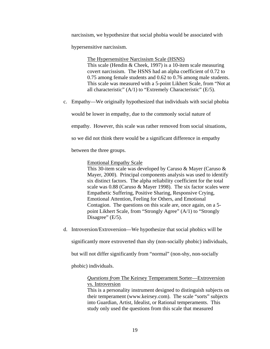narcissism, we hypothesize that social phobia would be associated with

hypersensitive narcissism.

The Hypersensitive Narcissism Scale (HSNS) This scale (Hendin & Cheek, 1997) is a 10-item scale measuring covert narcissism. The HSNS had an alpha coefficient of 0.72 to 0.75 among female students and 0.62 to 0.76 among male students. This scale was measured with a 5-point Likhert Scale, from "Not at all characteristic" (A/1) to "Extremely Characteristic" (E/5).

c. Empathy—We originally hypothesized that individuals with social phobia

would be lower in empathy, due to the commonly social nature of

empathy. However, this scale was rather removed from social situations,

so we did not think there would be a significant difference in empathy

between the three groups.

Emotional Empathy Scale

This 30-item scale was developed by Caruso & Mayer (Caruso & Mayer, 2000). Principal components analysis was used to identify six distinct factors. The alpha reliability coefficient for the total scale was 0.88 (Caruso & Mayer 1998). The six factor scales were Empathetic Suffering, Positive Sharing, Responsive Crying, Emotional Attention, Feeling for Others, and Emotional Contagion. The questions on this scale are, once again, on a 5 point Likhert Scale, from "Strongly Agree" (A/1) to "Strongly Disagree"  $(E/5)$ .

d. Introversion/Extroversion—We hypothesize that social phobics will be

significantly more extroverted than shy (non-socially phobic) individuals,

but will not differ significantly from "normal" (non-shy, non-socially

phobic) individuals.

## *Questions from* The Keirsey Temperament Sorter—Extroversion vs. Introversion

This is a personality instrument designed to distinguish subjects on their temperament (www.keirsey.com). The scale "sorts" subjects into Guardian, Artist, Idealist, or Rational temperaments. This study only used the questions from this scale that measured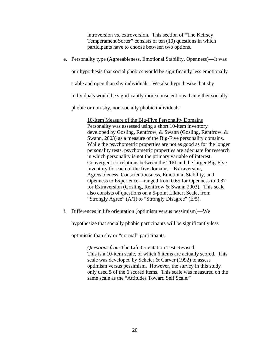introversion vs. extroversion. This section of "The Keirsey Temperament Sorter" consists of ten (10) questions in which participants have to choose between two options.

e. Personality type (Agreeableness, Emotional Stability, Openness)—It was

our hypothesis that social phobics would be significantly less emotionally

stable and open than shy individuals. We also hypothesize that shy

individuals would be significantly more conscientious than either socially

phobic or non-shy, non-socially phobic individuals.

10-Item Measure of the Big-Five Personality Domains Personality was assessed using a short 10-item inventory developed by Gosling, Rentfrow, & Swann (Gosling, Rentfrow, & Swann, 2003) as a measure of the Big-Five personality domains. While the psychometric properties are not as good as for the longer personality tests, psychometric properties are adequate for research in which personality is not the primary variable of interest. Convergent correlations between the TIPI and the larger Big-Five inventory for each of the five domains—Extraversion, Agreeableness, Conscientiousness, Emotional Stability, and Openness to Experience—ranged from 0.65 for Openness to 0.87 for Extraversion (Gosling, Rentfrow & Swann 2003). This scale also consists of questions on a 5-point Likhert Scale, from "Strongly Agree" (A/1) to "Strongly Disagree" (E/5).

f. Differences in life orientation (optimism versus pessimism)—We

hypothesize that socially phobic participants will be significantly less

optimistic than shy or "normal" participants.

*Questions from* The Life Orientation Test-Revised This is a 10-item scale, of which 6 items are actually scored. This scale was developed by Scheier & Carver (1992) to assess optimism versus pessimism. However, the survey in this study only used 5 of the 6 scored items. This scale was measured on the same scale as the "Attitudes Toward Self Scale."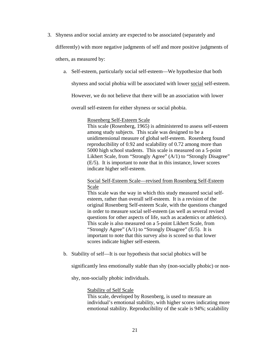3. Shyness and/or social anxiety are expected to be associated (separately and

differently) with more negative judgments of self and more positive judgments of

others, as measured by:

a. Self-esteem, particularly social self-esteem—We hypothesize that both

shyness and social phobia will be associated with lower social self-esteem.

However, we do not believe that there will be an association with lower

overall self-esteem for either shyness or social phobia.

#### Rosenberg Self-Esteem Scale

This scale (Rosenberg, 1965) is administered to assess self-esteem among study subjects. This scale was designed to be a unidimensional measure of global self-esteem. Rosenberg found reproducibility of 0.92 and scalability of 0.72 among more than 5000 high school students. This scale is measured on a 5-point Likhert Scale, from "Strongly Agree" (A/1) to "Strongly Disagree" (E/5). It is important to note that in this instance, lower scores indicate higher self-esteem.

## Social Self-Esteem Scale—revised from Rosenberg Self-Esteem Scale

This scale was the way in which this study measured social selfesteem, rather than overall self-esteem. It is a revision of the original Rosenberg Self-esteem Scale, with the questions changed in order to measure social self-esteem (as well as several revised questions for other aspects of life, such as academics or athletics). This scale is also measured on a 5-point Likhert Scale, from "Strongly Agree" (A/1) to "Strongly Disagree" (E/5). It is important to note that this survey also is scored so that lower scores indicate higher self-esteem.

b. Stability of self—It is our hypothesis that social phobics will be

significantly less emotionally stable than shy (non-socially phobic) or non-

shy, non-socially phobic individuals.

#### Stability of Self Scale

This scale, developed by Rosenberg, is used to measure an individual's emotional stability, with higher scores indicating more emotional stability. Reproducibility of the scale is 94%; scalability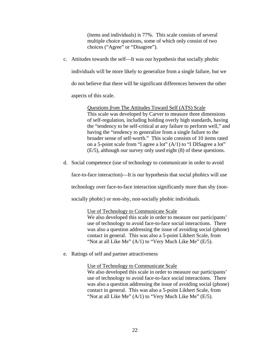(items and individuals) is 77%. This scale consists of several multiple choice questions, some of which only consist of two choices ("Agree" or "Disagree").

c. Attitudes towards the self—It was our hypothesis that socially phobic

individuals will be more likely to generalize from a single failure, but we

do not believe that there will be significant differences between the other

aspects of this scale.

*Questions from* The Attitudes Toward Self (ATS) Scale This scale was developed by Carver to measure three dimensions of self-regulation, including holding overly high standards, having the "tendency to be self-critical at any failure to perform well," and having the "tendency to generalize from a single failure to the broader sense of self-worth." This scale consists of 10 items rated on a 5-point scale from "I agree a lot" (A/1) to "I DISagree a lot" (E/5), although our survey only used eight (8) of these questions.

d. Social competence (use of technology to communicate in order to avoid

face-to-face interaction)—It is our hypothesis that social phobics will use

technology over face-to-face interaction significantly more than shy (non-

socially phobic) or non-shy, non-socially phobic individuals.

Use of Technology to Communicate Scale

We also developed this scale in order to measure our participants' use of technology to avoid face-to-face social interactions. There was also a question addressing the issue of avoiding social (phone) contact in general. This was also a 5-point Likhert Scale, from "Not at all Like Me" (A/1) to "Very Much Like Me" (E/5).

e. Ratings of self and partner attractiveness

Use of Technology to Communicate Scale We also developed this scale in order to measure our participants' use of technology to avoid face-to-face social interactions. There was also a question addressing the issue of avoiding social (phone) contact in general. This was also a 5-point Likhert Scale, from "Not at all Like Me"  $(A/1)$  to "Very Much Like Me"  $(E/5)$ .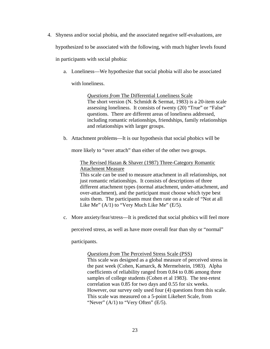- 4. Shyness and/or social phobia, and the associated negative self-evaluations, are hypothesized to be associated with the following, with much higher levels found in participants with social phobia:
	- a. Loneliness—We hypothesize that social phobia will also be associated

with loneliness.

*Questions from* The Differential Loneliness Scale The short version (N. Schmidt & Sermat, 1983) is a 20-item scale assessing loneliness. It consists of twenty (20) "True" or "False" questions. There are different areas of loneliness addressed, including romantic relationships, friendships, family relationships and relationships with larger groups.

b. Attachment problems—It is our hypothesis that social phobics will be

more likely to "over attach" than either of the other two groups.

The Revised Hazan & Shaver (1987) Three-Category Romantic Attachment Measure

This scale can be used to measure attachment in all relationships, not just romantic relationships. It consists of descriptions of three different attachment types (normal attachment, under-attachment, and over-attachment), and the participant must choose which type best suits them. The participants must then rate on a scale of "Not at all Like Me"  $(A/1)$  to "Very Much Like Me"  $(E/5)$ .

c. More anxiety/fear/stress—It is predicted that social phobics will feel more

perceived stress, as well as have more overall fear than shy or "normal"

participants.

*Questions from* The Perceived Stress Scale (PSS)

This scale was designed as a global measure of perceived stress in the past week (Cohen, Kamarck, & Mermelstein, 1983). Alpha coefficients of reliability ranged from 0.84 to 0.86 among three samples of college students (Cohen et al 1983). The test-retest correlation was 0.85 for two days and 0.55 for six weeks. However, our survey only used four (4) questions from this scale. This scale was measured on a 5-point Likehert Scale, from "Never"  $(A/1)$  to "Very Often"  $(E/5)$ .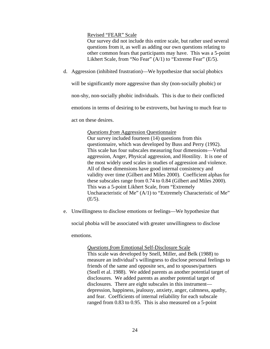Revised "FEAR" Scale

Our survey did not include this entire scale, but rather used several questions from it, as well as adding our own questions relating to other common fears that participants may have. This was a 5-point Likhert Scale, from "No Fear" (A/1) to "Extreme Fear" (E/5).

d. Aggression (inhibited frustration)—We hypothesize that social phobics

will be significantly more aggressive than shy (non-socially phobic) or

non-shy, non-socially phobic individuals. This is due to their conflicted

emotions in terms of desiring to be extroverts, but having to much fear to

act on these desires.

#### *Questions from* Aggression Questionnaire

Our survey included fourteen (14) questions from this questionnaire, which was developed by Buss and Perry (1992). This scale has four subscales measuring four dimensions—Verbal aggression, Anger, Physical aggression, and Hostility. It is one of the most widely used scales in studies of aggression and violence. All of these dimensions have good internal consistency and validity over time (Gilbert and Miles 2000). Coefficient alphas for these subscales range from 0.74 to 0.84 (Gilbert and Miles 2000). This was a 5-point Likhert Scale, from "Extremely Uncharacteristic of Me" (A/1) to "Extremely Characteristic of Me"  $(E/5)$ .

e. Unwillingness to disclose emotions or feelings—We hypothesize that

social phobia will be associated with greater unwillingness to disclose

emotions.

*Questions from* Emotional Self-Disclosure Scale

This scale was developed by Snell, Miller, and Belk (1988) to measure an individual's willingness to disclose personal feelings to friends of the same and opposite sex, and to spouses/partners (Snell et al. 1988). We added parents as another potential target of disclosures. We added parents as another potential target of disclosures. There are eight subscales in this instrument depression, happiness, jealousy, anxiety, anger, calmness, apathy, and fear. Coefficients of internal reliability for each subscale ranged from 0.83 to 0.95. This is also measured on a 5-point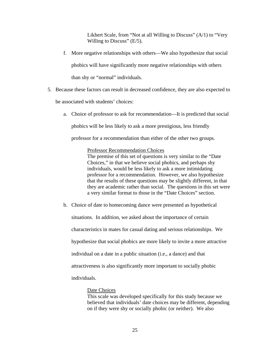Likhert Scale, from "Not at all Willing to Discuss" (A/1) to "Very Willing to Discuss"  $(E/5)$ .

- f. More negative relationships with others—We also hypothesize that social phobics will have significantly more negative relationships with others than shy or "normal" individuals.
- 5. Because these factors can result in decreased confidence, they are also expected to

be associated with students' choices:

a. Choice of professor to ask for recommendation—It is predicted that social

phobics will be less likely to ask a more prestigious, less friendly

professor for a recommendation than either of the other two groups.

## Professor Recommendation Choices

The premise of this set of questions is very similar to the "Date Choices," in that we believe social phobics, and perhaps shy individuals, would be less likely to ask a more intimidating professor for a recommendation. However, we also hypothesize that the results of these questions may be slightly different, in that they are academic rather than social. The questions in this set were a very similar format to those in the "Date Choices" section.

b. Choice of date to homecoming dance were presented as hypothetical

situations. In addition, we asked about the importance of certain characteristics in mates for casual dating and serious relationships. We hypothesize that social phobics are more likely to invite a more attractive individual on a date in a public situation (i.e., a dance) and that attractiveness is also significantly more important to socially phobic individuals.

## Date Choices

This scale was developed specifically for this study because we believed that individuals' date choices may be different, depending on if they were shy or socially phobic (or neither). We also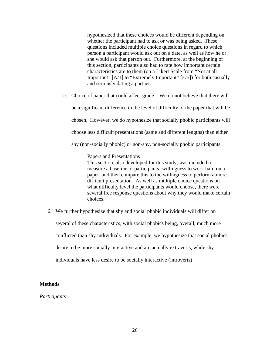hypothesized that these choices would be different depending on whether the participant had to ask or was being asked. These questions included multiple choice questions in regard to which person a participant would ask out on a date, as well as how he or she would ask that person out. Furthermore, at the beginning of this section, participants also had to rate how important certain characteristics are to them (on a Likert Scale from "Not at all Important" [A/1] to "Extremely Important" [E/5]) for both casually and seriously dating a partner.

c. Choice of paper that could affect grade—We do not believe that there will

be a significant difference in the level of difficulty of the paper that will be

chosen. However, we do hypothesize that socially phobic participants will

choose less difficult presentations (same and different lengths) than either

shy (non-socially phobic) or non-shy, non-socially phobic participants.

## Papers and Presentations

This section, also developed for this study, was included to measure a baseline of participants' willingness to work hard on a paper, and then compare this to the willingness to perform a more difficult presentation. As well as multiple choice questions on what difficulty level the participants would choose, there were several free response questions about why they would make certain choices.

6. We further hypothesize that shy and social phobic individuals will differ on several of these characteristics, with social phobics being, overall, much more conflicted than shy individuals. For example, we hypothesize that social phobics desire to be more socially interactive and are actually extraverts, while shy individuals have less desire to be socially interactive (introverts)

## **Methods**

## *Participants*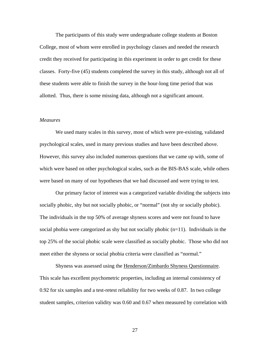The participants of this study were undergraduate college students at Boston College, most of whom were enrolled in psychology classes and needed the research credit they received for participating in this experiment in order to get credit for these classes. Forty-five (45) students completed the survey in this study, although not all of these students were able to finish the survey in the hour-long time period that was allotted. Thus, there is some missing data, although not a significant amount.

#### *Measures*

We used many scales in this survey, most of which were pre-existing, validated psychological scales, used in many previous studies and have been described above. However, this survey also included numerous questions that we came up with, some of which were based on other psychological scales, such as the BIS-BAS scale, while others were based on many of our hypotheses that we had discussed and were trying to test.

Our primary factor of interest was a categorized variable dividing the subjects into socially phobic, shy but not socially phobic, or "normal" (not shy or socially phobic). The individuals in the top 50% of average shyness scores and were not found to have social phobia were categorized as shy but not socially phobic  $(n=11)$ . Individuals in the top 25% of the social phobic scale were classified as socially phobic. Those who did not meet either the shyness or social phobia criteria were classified as "normal."

Shyness was assessed using the Henderson/Zimbardo Shyness Questionnaire. This scale has excellent psychometric properties, including an internal consistency of 0.92 for six samples and a test-retest reliability for two weeks of 0.87. In two college student samples, criterion validity was 0.60 and 0.67 when measured by correlation with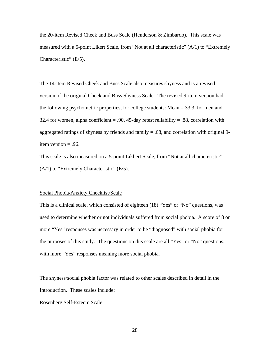the 20-item Revised Cheek and Buss Scale (Henderson & Zimbardo). This scale was measured with a 5-point Likert Scale, from "Not at all characteristic" (A/1) to "Extremely Characteristic" (E/5).

The 14-item Revised Cheek and Buss Scale also measures shyness and is a revised version of the original Cheek and Buss Shyness Scale. The revised 9-item version had the following psychometric properties, for college students: Mean = 33.3. for men and 32.4 for women, alpha coefficient  $= .90, 45$ -day retest reliability  $= .88$ , correlation with aggregated ratings of shyness by friends and family = .68, and correlation with original 9 item version = .96.

This scale is also measured on a 5-point Likhert Scale, from "Not at all characteristic"  $(A/1)$  to "Extremely Characteristic" (E/5).

#### Social Phobia/Anxiety Checklist/Scale

This is a clinical scale, which consisted of eighteen (18) "Yes" or "No" questions, was used to determine whether or not individuals suffered from social phobia. A score of 8 or more "Yes" responses was necessary in order to be "diagnosed" with social phobia for the purposes of this study. The questions on this scale are all "Yes" or "No" questions, with more "Yes" responses meaning more social phobia.

The shyness/social phobia factor was related to other scales described in detail in the Introduction. These scales include:

#### Rosenberg Self-Esteem Scale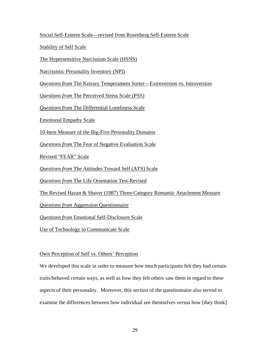Social Self-Esteem Scale—revised from Rosenberg Self-Esteem Scale

Stability of Self Scale

The Hypersensitive Narcissism Scale (HSNS)

Narcissistic Personality Inventory (NPI)

*Questions from* The Keirsey Temperament Sorter—Extroversion vs. Introversion

*Questions from* The Perceived Stress Scale (PSS)

*Questions from* The Differential Loneliness Scale

Emotional Empathy Scale

10-Item Measure of the Big-Five Personality Domains

*Questions from* The Fear of Negative Evaluation Scale

Revised "FEAR" Scale

*Questions from* The Attitudes Toward Self (ATS) Scale

*Questions from* The Life Orientation Test-Revised

The Revised Hazan & Shaver (1987) Three-Category Romantic Attachment Measure

*Questions from* Aggression Questionnaire

*Questions from* Emotional Self-Disclosure Scale

Use of Technology to Communicate Scale

## Own Perception of Self vs. Others' Perception

We developed this scale in order to measure how much participants felt they had certain traits/behaved certain ways, as well as how they felt others saw them in regard to these aspects of their personality. Moreover, this section of the questionnaire also served to examine the differences between how individual see themselves versus how [they think]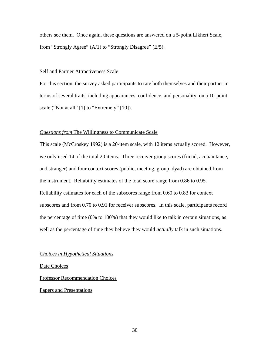others see them. Once again, these questions are answered on a 5-point Likhert Scale, from "Strongly Agree" (A/1) to "Strongly Disagree" (E/5).

#### Self and Partner Attractiveness Scale

For this section, the survey asked participants to rate both themselves and their partner in terms of several traits, including appearances, confidence, and personality, on a 10-point scale ("Not at all" [1] to "Extremely" [10]).

#### *Questions from* The Willingness to Communicate Scale

This scale (McCroskey 1992) is a 20-item scale, with 12 items actually scored. However, we only used 14 of the total 20 items. Three receiver group scores (friend, acquaintance, and stranger) and four context scores (public, meeting, group, dyad) are obtained from the instrument. Reliability estimates of the total score range from 0.86 to 0.95. Reliability estimates for each of the subscores range from 0.60 to 0.83 for context subscores and from 0.70 to 0.91 for receiver subscores. In this scale, participants record the percentage of time (0% to 100%) that they would like to talk in certain situations, as well as the percentage of time they believe they would *actually* talk in such situations.

#### *Choices in Hypothetical Situations*

Date Choices

Professor Recommendation Choices

Papers and Presentations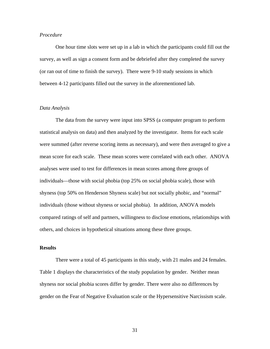#### *Procedure*

One hour time slots were set up in a lab in which the participants could fill out the survey, as well as sign a consent form and be debriefed after they completed the survey (or ran out of time to finish the survey). There were 9-10 study sessions in which between 4-12 participants filled out the survey in the aforementioned lab.

#### *Data Analysis*

The data from the survey were input into SPSS (a computer program to perform statistical analysis on data) and then analyzed by the investigator. Items for each scale were summed (after reverse scoring items as necessary), and were then averaged to give a mean score for each scale. These mean scores were correlated with each other. ANOVA analyses were used to test for differences in mean scores among three groups of individuals—those with social phobia (top 25% on social phobia scale), those with shyness (top 50% on Henderson Shyness scale) but not socially phobic, and "normal" individuals (those without shyness or social phobia). In addition, ANOVA models compared ratings of self and partners, willingness to disclose emotions, relationships with others, and choices in hypothetical situations among these three groups.

## **Results**

There were a total of 45 participants in this study, with 21 males and 24 females. Table 1 displays the characteristics of the study population by gender. Neither mean shyness nor social phobia scores differ by gender. There were also no differences by gender on the Fear of Negative Evaluation scale or the Hypersensitive Narcissism scale.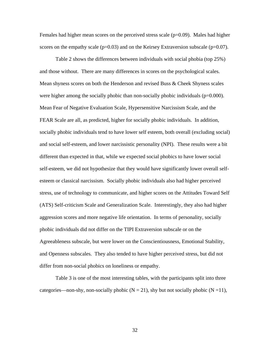Females had higher mean scores on the perceived stress scale  $(p=0.09)$ . Males had higher scores on the empathy scale ( $p=0.03$ ) and on the Keirsey Extraversion subscale ( $p=0.07$ ).

Table 2 shows the differences between individuals with social phobia (top 25%) and those without. There are many differences in scores on the psychological scales. Mean shyness scores on both the Henderson and revised Buss & Cheek Shyness scales were higher among the socially phobic than non-socially phobic individuals (p=0.000). Mean Fear of Negative Evaluation Scale, Hypersensitive Narcissism Scale, and the FEAR Scale are all, as predicted, higher for socially phobic individuals. In addition, socially phobic individuals tend to have lower self esteem, both overall (excluding social) and social self-esteem, and lower narcissistic personality (NPI). These results were a bit different than expected in that, while we expected social phobics to have lower social self-esteem, we did not hypothesize that they would have significantly lower overall selfesteem or classical narcissism. Socially phobic individuals also had higher perceived stress, use of technology to communicate, and higher scores on the Attitudes Toward Self (ATS) Self-criticism Scale and Generalization Scale. Interestingly, they also had higher aggression scores and more negative life orientation. In terms of personality, socially phobic individuals did not differ on the TIPI Extraversion subscale or on the Agreeableness subscale, but were lower on the Conscientiousness, Emotional Stability, and Openness subscales. They also tended to have higher perceived stress, but did not differ from non-social phobics on loneliness or empathy.

Table 3 is one of the most interesting tables, with the participants split into three categories—non-shy, non-socially phobic  $(N = 21)$ , shy but not socially phobic  $(N = 11)$ ,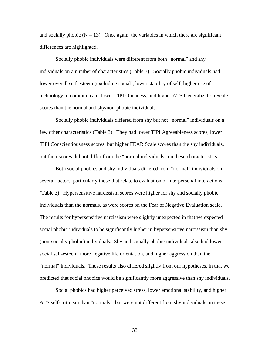and socially phobic  $(N = 13)$ . Once again, the variables in which there are significant differences are highlighted.

Socially phobic individuals were different from both "normal" and shy individuals on a number of characteristics (Table 3). Socially phobic individuals had lower overall self-esteem (excluding social), lower stability of self, higher use of technology to communicate, lower TIPI Openness, and higher ATS Generalization Scale scores than the normal and shy/non-phobic individuals.

Socially phobic individuals differed from shy but not "normal" individuals on a few other characteristics (Table 3). They had lower TIPI Agreeableness scores, lower TIPI Conscientiousness scores, but higher FEAR Scale scores than the shy individuals, but their scores did not differ from the "normal individuals" on these characteristics.

Both social phobics and shy individuals differed from "normal" individuals on several factors, particularly those that relate to evaluation of interpersonal interactions (Table 3). Hypersensitive narcissism scores were higher for shy and socially phobic individuals than the normals, as were scores on the Fear of Negative Evaluation scale. The results for hypersensitive narcissism were slightly unexpected in that we expected social phobic individuals to be significantly higher in hypersensitive narcissism than shy (non-socially phobic) individuals. Shy and socially phobic individuals also had lower social self-esteem, more negative life orientation, and higher aggression than the "normal" individuals. These results also differed slightly from our hypotheses, in that we predicted that social phobics would be significantly more aggressive than shy individuals.

Social phobics had higher perceived stress, lower emotional stability, and higher ATS self-criticism than "normals", but were not different from shy individuals on these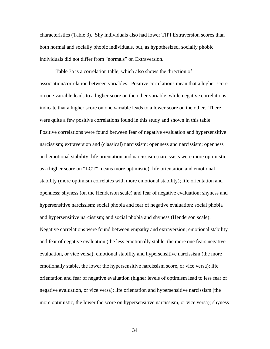characteristics (Table 3). Shy individuals also had lower TIPI Extraversion scores than both normal and socially phobic individuals, but, as hypothesized, socially phobic individuals did not differ from "normals" on Extraversion.

Table 3a is a correlation table, which also shows the direction of association/correlation between variables. Positive correlations mean that a higher score on one variable leads to a higher score on the other variable, while negative correlations indicate that a higher score on one variable leads to a lower score on the other. There were quite a few positive correlations found in this study and shown in this table. Positive correlations were found between fear of negative evaluation and hypersensitive narcissism; extraversion and (classical) narcissism; openness and narcissism; openness and emotional stability; life orientation and narcissism (narcissists were more optimistic, as a higher score on "LOT" means more optimistic); life orientation and emotional stability (more optimism correlates with more emotional stability); life orientation and openness; shyness (on the Henderson scale) and fear of negative evaluation; shyness and hypersensitive narcissism; social phobia and fear of negative evaluation; social phobia and hypersensitive narcissism; and social phobia and shyness (Henderson scale). Negative correlations were found between empathy and extraversion; emotional stability and fear of negative evaluation (the less emotionally stable, the more one fears negative evaluation, or vice versa); emotional stability and hypersensitive narcissism (the more emotionally stable, the lower the hypersensitive narcissism score, or vice versa); life orientation and fear of negative evaluation (higher levels of optimism lead to less fear of negative evaluation, or vice versa); life orientation and hypersensitive narcissism (the more optimistic, the lower the score on hypersensitive narcissism, or vice versa); shyness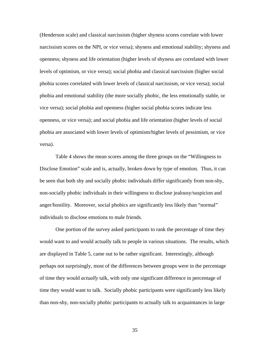(Henderson scale) and classical narcissism (higher shyness scores correlate with lower narcissism scores on the NPI, or vice versa); shyness and emotional stability; shyness and openness; shyness and life orientation (higher levels of shyness are correlated with lower levels of optimism, or vice versa); social phobia and classical narcissism (higher social phobia scores correlated with lower levels of classical narcissism, or vice versa); social phobia and emotional stability (the more socially phobic, the less emotionally stable, or vice versa); social phobia and openness (higher social phobia scores indicate less openness, or vice versa); and social phobia and life orientation (higher levels of social phobia are associated with lower levels of optimism/higher levels of pessimism, or vice versa).

Table 4 shows the mean scores among the three groups on the "Willingness to Disclose Emotion" scale and is, actually, broken down by type of emotion. Thus, it can be seen that both shy and socially phobic individuals differ significantly from non-shy, non-socially phobic individuals in their willingness to disclose jealousy/suspicion and anger/hostility. Moreover, social phobics are significantly less likely than "normal" individuals to disclose emotions to male friends.

One portion of the survey asked participants to rank the percentage of time they would want to and would actually talk to people in various situations. The results, which are displayed in Table 5, came out to be rather significant. Interestingly, although perhaps not surprisingly, most of the differences between groups were in the percentage of time they would *actually* talk, with only one significant difference in percentage of time they would want to talk. Socially phobic participants were significantly less likely than non-shy, non-socially phobic participants to actually talk to acquaintances in large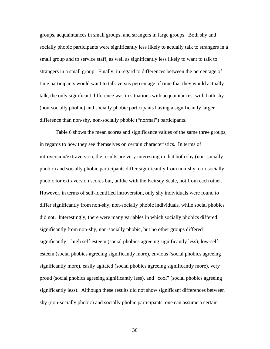groups, acquaintances in small groups, and strangers in large groups. Both shy and socially phobic participants were significantly less likely to actually talk to strangers in a small group and to service staff, as well as significantly less likely to want to talk to strangers in a small group. Finally, in regard to differences between the percentage of time participants would want to talk versus percentage of time that they would actually talk, the only significant difference was in situations with acquaintances, with both shy (non-socially phobic) and socially phobic participants having a significantly larger difference than non-shy, non-socially phobic ("normal") participants.

Table 6 shows the mean scores and significance values of the same three groups, in regards to how they see themselves on certain characteristics. In terms of introversion/extraversion, the results are very interesting in that both shy (non-socially phobic) and socially phobic participants differ significantly from non-shy, non-socially phobic for extraversion scores but, unlike with the Keirsey Scale, not from each other. However, in terms of self-identified introversion, only shy individuals were found to differ significantly from non-shy, non-socially phobic individuals*,* while social phobics did not. Interestingly, there were many variables in which socially phobics differed significantly from non-shy, non-socially phobic, but no other groups differed significantly—high self-esteem (social phobics agreeing significantly less), low-selfesteem (social phobics agreeing significantly more), envious (social phobics agreeing significantly more), easily agitated (social phobics agreeing significantly more), very proud (social phobics agreeing significantly less), and "cool" (social phobics agreeing significantly less). Although these results did not show significant differences between shy (non-socially phobic) and socially phobic participants, one can assume a certain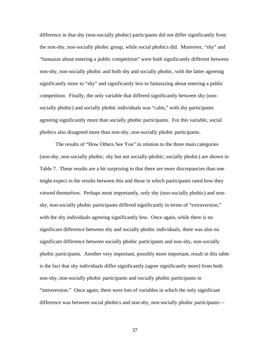difference in that shy (non-socially phobic) participants did not differ significantly from the non-shy, non-socially phobic group, while social phobics did. Moreover, "shy" and "fantasize about entering a public competition" were both significantly different between non-shy, non-socially phobic and both shy and socially phobic, with the latter agreeing significantly more to "shy" and significantly less to fantasizing about entering a public competition. Finally, the only variable that differed significantly between shy (nonsocially phobic) and socially phobic individuals was "calm," with shy participants agreeing significantly more than socially phobic participants. For this variable, social phobics also disagreed more than non-shy, non-socially phobic participants.

The results of "How Others See You" in relation to the three main categories (non-shy, non-socially phobic; shy but not socially-phobic; socially phobic) are shown in Table 7. These results are a bit surprising in that there are more discrepancies than one might expect in the results between this and those in which participants rated how they viewed themselves. Perhaps most importantly, only shy (non-socially phobic) and nonshy, non-socially phobic participants differed significantly in terms of "extraversion," with the shy individuals agreeing significantly less. Once again, while there is no significant difference between shy and socially phobic individuals, there was also no significant difference between socially phobic participants and non-shy, non-socially phobic participants.Another very important, possibly more important, result in this table is the fact that shy individuals differ significantly (agree significantly more) from both non-shy, non-socially phobic participants and socially phobic participants in "introversion." Once again, there were lots of variables in which the only significant difference was between social phobics and non-shy, non-socially phobic participants—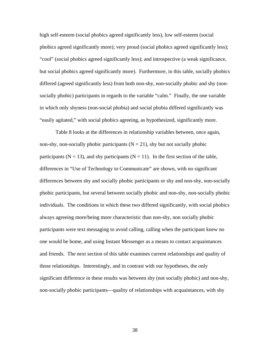high self-esteem (social phobics agreed significantly less), low self-esteem (social phobics agreed significantly more); very proud (social phobics agreed significantly less); "cool" (social phobics agreed significantly less); and introspective (a weak significance, but social phobics agreed significantly more). Furthermore, in this table, socially phobics differed (agreed significantly less) from both non-shy, non-socially phobic and shy (nonsocially phobic) participants in regards to the variable "calm." Finally, the one variable in which only shyness (non-social phobia) and social phobia differed significantly was "easily agitated," with social phobics agreeing, as hypothesized, significantly more.

Table 8 looks at the differences in relationship variables between, once again, non-shy, non-socially phobic participants  $(N = 21)$ , shy but not socially phobic participants ( $N = 13$ ), and shy participants ( $N = 11$ ). In the first section of the table, differences in "Use of Technology to Communicate" are shown, with no significant differences between shy and socially phobic participants or shy and non-shy, non-socially phobic participants, but several between socially phobic and non-shy, non-socially phobic individuals. The conditions in which these two differed significantly, with social phobics always agreeing more/being more characteristic than non-shy, non socially phobic participants were text messaging to avoid calling, calling when the participant knew no one would be home, and using Instant Messenger as a means to contact acquaintances and friends. The next section of this table examines current relationships and quality of those relationships. Interestingly, and in contrast with our hypotheses, the only significant difference in these results was between shy (not socially phobic) and non-shy, non-socially phobic participants—quality of relationships with acquaintances, with shy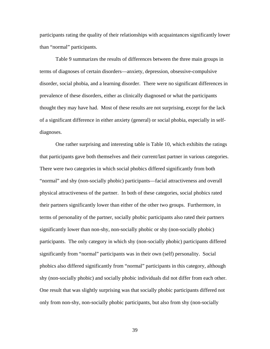participants rating the quality of their relationships with acquaintances significantly lower than "normal" participants.

Table 9 summarizes the results of differences between the three main groups in terms of diagnoses of certain disorders—anxiety, depression, obsessive-compulsive disorder, social phobia, and a learning disorder. There were no significant differences in prevalence of these disorders, either as clinically diagnosed or what the participants thought they may have had. Most of these results are not surprising, except for the lack of a significant difference in either anxiety (general) or social phobia, especially in selfdiagnoses.

One rather surprising and interesting table is Table 10, which exhibits the ratings that participants gave both themselves and their current/last partner in various categories. There were two categories in which social phobics differed significantly from both "normal" and shy (non-socially phobic) participants—facial attractiveness and overall physical attractiveness of the partner. In both of these categories, social phobics rated their partners significantly lower than either of the other two groups. Furthermore, in terms of personality of the partner, socially phobic participants also rated their partners significantly lower than non-shy, non-socially phobic or shy (non-socially phobic) participants. The only category in which shy (non-socially phobic) participants differed significantly from "normal" participants was in their own (self) personality. Social phobics also differed significantly from "normal" participants in this category, although shy (non-socially phobic) and socially phobic individuals did not differ from each other. One result that was slightly surprising was that socially phobic participants differed not only from non-shy, non-socially phobic participants, but also from shy (non-socially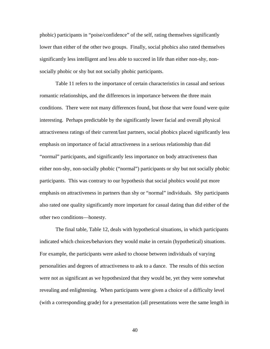phobic) participants in "poise/confidence" of the self, rating themselves significantly lower than either of the other two groups. Finally, social phobics also rated themselves significantly less intelligent and less able to succeed in life than either non-shy, nonsocially phobic or shy but not socially phobic participants.

Table 11 refers to the importance of certain characteristics in casual and serious romantic relationships, and the differences in importance between the three main conditions. There were not many differences found, but those that were found were quite interesting. Perhaps predictable by the significantly lower facial and overall physical attractiveness ratings of their current/last partners, social phobics placed significantly less emphasis on importance of facial attractiveness in a serious relationship than did "normal" participants, and significantly less importance on body attractiveness than either non-shy, non-socially phobic ("normal") participants or shy but not socially phobic participants. This was contrary to our hypothesis that social phobics would put more emphasis on attractiveness in partners than shy or "normal" individuals. Shy participants also rated one quality significantly more important for casual dating than did either of the other two conditions—honesty.

The final table, Table 12, deals with hypothetical situations, in which participants indicated which choices/behaviors they would make in certain (hypothetical) situations. For example, the participants were asked to choose between individuals of varying personalities and degrees of attractiveness to ask to a dance. The results of this section were not as significant as we hypothesized that they would be, yet they were somewhat revealing and enlightening. When participants were given a choice of a difficulty level (with a corresponding grade) for a presentation (all presentations were the same length in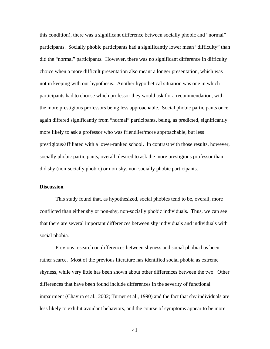this condition), there was a significant difference between socially phobic and "normal" participants. Socially phobic participants had a significantly lower mean "difficulty" than did the "normal" participants. However, there was no significant difference in difficulty choice when a more difficult presentation also meant a longer presentation, which was not in keeping with our hypothesis. Another hypothetical situation was one in which participants had to choose which professor they would ask for a recommendation, with the more prestigious professors being less approachable. Social phobic participants once again differed significantly from "normal" participants, being, as predicted, significantly more likely to ask a professor who was friendlier/more approachable, but less prestigious/affiliated with a lower-ranked school. In contrast with those results, however, socially phobic participants, overall, desired to ask the more prestigious professor than did shy (non-socially phobic) or non-shy, non-socially phobic participants.

#### **Discussion**

This study found that, as hypothesized, social phobics tend to be, overall, more conflicted than either shy or non-shy, non-socially phobic individuals. Thus, we can see that there are several important differences between shy individuals and individuals with social phobia.

Previous research on differences between shyness and social phobia has been rather scarce. Most of the previous literature has identified social phobia as extreme shyness, while very little has been shown about other differences between the two. Other differences that have been found include differences in the severity of functional impairment (Chavira et al., 2002; Turner et al., 1990) and the fact that shy individuals are less likely to exhibit avoidant behaviors, and the course of symptoms appear to be more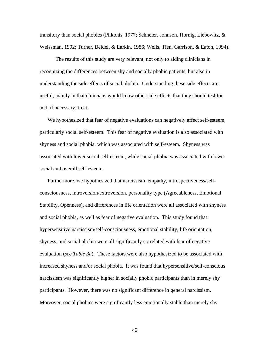transitory than social phobics (Pilkonis, 1977; Schneier, Johnson, Hornig, Liebowitz, & Weissman, 1992; Turner, Beidel, & Larkin, 1986; Wells, Tien, Garrison, & Eaton, 1994).

The results of this study are very relevant, not only to aiding clinicians in recognizing the differences between shy and socially phobic patients, but also in understanding the side effects of social phobia. Understanding these side effects are useful, mainly in that clinicians would know other side effects that they should test for and, if necessary, treat.

We hypothesized that fear of negative evaluations can negatively affect self-esteem, particularly social self-esteem. This fear of negative evaluation is also associated with shyness and social phobia, which was associated with self-esteem. Shyness was associated with lower social self-esteem, while social phobia was associated with lower social and overall self-esteem.

Furthermore, we hypothesized that narcissism, empathy, introspectiveness/selfconsciousness, introversion/extroversion, personality type (Agreeableness, Emotional Stability, Openness), and differences in life orientation were all associated with shyness and social phobia, as well as fear of negative evaluation. This study found that hypersensitive narcissism/self-consciousness, emotional stability, life orientation, shyness, and social phobia were all significantly correlated with fear of negative evaluation (*see Table 3a*). These factors were also hypothesized to be associated with increased shyness and/or social phobia. It was found that hypersensitive/self-conscious narcissism was significantly higher in socially phobic participants than in merely shy participants. However, there was no significant difference in general narcissism. Moreover, social phobics were significantly less emotionally stable than merely shy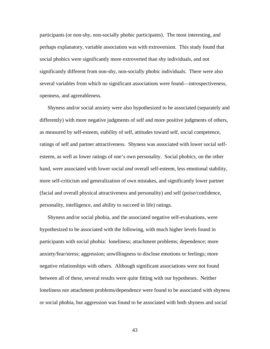participants (or non-shy, non-socially phobic participants). The most interesting, and perhaps explanatory, variable association was with extroversion. This study found that social phobics were significantly more extroverted than shy individuals, and not significantly different from non-shy, non-socially phobic individuals. There were also several variables from which no significant associations were found—introspectiveness, openness, and agreeableness.

Shyness and/or social anxiety were also hypothesized to be associated (separately and differently) with more negative judgments of self and more positive judgments of others, as measured by self-esteem, stability of self, attitudes toward self, social competence, ratings of self and partner attractiveness. Shyness was associated with lower social selfesteem, as well as lower ratings of one's own personality. Social phobics, on the other hand, were associated with lower social *and* overall self-esteem, less emotional stability, more self-criticism and generalization of own mistakes, and significantly lower partner (facial and overall physical attractiveness and personality) and self (poise/confidence, personality, intelligence, and ability to succeed in life) ratings.

Shyness and/or social phobia, and the associated negative self-evaluations, were hypothesized to be associated with the following, with much higher levels found in participants with social phobia: loneliness; attachment problems; dependence; more anxiety/fear/stress; aggression; unwillingness to disclose emotions or feelings; more negative relationships with others. Although significant associations were not found between all of these, several results were quite fitting with our hypotheses. Neither loneliness nor attachment problems/dependence were found to be associated with shyness or social phobia, but aggression was found to be associated with both shyness and social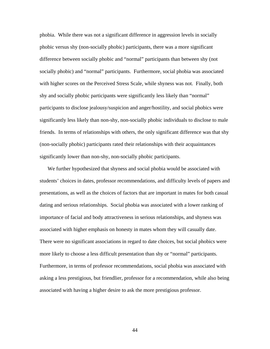phobia. While there was not a significant difference in aggression levels in socially phobic versus shy (non-socially phobic) participants, there was a more significant difference between socially phobic and "normal" participants than between shy (not socially phobic) and "normal" participants. Furthermore, social phobia was associated with higher scores on the Perceived Stress Scale, while shyness was not. Finally, both shy and socially phobic participants were significantly less likely than "normal" participants to disclose jealousy/suspicion and anger/hostility, and social phobics were significantly less likely than non-shy, non-socially phobic individuals to disclose to male friends. In terms of relationships with others, the only significant difference was that shy (non-socially phobic) participants rated their relationships with their acquaintances significantly lower than non-shy, non-socially phobic participants.

We further hypothesized that shyness and social phobia would be associated with students' choices in dates, professor recommendations, and difficulty levels of papers and presentations, as well as the choices of factors that are important in mates for both casual dating and serious relationships. Social phobia was associated with a lower ranking of importance of facial and body attractiveness in serious relationships, and shyness was associated with higher emphasis on honesty in mates whom they will casually date. There were no significant associations in regard to date choices, but social phobics were more likely to choose a less difficult presentation than shy or "normal" participants. Furthermore, in terms of professor recommendations, social phobia was associated with asking a less prestigious, but friendlier, professor for a recommendation, while also being associated with having a higher desire to ask the more prestigious professor.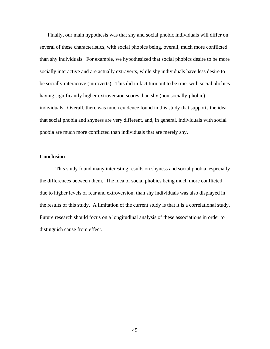Finally, our main hypothesis was that shy and social phobic individuals will differ on several of these characteristics, with social phobics being, overall, much more conflicted than shy individuals. For example, we hypothesized that social phobics desire to be more socially interactive and are actually extraverts, while shy individuals have less desire to be socially interactive (introverts). This did in fact turn out to be true, with social phobics having significantly higher extroversion scores than shy (non socially-phobic) individuals. Overall, there was much evidence found in this study that supports the idea that social phobia and shyness are very different, and, in general, individuals with social phobia are much more conflicted than individuals that are merely shy.

#### **Conclusion**

This study found many interesting results on shyness and social phobia, especially the differences between them. The idea of social phobics being much more conflicted, due to higher levels of fear and extroversion, than shy individuals was also displayed in the results of this study. A limitation of the current study is that it is a correlational study. Future research should focus on a longitudinal analysis of these associations in order to distinguish cause from effect.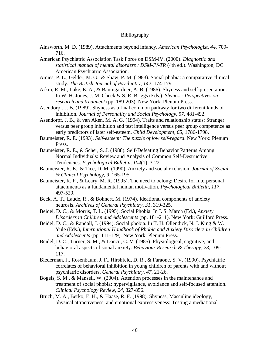#### Bibliography

- Ainsworth, M. D. (1989). Attachments beyond infancy. *American Psychologist, 44*, 709- 716.
- American Psychiatric Association Task Force on DSM-IV. (2000). *Diagnostic and statistical manual of mental disorders : DSM-IV-TR* (4th ed.). Washington, DC: American Psychiatric Association.
- Amies, P. L., Gelder, M. G., & Shaw, P. M. (1983). Social phobia: a comparative clinical study. *The British Journal of Psychiatry, 142*, 174-179.
- Arkin, R. M., Lake, E. A., & Baumgardner, A. B. (1986). Shyness and self-presentation. In W. H. Jones, J. M. Cheek & S. R. Briggs (Eds.), *Shyness: Perspectives on research and treatment* (pp. 189-203). New York: Plenum Press.
- Asendorpf, J. B. (1989). Shyness as a final common pathway for two different kinds of inhibition. *Journal of Personality and Social Psychology, 57*, 481-492.
- Asendorpf, J. B., & van Aken, M. A. G. (1994). Traits and relationship status: Stranger versus peer group inhibition and test intelligence versus peer group competence as early predictors of later self-esteem. *Child Development, 65*, 1786-1798.
- Baumeister, R. E. (1993). *Self-esteem: The puzzle of low self-regard*. New York: Plenum Press.
- Baumeister, R. E., & Scher, S. J. (1988). Self-Defeating Behavior Patterns Among Normal Individuals: Review and Analysis of Common Self-Destructive Tendencies. *Psychological Bulletin, 104*(1), 3-22.
- Baumeister, R. E., & Tice, D. M. (1990). Anxiety and social exclusion. *Journal of Social & Clinical Psychology, 9*, 165-195.
- Baumeister, R. F., & Leary, M. R. (1995). The need to belong: Desire for interpersonal attachments as a fundamental human motivation. *Psychological Bulletin, 117*, 497-529.
- Beck, A. T., Laude, R., & Bohnert, M. (1974). Ideational components of anxiety neurosis. *Archives of General Psychiatry, 31*, 319-325.
- Beidel, D. C., & Morris, T. L. (1995). Social Phobia. In J. S. March (Ed.), *Anxiety Disorders in Children and Adolescents* (pp. 181-211). New York: Guilford Press.
- Beidel, D. C., & Randall, J. (1994). Social phobia. In T. H. Ollendick, N. J. King & W. Yule (Eds.), *International Handbook of Phobic and Anxiety Disorders in Children and Adolescents* (pp. 111-129). New York: Plenum Press.
- Beidel, D. C., Turner, S. M., & Dancu, C. V. (1985). Physiological, cognitive, and behavioral aspects of social anxiety. *Behaviour Research & Therapy, 23*, 109- 117.
- Biederman, J., Rosenbaum, J. F., Hirshfeld, D. R., & Faraone, S. V. (1990). Psychiatric correlates of behavioral inhibition in young children of parents with and without psychiatric disorders. *General Psychiatry, 47*, 21-26.
- Bogels, S. M., & Mansell, W. (2004). Attention processes in the maintenance and treatment of social phobia: hypervigilance, avoidance and self-focused attention. *Clinical Psychology Review, 24*, 827-856.
- Bruch, M. A., Berko, E. H., & Haase, R. F. (1998). Shyness, Masculine ideology, physical attractiveness, and emotional expressiveness: Testing a mediational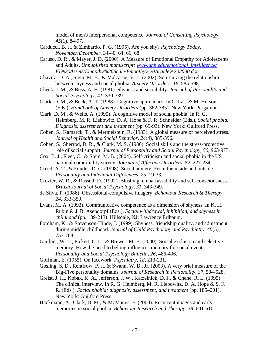model of men's interpersonal competence. *Journal of Consulting Psychology, 45*(1), 84-97.

- Carducci, B. J., & Zimbardo, P. G. (1995). Are you shy? *Psychology Today, November/December*, 34-40, 64, 66, 68.
- Caruso, D. R., & Mayer, J. D. (2000). A Measure of Emotional Empathy for Adolescents and Adults. *Unpublished manuscript: www.unh.edu/emotional\_intelligence/ EI%20Assets/Emapthy%20Scale/Empathy%20Article%202000.doc*
- Chavira, D. A., Stein, M. B., & Malcarne, V. L. (2002). Scrutinizing the relationship between shyness and social phobia. *Anxiety Disorders, 16*, 585-598.
- Cheek, J. M., & Buss, A. H. (1981). Shyness and sociability. *Journal of Personality and Social Psychology, 41*, 330-339.
- Clark, D. M., & Beck, A. T. (1988). Cognitive approaches. In C. Last & M. Herson (Eds.), *Handbook of Anxiety Disorders* (pp. 362-385). New York: Pergamon.
- Clark, D. M., & Wells, A. (1995). A cognitive model of social phobia. In R. G. Heimberg, M. R. Liebowitz, D. A. Hope & F. R. Schneider (Eds.), *Social phobia: Diagnosis, assessment and treatment* (pp. 69-93). New York: Guilford Press.
- Cohen, S., Kamarck, T., & Mermelstein, R. (1983). A global measure of perceived stress. *Journal of Health and Social Behavior, 24*(4), 385-396.
- Cohen, S., Sherrod, D. R., & Clark, M. S. (1986). Social skills and the stress-protective role of social support. *Journal of Personality and Social Psychology, 50*, 963-973.
- Cox, B. J., Fleet, C., & Stein, M. B. (2004). Self-criticism and social phobia in the US national comorbidity survey. *Journal of Affective Disorders, 82*, 227-234.
- Creed, A. T., & Funder, D. C. (1998). Social anxiety: From the inside and outside. *Personality and Individual Differences, 25*, 19-33.
- Crozier, W. R., & Russell, D. (1992). Blushing, embarrassability and self-consciousness. *British Journal of Social Psychology, 31*, 343-349.
- de Silva, P. (1986). Obsessional-compulsive imagery. *Behaviour Research & Therapy, 24*, 333-350.
- Evans, M. A. (1993). Communicative competence as a dimension of shyness. In K. H. Rubin & J. B. Asendorpf (Eds.), *Social withdrawal, inhibition, and shyness in childhood* (pp. 189-213). Hillsdale, NJ: Lawrence Erlbaum.
- Fordham, K., & Stevenson-Hinde, J. (1999). Shyness, friendship quality, and adjustment during middle childhood. *Journal of Child Psychology and Psychiatry, 40*(5), 757-768.
- Gardner, W. L., Pickett, C. L., & Brewer, M. B. (2000). Social exclusion and selective memory: How the need to belong influences memory for social events. *Personality and Social Psychology Bulletin, 26*, 486-496.
- Goffman, E. (1955). On facework. *Psychiatry, 18*, 213-231.
- Gosling, S. D., Rentfrow, P. J., & Swann, W. B., Jr. (2003). A very brief measure of the Big-Five personality domains. *Journal of Research in Personality, 37*, 504-528.
- Greist, J. H., Kobak, K. A., Jefferson, J. W., Katzelnick, D. J., & Chene, R. L. (1995). The clinical interview. In R. G. Heimberg, M. R. Liebowitz, D. A. Hope & S. F. R. (Eds.), *Social phobia: diagnosis, assessment, and treatment* (pp. 185–201). New York: Guilford Press.
- Hackmann, A., Clark, D. M., & McManus, F. (2000). Recurrent images and early memories in social phobia. *Behaviour Research and Therapy, 38*, 601-610.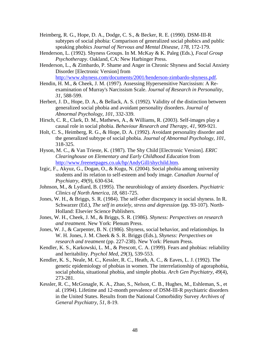- Heimberg, R. G., Hope, D. A., Dodge, C. S., & Becker, R. E. (1990). DSM-III-R subtypes of social phobia: Comparison of generalized social phobics and public speaking phobics *Journal of Nervous and Mental Disease, 178*, 172-179.
- Henderson, L. (1992). Shyness Groups. In M. McKay & K. Paleg (Eds.), *Focal Group Psychotherapy*. Oakland, CA: New Harbinger Press.
- Henderson, L., & Zimbardo, P. Shame and Anger in Chronic Shyness and Social Anxiety Disorder [Electronic Version] from http://www.shyness.com/documents/2001/henderson-zimbardo-shyness.pdf.
- Hendin, H. M., & Cheek, J. M. (1997). Assessing Hypersensitive Narcissism: A Reexamination of Murray's Narcissism Scale. *Journal of Research in Personality, 31*, 588-599.
- Herbert, J. D., Hope, D. A., & Bellack, A. S. (1992). Validity of the distinction between generalized social phobia and avoidant personality disorders. *Journal of Abnormal Psychology, 101*, 332-339.
- Hirsch, C. R., Clark, D. M., Mathews, A., & Williams, R. (2003). Self-images play a causal role in social phobia. *Behaviour Research and Therapy, 41*, 909-921.
- Holt, C. S., Heimberg, R. G., & Hope, D. A. (1992). Avoidant personality disorder and the generalized subtype of social phobia. *Journal of Abnormal Psychology, 101*, 318-325.
- Hyson, M. C., & Van Trieste, K. (1987). The Shy Child [Electronic Version]. *ERIC Clearinghouse on Elementary and Early Childhood Education* from http://www.freenetpages.co.uk/hp/AndyGill/shychild.htm.
- Izgic, F., Akyuz, G., Dogan, O., & Kugu, N. (2004). Social phobia among university students and its relation to self-esteem and body image. *Canadian Journal of Psychiatry, 49*(9), 630-634.
- Johnson, M., & Lydiard, B. (1995). The neurobiology of anxiety disorders. *Psychiatric Clinics of North America, 18*, 681-725.
- Jones, W. H., & Briggs, S. R. (1984). The self-other discrepancy in social shyness. In R. Schwarzer (Ed.), *The self in anxiely, stress and depression* (pp. 93-107). North-Holland: Elsevier Science Publishers.
- Jones, W. H., Cheek, J. M., & Briggs, S. R. (1986). *Shyness: Perspectives on research and treatment*. New York: Plenum Press.
- Jones, W. J., & Carpenter, B. N. (1986). Shyness, social behavior, and relationships. In W. H. Jones, J. M. Cheek & S. R. Briggs (Eds.), *Shyness: Perspectives on research and treatment* (pp. 227-238). New York: Plenum Press.
- Kendler, K. S., Karkowski, L. M., & Prescott, C. A. (1999). Fears and phobias: reliability and heritability. *Psychol Med, 29*(3), 539-553.
- Kendler, K. S., Neale, M. C., Kessler, R. C., Heath, A. C., & Eaves, L. J. (1992). The genetic epidemiology of phobias in women. The interrelationship of agoraphobia, social phobia, situational phobia, and simple phobia. *Arch Gen Psychiatry, 49*(4), 273-281.
- Kessler, R. C., McGonagle, K. A., Zhao, S., Nelson, C. B., Hughes, M., Eshleman, S., et al. (1994). Lifetime and 12-month prevalence of DSM-III-R psychiatric disorders in the United States. Results from the National Comorbidity Survey *Archives of General Psychiatry, 51*, 8-19.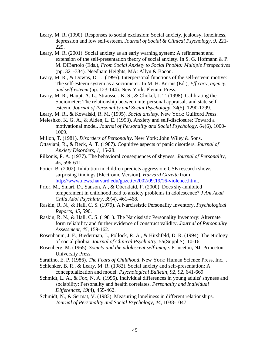- Leary, M. R. (1990). Responses to social exclusion: Social anxiety, jealousy, loneliness, depression and low self-esteem. *Journal of Social & Clinical Psychology, 9*, 221- 229.
- Leary, M. R. (2001). Social anxiety as an early warning system: A refinement and extension of the self-presentation theory of social anxiety. In S. G. Hofmann & P. M. DiBartolo (Eds.), *From Social Anxiety to Social Phobia: Multiple Perspectives* (pp. 321-334). Needham Heights, MA: Allyn & Bacon.
- Leary, M. R., & Downs, D. L. (1995). Interpersonal functions of the self-esteem motive: The self-esteem system as a sociometer. In M. H. Kernis (Ed.), *Efficacy, agency, and self-esteem* (pp. 123-144). New York: Plenum Press.
- Leary, M. R., Haupt, A. L., Strausser, K. S., & Chokel, J. T. (1998). Calibrating the Sociometer: The relationship between interpersonal appraisals and state selfesteem. *Journal of Personality and Social Psychology, 74*(5), 1290-1299.
- Leary, M. R., & Kowalski, R. M. (1995). *Social anxiety*. New York: Guilford Press.
- Meleshko, K. G. A., & Alden, L. E. (1993). Anxiety and self-disclosure: Toward a motivational model. *Journal of Personality and Social Psychology, 64*(6), 1000- 1009.
- Millon, T. (1981). *Disorders of Personality*. New York: John Wiley & Sons.
- Ottaviani, R., & Beck, A. T. (1987). Cognitive aspects of panic disorders. *Journal of Anxiety Disorders, 1*, 15-28.
- Pilkonis, P. A. (1977). The behavioral consequences of shyness. *Journal of Personality, 45*, 596-611.
- Potier, B. (2002). Inhibition in children predicts aggression: GSE research shows surprising findings [Electronic Version]. *Harvard Gazette* from http://www.news.harvard.edu/gazette/2002/09.19/16-violence.html.
- Prior, M., Smart, D., Sanson, A., & Oberklaid, F. (2000). Does shy-inhibited temperament in childhood lead to anxiety problems in adolescence? *J Am Acad Child Adol Psychiatry, 39*(4), 461-468.
- Raskin, R. N., & Hall, C. S. (1979). A Narcissistic Personality Inventory. *Psychological Reports, 45*, 590.
- Raskin, R. N., & Hall, C. S. (1981). The Narcissistic Personality Inventory: Alternate form reliability and further evidence of construct validity. *Journal of Personality Assessment, 45*, 159-162.
- Rosenbaum, J. F., Biederman, J., Pollock, R. A., & Hirshfeld, D. R. (1994). The etiology of social phobia. *Journal of Clinical Psychiatry, 55*(Suppl S), 10-16.
- Rosenberg, M. (1965). *Society and the adolescent self-image*. Princeton, NJ: Princeton University Press.
- Sarafino, E. P. (1986). *The Fears of Childhood*. New York: Human Science Press, Inc., .
- Schlenker, B. R., & Leary, M. R. (1982). Social anxiety and self-presentation: A conceptualization and model. *Psychological Bulletin, 92, 92*, 641-669.
- Schmidt, L. A., & Fox, N. A. (1995). Individual differences in young adults' shyness and sociability: Personality and health correlates. *Personality and Individual Differences, 19*(4), 455-462.
- Schmidt, N., & Sermat, V. (1983). Measuring loneliness in different relationships. *Journal of Personality and Social Psychology, 44*, 1038-1047.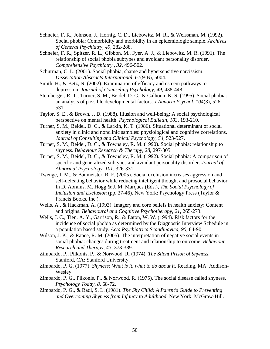- Schneier, F. R., Johnson, J., Hornig, C. D., Liebowitz, M. R., & Weissman, M. (1992). Social phobia: Comorbidity and morbidity in an epidemiologic sample. *Archives of General Psychiatry, 49*, 282-288.
- Schneier, F. R., Spitzer, R. L., Gibbon, M., Fyer, A. J., & Liebowitz, M. R. (1991). The relationship of social phobia subtypes and avoidant personality disorder. *Comprehensive Psychiatry., 32*, 496-502.
- Schurman, C. L. (2001). Social phobia, shame and hypersensitive narcissism. *Dissertation Abstracts International, 61*(9-B), 5004.
- Smith, H., & Betz, N. (2002). Examination of efficacy and esteem pathways to depression. *Journal of Counseling Psychology, 49*, 438-448.
- Stemberger, R. T., Turner, S. M., Beidel, D. C., & Calhoun, K. S. (1995). Social phobia: an analysis of possible developmental factors. *J Abnorm Psychol, 104*(3), 526- 531.
- Taylor, S. E., & Brown, J. D. (1988). Illusion and well-being: A social psychological perspective on mental health. *Psychological Bulletin, 103*, 193-210.
- Turner, S. M., Beidel, D. C., & Larkin, K. T. (1986). Situational determinant of social anxiety in clinic and nonclinic samples: physiological and cognitive correlations. *Journal of Consulting and Clinical Psychology, 54*, 523-527.
- Turner, S. M., Beidel, D. C., & Townsley, R. M. (1990). Social phobia: relationship to shyness. *Behaviour Research & Therapy, 28*, 297-305.
- Turner, S. M., Beidel, D. C., & Townsley, R. M. (1992). Social phobia: A comparison of specific and generalized subtypes and avoidant personality disorder. *Journal of Abnormal Psychology, 101*, 326-331.
- Twenge, J. M., & Baumeister, R. F. (2005). Social exclusion increases aggression and self-defeating behavior while reducing intelligent thought and prosocial behavior. In D. Abrams, M. Hogg & J. M. Marques (Eds.), *The Social Psychology of Inclusion and Exclusion* (pp. 27-46). New York: Psychology Press (Taylor & Francis Books, Inc.).
- Wells, A., & Hackman, A. (1993). Imagery and core beliefs in health anxiety: Content and origins. *Behavioural and Cognitive Psychotherapy, 21*, 265-273.
- Wells, J. C., Tien, A. Y., Garrison, R., & Eaton, W. W. (1994). Risk factors for the incidence of social phobia as determined by the Diagnostic Interview Schedule in a population based study. *Acta Psychiatrica Scandinavica, 90*, 84-90.
- Wilson, J. K., & Rapee, R. M. (2005). The interpretation of negative social events in social phobia: changes during treatment and relationship to outcome. *Behaviour Research and Therapy, 43*, 373-389.
- Zimbardo, P., Pilkonis, P., & Norwood, R. (1974). *The Silent Prison of Shyness*. Stanford, CA: Stanford University.
- Zimbardo, P. G. (1977). *Shyness: What is it, what to do about it*. Reading, MA: Addison-Wesley.
- Zimbardo, P. G., Pilkonis, P., & Norwood, R. (1975). The social disease called shyness. *Psychology Today, 8*, 68-72.
- Zimbardo, P. G., & Radl, S. L. (1981). *The Shy Child: A Parent's Guide to Preventing and Overcoming Shyness from Infancy to Adulthood*. New York: McGraw-Hill.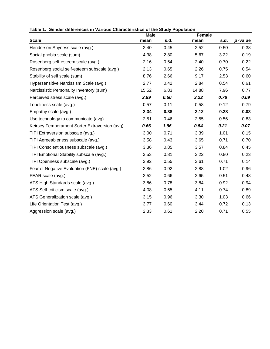|                                                | <b>Male</b> |      | Female |      |            |
|------------------------------------------------|-------------|------|--------|------|------------|
| <b>Scale</b>                                   | mean        | s.d. | mean   | s.d. | $p$ -value |
| Henderson Shyness scale (avg.)                 | 2.40        | 0.45 | 2.52   | 0.50 | 0.38       |
| Social phobia scale (sum)                      | 4.38        | 2.80 | 5.67   | 3.22 | 0.19       |
| Rosenberg self-esteem scale (avg.)             | 2.16        | 0.54 | 2.40   | 0.70 | 0.22       |
| Rosenberg social self-esteem subscale (avg.)   | 2.13        | 0.65 | 2.26   | 0.75 | 0.54       |
| Stability of self scale (sum)                  | 8.76        | 2.66 | 9.17   | 2.53 | 0.60       |
| Hypersensitive Narcissism Scale (avg.)         | 2.77        | 0.42 | 2.84   | 0.54 | 0.61       |
| Narcissistic Personality Inventory (sum)       | 15.52       | 6.83 | 14.88  | 7.96 | 0.77       |
| Perceived stress scale (avg.)                  | 2.89        | 0.50 | 3.22   | 0.76 | 0.09       |
| Loneliness scale (avg.)                        | 0.57        | 0.11 | 0.58   | 0.12 | 0.79       |
| Empathy scale (avg.)                           | 2.34        | 0.38 | 2.12   | 0.28 | 0.03       |
| Use technology to communicate (avg)            | 2.51        | 0.46 | 2.55   | 0.56 | 0.83       |
| Keirsey Temperament Sorter Extraversion (avg)  | 0.66        | 1.96 | 0.54   | 0.21 | 0.07       |
| TIPI Extraversion subscale (avg.)              | 3.00        | 0.71 | 3.39   | 1.01 | 0.15       |
| TIPI Agreeableness subscale (avg.)             | 3.58        | 0.43 | 3.65   | 0.71 | 0.70       |
| TIPI Conscientiousness subscale (avg.)         | 3.36        | 0.85 | 3.57   | 0.84 | 0.45       |
| TIPI Emotional Stability subscale (avg.)       | 3.53        | 0.81 | 3.22   | 0.80 | 0.23       |
| TIPI Openness subscale (avg.)                  | 3.92        | 0.55 | 3.61   | 0.71 | 0.14       |
| Fear of Negative Evaluation (FNE) scale (avg.) | 2.86        | 0.92 | 2.88   | 1.02 | 0.96       |
| FEAR scale (avg.)                              | 2.52        | 0.66 | 2.65   | 0.51 | 0.48       |
| ATS High Standards scale (avg.)                | 3.86        | 0.78 | 3.84   | 0.92 | 0.94       |
| ATS Self-criticism scale (avg.)                | 4.08        | 0.65 | 4.11   | 0.74 | 0.89       |
| ATS Generalization scale (avg.)                | 3.15        | 0.96 | 3.30   | 1.03 | 0.66       |
| Life Orientation Test (avg.)                   | 3.77        | 0.60 | 3.44   | 0.72 | 0.13       |
| Aggression scale (avg.)                        | 2.33        | 0.61 | 2.20   | 0.71 | 0.55       |

**Table 1. Gender differences in Various Characteristics of the Study Population**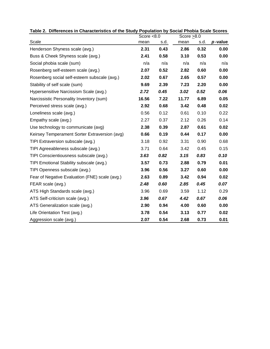|                                                | Score $< 8.0$ |      | Score $>8.0$ |      |         |
|------------------------------------------------|---------------|------|--------------|------|---------|
| Scale                                          | mean          | s.d. | mean         | s.d. | p-value |
| Henderson Shyness scale (avg.)                 | 2.31          | 0.43 | 2.86         | 0.32 | 0.00    |
| Buss & Cheek Shyness scale (avg.)              | 2.41          | 0.58 | 3.10         | 0.53 | 0.00    |
| Social phobia scale (sum)                      | n/a           | n/a  | n/a          | n/a  | n/a     |
| Rosenberg self-esteem scale (avg.)             | 2.07          | 0.52 | 2.82         | 0.60 | 0.00    |
| Rosenberg social self-esteem subscale (avg.)   | 2.02          | 0.67 | 2.65         | 0.57 | 0.00    |
| Stability of self scale (sum)                  | 9.69          | 2.39 | 7.23         | 2.20 | 0.00    |
| Hypersensitive Narcissism Scale (avg.)         | 2.72          | 0.45 | 3.02         | 0.52 | 0.06    |
| Narcissistic Personality Inventory (sum)       | 16.56         | 7.22 | 11.77        | 6.89 | 0.05    |
| Perceived stress scale (avg.)                  | 2.92          | 0.68 | 3.42         | 0.48 | 0.02    |
| Loneliness scale (avg.)                        | 0.56          | 0.12 | 0.61         | 0.10 | 0.22    |
| Empathy scale (avg.)                           | 2.27          | 0.37 | 2.12         | 0.26 | 0.14    |
| Use technology to communicate (avg)            | 2.38          | 0.39 | 2.87         | 0.61 | 0.02    |
| Keirsey Temperament Sorter Extraversion (avg)  | 0.66          | 0.19 | 0.44         | 0.17 | 0.00    |
| TIPI Extraversion subscale (avg.)              | 3.18          | 0.92 | 3.31         | 0.90 | 0.68    |
| TIPI Agreeableness subscale (avg.)             | 3.71          | 0.64 | 3.42         | 0.45 | 0.15    |
| TIPI Conscientiousness subscale (avg.)         | 3.63          | 0.82 | 3.15         | 0.83 | 0.10    |
| TIPI Emotional Stability subscale (avg.)       | 3.57          | 0.73 | 2.88         | 0.79 | 0.01    |
| TIPI Openness subscale (avg.)                  | 3.96          | 0.56 | 3.27         | 0.60 | 0.00    |
| Fear of Negative Evaluation (FNE) scale (avg.) | 2.63          | 0.89 | 3.42         | 0.94 | 0.02    |
| FEAR scale (avg.)                              | 2.48          | 0.60 | 2.85         | 0.45 | 0.07    |
| ATS High Standards scale (avg.)                | 3.96          | 0.69 | 3.59         | 1.12 | 0.29    |
| ATS Self-criticism scale (avg.)                | 3.96          | 0.67 | 4.42         | 0.67 | 0.06    |
| ATS Generalization scale (avg.)                | 2.90          | 0.94 | 4.00         | 0.60 | 0.00    |
| Life Orientation Test (avg.)                   | 3.78          | 0.54 | 3.13         | 0.77 | 0.02    |
| Aggression scale (avg.)                        | 2.07          | 0.54 | 2.68         | 0.73 | 0.01    |

**Table 2. Differences in Characteristics of the Study Population by Social Phobia Scale Scores**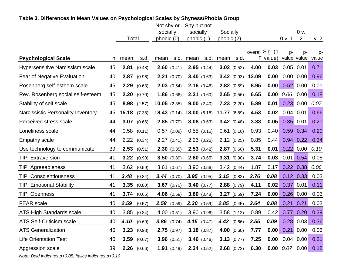|                                        |    |       |               | Not shy or     |               | Shy but not |               |              |                 |       |                 |                      |               |        |
|----------------------------------------|----|-------|---------------|----------------|---------------|-------------|---------------|--------------|-----------------|-------|-----------------|----------------------|---------------|--------|
|                                        |    |       |               | socially       |               | socially    |               | Socially     |                 |       |                 |                      | 0 v.          |        |
|                                        |    | Total |               | phobic (0)     |               | phobic (1)  |               | phobic (2)   |                 |       |                 | 0 v. 1               | 2             | 1 v. 2 |
|                                        |    |       |               |                |               |             |               |              |                 |       | overall Sig. (p | $p-$                 | p-            | p-     |
| <b>Psychological Scale</b>             | n  | mean  | s.d.          | mean           | s.d.          | mean        | s.d.          | mean         | s.d.            |       | F value)        | value value          |               | value  |
| <b>Hypersensitive Narcissism scale</b> | 45 | 2.81  | (0.48)        |                | 2.60(0.41)    |             | 2.95(0.44)    |              | $3.02$ (0.52)   | 4.00  | 0.03            | $0.05$ 0.01          |               | 0.71   |
| Fear of Negative Evaluation            | 40 | 2.87  | (0.96)        |                | 2.21(0.70)    |             | 3.40(0.63)    |              | 3.42(0.93)      | 12.09 | 0.00            | 0.00                 | 0.00          | 0.96   |
| Rosenberg self-esteem scale            | 45 | 2.29  | (0.63)        |                | 2.03(0.54)    |             | 2.16(0.46)    |              | 2.82(0.59)      | 8.95  | 0.00            |                      | $0.52$ 0.00   | 0.01   |
| Rev. Rosenberg social self-esteem      | 45 | 2.20  | (0.70)        |                | 1.86(0.66)    |             | 2.31(0.60)    |              | $2.65$ (0.56)   | 6.65  | 0.00            | 0.06                 | 0.00          | 0.18   |
| Stability of self scale                | 45 | 8.98  | (2.57)        | $10.05$ (2.35) |               |             | 9.00(2.40)    |              | 7.23(2.20)      | 5.89  | 0.01            |                      | $0.23$ 0.00   | 0.07   |
| Narcissistic Personality Inventory     | 45 | 15.18 | (7.38)        | 18.43(7.14)    |               | 13.00(6.18) |               | 11.77 (6.89) |                 | 4.53  | 0.02            | 0.04                 | 0.01          | 0.66   |
| Perceived stress scale                 | 44 | 3.07  | (0.66)        |                | 2.85(0.70)    |             | 3.08(0.63)    |              | 3.42(0.48)      | 3.33  | 0.05            |                      | $0.35$ 0.01   | 0.20   |
| Loneliness scale                       | 44 | 0.58  | (0.11)        |                | 0.57(0.09)    |             | 0.55(0.15)    |              | $0.61$ $(0.10)$ | 0.93  | 0.40            | 0.59                 | 0.34          | 0.20   |
| Empathy scale                          | 44 | 2.22  | (0.34)        |                | 2.27(0.41)    |             | 2.26(0.26)    |              | 2.12(0.25)      | 0.85  | 0.44            | 0.94                 | 0.22          | 0.34   |
| Use technology to communicate          | 39 | 2.53  | (0.51)        |                | 2.30(0.35)    |             | 2.53(0.42)    |              | 2.87(0.60)      | 5.31  | 0.01            |                      | 0.22 0.00     | 0.10   |
| <b>TIPI Extraversion</b>               | 41 | 3.22  | (0.90)        |                | 3.50(0.89)    |             | 2.60(0.65)    |              | 3.31(0.90)      | 3.74  | 0.03            | 0.01                 | 0.54          | 0.05   |
| <b>TIPI Agreeableness</b>              | 41 | 3.62  | (0.59)        |                | 3.61(0.67)    |             | 3.90(0.56)    |              | 3.42(0.44)      | 1.87  | 0.17            | 0.22                 | 0.38          | 0.06   |
| <b>TIPI Conscientiousness</b>          | 41 | 3.48  | (0.84)        |                | 3.44(0.70)    |             | 3.95(0.95)    |              | $3.15$ (0.82)   | 2.76  | 0.08            |                      | $0.12$ $0.33$ | 0.03   |
| <b>TIPI Emotional Stability</b>        | 41 | 3.35  | (0.80)        |                | $3.67$ (0.70) |             | 3.40(0.77)    |              | $2.88$ (0.79)   | 4.11  | 0.02            | 0.37                 | 0.01          | 0.11   |
| <b>TIPI Openness</b>                   | 41 | 3.74  | (0.65)        |                | 4.06 (0.59)   |             | 3.80(0.48)    |              | 3.27(0.59)      | 7.24  | 0.00            |                      | $0.26$ 0.00   | 0.03   |
| <b>FEAR</b> scale                      | 40 | 2.59  | (0.57)        | 2.58           | (0.59)        |             | 2.30(0.59)    | 2.85         | (0.45)          | 2.64  | 0.08            | 0.21                 | 0.21          | 0.03   |
| <b>ATS High Standards scale</b>        | 40 | 3.85  | (0.84)        |                | 4.00(0.51)    |             | 3.90(0.96)    |              | 3.58(1.12)      | 0.89  | 0.42            | 0.77                 | 0.20          | 0.39   |
| <b>ATS Self-Criticism scale</b>        | 40 | 4.10  | (0.69)        |                | $3.86$ (0.74) |             | 4.15 $(0.47)$ |              | 4.42(0.66)      | 2.55  | 0.09            |                      | $0.28$ 0.03   | 0.36   |
| <b>ATS Generalization</b>              | 40 | 3.23  | (0.98)        |                | 2.75(0.97)    |             | 3.18(0.87)    |              | 4.00 $(0.60)$   | 7.77  | 0.00            |                      | $0.21$ 0.00   | 0.03   |
| <b>Life Orientation Test</b>           | 40 | 3.59  | (0.67)        |                | 3.96(0.51)    |             | 3.46(0.46)    |              | 3.13(0.77)      | 7.25  | 0.00            |                      | $0.04$ 0.00   | 0.21   |
| Aggression scale                       | 39 |       | $2.26$ (0.66) |                | 1.91(0.49)    |             | 2.34(0.52)    |              | $2.68$ (0.72)   | 6.30  |                 | $0.00$ $0.07$ $0.00$ |               | 0.18   |

### **Table 3. Differences in Mean Values on Psychological Scales by Shyness/Phobia Group**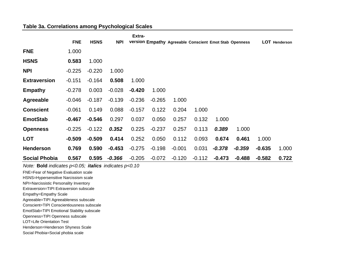#### **Table 3a. Correlations among Psychological Scales**

|                      |            |             |            | Extra-   |          |          |          |          |                                                        |          |                      |
|----------------------|------------|-------------|------------|----------|----------|----------|----------|----------|--------------------------------------------------------|----------|----------------------|
|                      | <b>FNE</b> | <b>HSNS</b> | <b>NPI</b> |          |          |          |          |          | version Empathy Agreeable Conscient Emot Stab Openness |          | <b>LOT</b> Henderson |
| <b>FNE</b>           | 1.000      |             |            |          |          |          |          |          |                                                        |          |                      |
| <b>HSNS</b>          | 0.583      | 1.000       |            |          |          |          |          |          |                                                        |          |                      |
| <b>NPI</b>           | $-0.225$   | $-0.220$    | 1.000      |          |          |          |          |          |                                                        |          |                      |
| <b>Extraversion</b>  | $-0.151$   | $-0.164$    | 0.508      | 1.000    |          |          |          |          |                                                        |          |                      |
| <b>Empathy</b>       | $-0.278$   | 0.003       | $-0.028$   | $-0.420$ | 1.000    |          |          |          |                                                        |          |                      |
| Agreeable            | $-0.046$   | $-0.187$    | $-0.139$   | $-0.236$ | $-0.265$ | 1.000    |          |          |                                                        |          |                      |
| <b>Conscient</b>     | $-0.061$   | 0.149       | 0.088      | $-0.157$ | 0.122    | 0.204    | 1.000    |          |                                                        |          |                      |
| <b>EmotStab</b>      | $-0.467$   | $-0.546$    | 0.297      | 0.037    | 0.050    | 0.257    | 0.132    | 1.000    |                                                        |          |                      |
| <b>Openness</b>      | $-0.225$   | $-0.122$    | 0.352      | 0.225    | $-0.237$ | 0.257    | 0.113    | 0.389    | 1.000                                                  |          |                      |
| <b>LOT</b>           | $-0.509$   | $-0.509$    | 0.414      | 0.252    | 0.050    | 0.112    | 0.093    | 0.674    | 0.461                                                  | 1.000    |                      |
| <b>Henderson</b>     | 0.769      | 0.590       | $-0.453$   | $-0.275$ | $-0.198$ | $-0.001$ | 0.031    | $-0.378$ | $-0.359$                                               | $-0.635$ | 1.000                |
| <b>Social Phobia</b> | 0.567      | 0.595       | $-0.366$   | $-0.205$ | $-0.072$ | $-0.120$ | $-0.112$ | $-0.473$ | $-0.488$                                               | $-0.582$ | 0.722                |

*Note:* **Bold** *indicates p<0.05; italics indicates p<0.10*

FNE <sup>=</sup>Fear of Negative Evaluation scale

HSNS <sup>=</sup>Hypersensitive Narcissism scale

NPI <sup>=</sup>Narcissistic Personality Inventory

Extraversion=TIPI Extraversion subscale

Empathy <sup>=</sup>Empathy Scale

Agreeable <sup>=</sup>TIPI Agreeableness subscale

Conscient =TIPI Conscientiousness subscale

EmotStab <sup>=</sup>TIPI Emotional Stability subscale

Openness <sup>=</sup>TIPI Openness subscale LOT=Life Orientation Test

Henderson <sup>=</sup>Henderson Shyness Scale

Social Phobia =Social phobia scale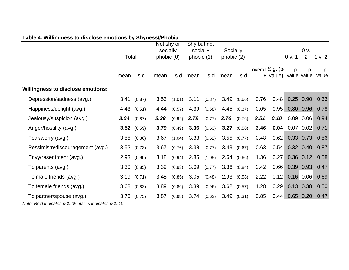|                                          |       |                      | Not shy or |        | Shy but not |        |            |        |      |                             |                     |                |             |
|------------------------------------------|-------|----------------------|------------|--------|-------------|--------|------------|--------|------|-----------------------------|---------------------|----------------|-------------|
|                                          |       |                      | socially   |        | socially    |        | Socially   |        |      |                             |                     | 0 <sub>v</sub> |             |
|                                          | Total |                      | phobic (0) |        | phobic (1)  |        | phobic (2) |        |      |                             | 0 v. 1              | $\overline{2}$ | 1 v. 2      |
|                                          | mean  | s.d.                 | mean       |        | s.d. mean   |        | s.d. mean  | s.d.   |      | overall Sig. (p<br>F value) | $p-$<br>value value | p-             | p-<br>value |
| <b>Willingness to disclose emotions:</b> |       |                      |            |        |             |        |            |        |      |                             |                     |                |             |
| Depression/sadness (avg.)                |       | 3.41(0.87)           | 3.53       | (1.01) | 3.11        | (0.87) | 3.49       | (0.66) | 0.76 | 0.48                        |                     | $0.25$ 0.90    | 0.33        |
| Happiness/delight (avg.)                 |       | 4.43(0.51)           | 4.44       | (0.57) | 4.39        | (0.58) | 4.45       | (0.37) | 0.05 | 0.95                        |                     | 0.80 0.96      | 0.78        |
| Jealousy/suspicion (avg.)                |       | $3.04$ (0.87)        | 3.38       | (0.92) | 2.79        | (0.77) | 2.76       | (0.76) | 2.51 | 0.10                        | 0.09                | 0.06           | 0.94        |
| Anger/hostility (avg.)                   |       | <b>3.52</b> $(0.59)$ | 3.79       | (0.49) | 3.36        | (0.63) | 3.27       | (0.58) | 3.46 | 0.04                        |                     | $0.07$ 0.02    | 0.71        |
| Fear/worry (avg.)                        |       | $3.55$ $(0.86)$      | 3.67       | (1.04) | 3.33        | (0.62) | 3.55       | (0.77) | 0.48 | 0.62                        |                     | $0.33 \ 0.73$  | 0.56        |
| Pessimism/discouragement (avg.)          |       | $3.52$ $(0.73)$      | 3.67       | (0.76) | 3.38        | (0.77) | 3.43       | (0.67) | 0.63 | 0.54                        |                     | $0.32$ 0.40    | 0.87        |
| Envy/resentment (avg.)                   |       | 2.93(0.90)           | 3.18       | (0.94) | 2.85        | (1.05) | 2.64       | (0.66) | 1.36 | 0.27                        |                     | $0.36$ 0.12    | 0.58        |
| To parents (avg.)                        |       | 3.30(0.85)           | 3.39       | (0.93) | 3.09        | (0.77) | 3.36       | (0.84) | 0.42 | 0.66                        |                     | 0.39 0.93      | 0.47        |
| To male friends (avg.)                   |       | 3.19(0.71)           | 3.45       | (0.85) | 3.05        | (0.48) | 2.93       | (0.58) | 2.22 | 0.12                        |                     | $0.16$ 0.06    | 0.69        |
| To female friends (avg.)                 |       | $3.68$ $(0.82)$      | 3.89       | (0.86) | 3.39        | (0.96) | 3.62       | (0.57) | 1.28 | 0.29                        |                     | $0.13$ 0.38    | 0.50        |
| To partner/spouse (avg.)                 | 3.73  | (0.75)               | 3.87       | (0.98) | 3.74        | (0.62) | 3.49       | (0.31) | 0.85 | 0.44                        |                     | $0.65$ 0.20    | 0.47        |

## **Table 4. Willingness to disclose emotions by Shyness//Phobia**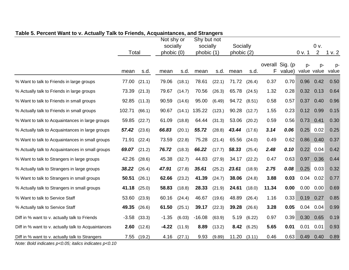|                                                     | Total   |        | Not shy or<br>socially<br>phobic (0) |        | Shy but not<br>socially<br>phobic (1) |        | Socially<br>phobic (2) |        |       |                           | 0 v. 1               | 0 v.<br>$\overline{2}$ | 1 v.2       |
|-----------------------------------------------------|---------|--------|--------------------------------------|--------|---------------------------------------|--------|------------------------|--------|-------|---------------------------|----------------------|------------------------|-------------|
|                                                     | mean    | s.d.   | mean                                 | s.d.   | mean                                  | s.d.   | mean                   | s.d.   | F     | overall Sig. (p<br>value) | $D -$<br>value value | D-                     | p-<br>value |
| % Want to talk to Friends in large groups           | 77.00   | (21.1) | 79.06                                | (18.1) | 78.61                                 | (22.1) | 71.72                  | (26.4) | 0.37  | 0.70                      | 0.96                 | 0.42                   | 0.50        |
| % Actually talk to Friends in large groups          | 73.39   | (21.3) | 79.67                                | (14.7) | 70.56                                 | (26.3) | 65.78                  | (24.5) | 1.32  | 0.28                      | $0.32 -$             | 0.13                   | 0.64        |
| % Want to talk to Friends in small groups           | 92.85   | (11.3) | 90.59                                | (14.6) | 95.00                                 | (6.49) | 94.72                  | (8.51) | 0.58  | 0.57                      | 0.37                 | 0.40                   | 0.96        |
| % Actually talk to Friends in small groups          | 102.71  | (66.1) | 90.67                                | (14.1) | 135.22                                | (123.) | 90.28                  | (12.7) | 1.55  | 0.23                      |                      | $0.12$ 0.99            | 0.15        |
| % Want to talk to Acquaintances in large groups     | 59.85   | (22.7) | 61.09                                | (18.8) | 64.44                                 | (31.3) | 53.06                  | (20.2) | 0.59  | 0.56                      | 0.73                 | 0.41                   | 0.30        |
| % Actually talk to Acquaintances in large groups    | 57.42   | (23.6) | 66.83                                | (20.1) | 55.72                                 | (28.8) | 43.44                  | (17.6) | 3.14  | 0.06                      |                      | $0.25$ 0.02            | 0.25        |
| % Want to talk to Acquaintances in small groups     | 71.91   | (22.4) | 73.59                                | (22.8) | 75.28                                 | (21.4) | 65.56                  | (24.0) | 0.49  | 0.62                      | 0.86                 | 0.40                   | 0.37        |
| % Actually talk to Acquaintances in small groups    | 69.07   | (21.2) | 76.72                                | (18.3) | 66.22                                 | (17.7) | 58.33                  | (25.4) | 2.48  | 0.10                      |                      | $0.22 \ 0.04$          | 0.42        |
| % Want to talk to Strangers in large groups         | 42.26   | (28.6) | 45.38                                | (32.7) | 44.83                                 | (27.9) | 34.17                  | (22.2) | 0.47  | 0.63                      | 0.97                 | 0.36                   | 0.44        |
| % Actually talk to Strangers in large groups        | 38.22   | (26.4) | 47.91                                | (27.8) | 35.61                                 | (25.2) | 23.61                  | (18.9) | 2.75  | 0.08                      | 0.25                 | 0.03                   | 0.32        |
| % Want to talk to Strangers in small groups         | 50.51   | (26.1) | 62.66                                | (23.2) | 41.39                                 | (24.7) | 38.06                  | (24.8) | 3.88  | 0.03                      | 0.04                 | 0.02                   | 0.77        |
| % Actually talk to Strangers in small groups        | 41.18   | (25.0) | 58.83                                | (18.8) | 28.33                                 | (21.9) | 24.61                  | (18.0) | 11.34 | 0.00                      | 0.00                 | 0.00                   | 0.69        |
| % Want to talk to Service Staff                     | 53.60   | (23.9) | 60.16                                | (24.4) | 46.67                                 | (19.6) | 48.89                  | (26.4) | 1.16  | 0.33                      | 0.19                 | 0.27                   | 0.85        |
| % Actually talk to Service Staff                    | 49.35   | (26.6) | 61.50                                | (25.1) | 39.17                                 | (22.3) | 39.28                  | (26.6) | 3.28  | 0.05                      | 0.04                 | 0.04                   | 0.99        |
| Diff in % want to v. actually talk to Friends       | $-3.58$ | (33.3) | $-1.35$                              | (6.03) | $-16.08$                              | (63.9) | 5.19                   | (6.22) | 0.97  | 0.39                      | 0.30                 | 0.65                   | 0.19        |
| Diff in % want to v. actually talk to Acquaintances | 2.60    | (12.6) | $-4.22$                              | (11.9) | 8.89                                  | (13.2) | 8.42                   | (6.25) | 5.65  | 0.01                      | 0.01                 | 0.01                   | 0.93        |
| Diff in % want to v. actually talk to Strangers     | 7.55    | (19.2) | 4.16                                 | (27.1) | 9.93                                  | (9.89) | 11.20                  | (3.11) | 0.46  | 0.63                      | 0.49                 | 0.40                   | 0.89        |

## **Table 5. Percent Want to v. Actually Talk to Friends, Acquaintances, and Strangers**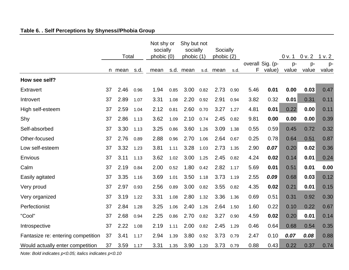# **Table 6. . Self Perceptions by Shyness//Phobia Group**

|                                    | Total |        |      | Not shy or<br>socially<br>phobic (0) |      | Shy but not<br>socially<br>phobic (1) |      | Socially<br>phobic (2) |      |      |                            | 0 v. 1        | 0 v. 2      | 1 v. 2      |
|------------------------------------|-------|--------|------|--------------------------------------|------|---------------------------------------|------|------------------------|------|------|----------------------------|---------------|-------------|-------------|
|                                    |       | n mean | s.d. | mean                                 |      | s.d. mean                             |      | s.d. mean              | s.d. | F.   | overall Sig. (p-<br>value) | $p-$<br>value | p-<br>value | p-<br>value |
| How see self?                      |       |        |      |                                      |      |                                       |      |                        |      |      |                            |               |             |             |
| <b>Extravert</b>                   | 37    | 2.46   | 0.96 | 1.94                                 | 0.85 | 3.00                                  | 0.82 | 2.73                   | 0.90 | 5.46 | 0.01                       | 0.00          | 0.03        | 0.47        |
| Introvert                          | 37    | 2.89   | 1.07 | 3.31                                 | 1.08 | 2.20                                  | 0.92 | 2.91                   | 0.94 | 3.82 | 0.32                       | 0.01          | 0.31        | 0.11        |
| High self-esteem                   | 37    | 2.59   | 1.04 | 2.12                                 | 0.81 | 2.60                                  | 0.70 | 3.27                   | 1.27 | 4.81 | 0.01                       | 0.22          | 0.00        | 0.11        |
| Shy                                | 37    | 2.86   | 1.13 | 3.62                                 | 1.09 | 2.10                                  | 0.74 | 2.45                   | 0.82 | 9.81 | 0.00                       | 0.00          | 0.00        | 0.39        |
| Self-absorbed                      | 37    | 3.30   | 1.13 | 3.25                                 | 0.86 | 3.60                                  | 1.26 | 3.09                   | 1.38 | 0.55 | 0.59                       | 0.45          | 0.72        | 0.32        |
| Other-focused                      | 37    | 2.76   | 0.89 | 2.88                                 | 0.96 | 2.70                                  | 1.06 | 2.64                   | 0.67 | 0.25 | 0.78                       | 0.64          | 0.51        | 0.87        |
| Low self-esteem                    | 37    | 3.32   | 1.23 | 3.81                                 | 1.11 | 3.28                                  | 1.03 | 2.73                   | 1.35 | 2.90 | 0.07                       | 0.20          | 0.02        | 0.36        |
| Envious                            | 37    | 3.11   | 1.13 | 3.62                                 | 1.02 | 3.00                                  | 1.25 | 2.45                   | 0.82 | 4.24 | 0.02                       | 0.14          | 0.01        | 0.24        |
| Calm                               | 37    | 2.19   | 0.84 | 2.00                                 | 0.52 | 1.80                                  | 0.42 | 2.82                   | 1.17 | 5.69 | 0.01                       | 0.51          | 0.01        | 0.00        |
| Easily agitated                    | 37    | 3.35   | 1.16 | 3.69                                 | 1.01 | 3.50                                  | 1.18 | 3.73                   | 1.19 | 2.55 | 0.09                       | 0.68          | 0.03        | 0.12        |
| Very proud                         | 37    | 2.97   | 0.93 | 2.56                                 | 0.89 | 3.00                                  | 0.82 | 3.55                   | 0.82 | 4.35 | 0.02                       | 0.21          | 0.01        | 0.15        |
| Very organized                     | 37    | 3.19   | 1.22 | 3.31                                 | 1.08 | 2.80                                  | 1.32 | 3.36                   | 1.36 | 0.69 | 0.51                       | 0.31          | 0.92        | 0.30        |
| Perfectionist                      | 37    | 2.84   | 1.28 | 3.25                                 | 1.06 | 2.40                                  | 1.26 | 2.64                   | 1.50 | 1.60 | 0.22                       | 0.10          | 0.22        | 0.67        |
| "Cool"                             | 37    | 2.68   | 0.94 | 2.25                                 | 0.86 | 2.70                                  | 0.82 | 3.27                   | 0.90 | 4.59 | 0.02                       | 0.20          | 0.01        | 0.14        |
| Introspective                      | 37    | 2.22   | 1.08 | 2.19                                 | 1.11 | 2.00                                  | 0.82 | 2.45                   | 1.29 | 0.46 | 0.64                       | 0.68          | 0.54        | 0.35        |
| Fantasize re: entering competition | 37    | 3.41   | 1.17 | 2.94                                 | 1.39 | 3.80                                  | 0.92 | 3.73                   | 0.79 | 2.47 | 0.10                       | 0.07          | 0.08        | 0.88        |
| Would actually enter competition   | 37    | 3.59   | 1.17 | 3.31                                 | 1.35 | 3.90                                  | 1.20 | 3.73                   | 0.79 | 0.88 | 0.43                       | 0.22          | 0.37        | 0.74        |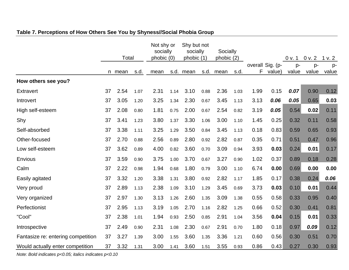|                                    | Total |        |      | Not shy or<br>socially<br>phobic (0) |      | Shy but not<br>socially<br>phobic (1) |      | Socially<br>phobic $(2)$ |      |      |                            | 0 v. 1      | 0 v. 2      | 1 v. 2      |
|------------------------------------|-------|--------|------|--------------------------------------|------|---------------------------------------|------|--------------------------|------|------|----------------------------|-------------|-------------|-------------|
|                                    |       | n mean | s.d. | mean                                 |      | s.d. mean                             | s.d. | mean                     | s.d. | F    | overall Sig. (p-<br>value) | p-<br>value | p-<br>value | p-<br>value |
| How others see you?                |       |        |      |                                      |      |                                       |      |                          |      |      |                            |             |             |             |
| <b>Extravert</b>                   | 37    | 2.54   | 1.07 | 2.31                                 | 1.14 | 3.10                                  | 0.88 | 2.36                     | 1.03 | 1.99 | 0.15                       | 0.07        | 0.90        | 0.12        |
| Introvert                          | 37    | 3.05   | 1.20 | 3.25                                 | 1.34 | 2.30                                  | 0.67 | 3.45                     | 1.13 | 3.13 | 0.06                       | 0.05        | 0.65        | 0.03        |
| High self-esteem                   | 37    | 2.08   | 0.80 | 1.81                                 | 0.75 | 2.00                                  | 0.67 | 2.54                     | 0.82 | 3.19 | 0.05                       | 0.54        | 0.02        | 0.11        |
| Shy                                | 37    | 3.41   | 1.23 | 3.80                                 | 1.37 | 3.30                                  | 1.06 | 3.00                     | 1.10 | 1.45 | 0.25                       | 0.32        | 0.11        | 0.58        |
| Self-absorbed                      | 37    | 3.38   | 1.11 | 3.25                                 | 1.29 | 3.50                                  | 0.84 | 3.45                     | 1.13 | 0.18 | 0.83                       | 0.59        | 0.65        | 0.93        |
| Other-focused                      | 37    | 2.70   | 0.88 | 2.56                                 | 0.89 | 2.80                                  | 0.92 | 2.82                     | 0.87 | 0.35 | 0.71                       | 0.51        | 0.47        | 0.96        |
| Low self-esteem                    | 37    | 3.62   | 0.89 | 4.00                                 | 0.82 | 3.60                                  | 0.70 | 3.09                     | 0.94 | 3.93 | 0.03                       | 0.24        | 0.01        | 0.17        |
| Envious                            | 37    | 3.59   | 0.90 | 3.75                                 | 1.00 | 3.70                                  | 0.67 | 3.27                     | 0.90 | 1.02 | 0.37                       | 0.89        | 0.18        | 0.28        |
| Calm                               | 37    | 2.22   | 0.98 | 1.94                                 | 0.68 | 1.80                                  | 0.79 | 3.00                     | 1.10 | 6.74 | 0.00                       | 0.69        | 0.00        | 0.00        |
| Easily agitated                    | 37    | 3.32   | 1.20 | 3.38                                 | 1.31 | 3.80                                  | 0.92 | 2.82                     | 1.17 | 1.85 | 0.17                       | 0.38        | 0.24        | 0.06        |
| Very proud                         | 37    | 2.89   | 1.13 | 2.38                                 | 1.09 | 3.10                                  | 1.29 | 3.45                     | 0.69 | 3.73 | 0.03                       | 0.10        | 0.01        | 0.44        |
| Very organized                     | 37    | 2.97   | 1.30 | 3.13                                 | 1.26 | 2.60                                  | 1.35 | 3.09                     | 1.38 | 0.55 | 0.58                       | 0.33        | 0.95        | 0.40        |
| Perfectionist                      | 37    | 2.95   | 1.13 | 3.19                                 | 1.05 | 2.70                                  | 1.16 | 2.82                     | 1.25 | 0.66 | 0.52                       | 0.30        | 0.41        | 0.81        |
| "Cool"                             | 37    | 2.38   | 1.01 | 1.94                                 | 0.93 | 2.50                                  | 0.85 | 2.91                     | 1.04 | 3.56 | 0.04                       | 0.15        | 0.01        | 0.33        |
| Introspective                      | 37    | 2.49   | 0.90 | 2.31                                 | 1.08 | 2.30                                  | 0.67 | 2.91                     | 0.70 | 1.80 | 0.18                       | 0.97        | 0.09        | 0.12        |
| Fantasize re: entering competition | 37    | 3.27   | 1.39 | 3.00                                 | 1.55 | 3.60                                  | 1.35 | 3.36                     | 1.21 | 0.60 | 0.56                       | 0.30        | 0.51        | 0.70        |
| Would actually enter competition   | 37    | 3.32   | 1.31 | 3.00                                 | 1.41 | 3.60                                  | 1.51 | 3.55                     | 0.93 | 0.86 | 0.43                       | 0.27        | 0.30        | 0.93        |

# **Table 7. Perceptions of How Others See You by Shyness//Social Phobia Group**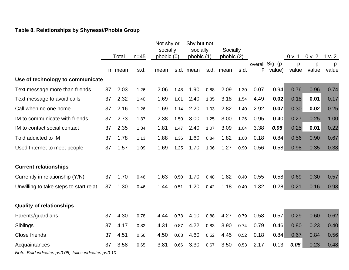# **Table 8. Relationships by Shyness//Phobia Group**

|                                        |    | Total  | $n = 45$ | Not shy or<br>socially<br>phobic (0) |      | Shy but not<br>socially<br>phobic (1) |      | Socially<br>phobic (2) |      |      |                            | 0 v. 1      | 0 v. 2      | 1 v.2       |
|----------------------------------------|----|--------|----------|--------------------------------------|------|---------------------------------------|------|------------------------|------|------|----------------------------|-------------|-------------|-------------|
|                                        |    | n mean | s.d.     | mean                                 | s.d. | mean                                  |      | s.d. mean              | s.d. | F.   | overall Sig. (p-<br>value) | p-<br>value | p-<br>value | p-<br>value |
| Use of technology to communicate       |    |        |          |                                      |      |                                       |      |                        |      |      |                            |             |             |             |
| Text message more than friends         | 37 | 2.03   | 1.26     | 2.06                                 | 1.48 | 1.90                                  | 0.88 | 2.09                   | 1.30 | 0.07 | 0.94                       | 0.76        | 0.96        | 0.74        |
| Text message to avoid calls            | 37 | 2.32   | 1.40     | 1.69                                 | 1.01 | 2.40                                  | 1.35 | 3.18                   | 1.54 | 4.49 | 0.02                       | 0.18        | 0.01        | 0.17        |
| Call when no one home                  | 37 | 2.16   | 1.26     | 1.69                                 | 1.14 | 2.20                                  | 1.03 | 2.82                   | 1.40 | 2.92 | 0.07                       | 0.30        | 0.02        | 0.25        |
| IM to communicate with friends         | 37 | 2.73   | 1.37     | 2.38                                 | 1.50 | 3.00                                  | 1.25 | 3.00                   | 1.26 | 0.95 | 0.40                       | 0.27        | 0.25        | 1.00        |
| IM to contact social contact           | 37 | 2.35   | 1.34     | 1.81                                 | 1.47 | 2.40                                  | 1.07 | 3.09                   | 1.04 | 3.38 | 0.05                       | 0.25        | 0.01        | 0.22        |
| Told addicted to IM                    | 37 | 1.78   | 1.13     | 1.88                                 | 1.36 | 1.60                                  | 0.84 | 1.82                   | 1.08 | 0.18 | 0.84                       | 0.56        | 0.90        | 0.67        |
| Used Internet to meet people           | 37 | 1.57   | 1.09     | 1.69                                 | 1.25 | 1.70                                  | 1.06 | 1.27                   | 0.90 | 0.56 | 0.58                       | 0.98        | 0.35        | 0.38        |
| <b>Current relationships</b>           |    |        |          |                                      |      |                                       |      |                        |      |      |                            |             |             |             |
| Currently in relationship (Y/N)        | 37 | 1.70   | 0.46     | 1.63                                 | 0.50 | 1.70                                  | 0.48 | 1.82                   | 0.40 | 0.55 | 0.58                       | 0.69        | 0.30        | 0.57        |
| Unwilling to take steps to start relat | 37 | 1.30   | 0.46     | 1.44                                 | 0.51 | 1.20                                  | 0.42 | 1.18                   | 0.40 | 1.32 | 0.28                       | 0.21        | 0.16        | 0.93        |
| <b>Quality of relationships</b>        |    |        |          |                                      |      |                                       |      |                        |      |      |                            |             |             |             |
| Parents/guardians                      | 37 | 4.30   | 0.78     | 4.44                                 | 0.73 | 4.10                                  | 0.88 | 4.27                   | 0.79 | 0.58 | 0.57                       | 0.29        | 0.60        | 0.62        |
| Siblings                               | 37 | 4.17   | 0.82     | 4.31                                 | 0.87 | 4.22                                  | 0.83 | 3.90                   | 0.74 | 0.79 | 0.46                       | 0.80        | 0.23        | 0.40        |
| Close friends                          | 37 | 4.51   | 0.56     | 4.50                                 | 0.63 | 4.60                                  | 0.52 | 4.45                   | 0.52 | 0.18 | 0.84                       | 0.67        | 0.84        | 0.56        |
| Acquaintances                          | 37 | 3.58   | 0.65     | 3.81                                 | 0.66 | 3.30                                  | 0.67 | 3.50                   | 0.53 | 2.17 | 0.13                       | 0.05        | 0.23        | 0.48        |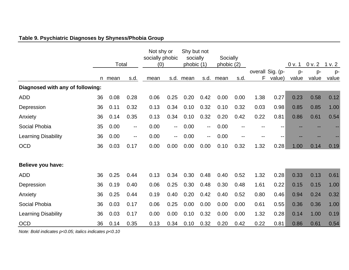# **Table 9. Psychiatric Diagnoses by Shyness/Phobia Group**

|                                  |    | Total |                          | Not shy or<br>socially phobic<br>(0) |                          | Shy but not<br>socially<br>phobic (1) |                                               | Socially<br>phobic (2) |      |      |                            | 0 v. 1      | 0 v. 2      | v.2         |
|----------------------------------|----|-------|--------------------------|--------------------------------------|--------------------------|---------------------------------------|-----------------------------------------------|------------------------|------|------|----------------------------|-------------|-------------|-------------|
|                                  | n. | mean  | s.d.                     | mean                                 |                          | s.d. mean                             | s.d.                                          | mean                   | s.d. | F    | overall Sig. (p-<br>value) | p-<br>value | p-<br>value | p-<br>value |
| Diagnosed with any of following: |    |       |                          |                                      |                          |                                       |                                               |                        |      |      |                            |             |             |             |
| <b>ADD</b>                       | 36 | 0.08  | 0.28                     | 0.06                                 | 0.25                     | 0.20                                  | 0.42                                          | 0.00                   | 0.00 | 1.38 | 0.27                       | 0.23        | 0.58        | 0.12        |
| Depression                       | 36 | 0.11  | 0.32                     | 0.13                                 | 0.34                     | 0.10                                  | 0.32                                          | 0.10                   | 0.32 | 0.03 | 0.98                       | 0.85        | 0.85        | 1.00        |
| Anxiety                          | 36 | 0.14  | 0.35                     | 0.13                                 | 0.34                     | 0.10                                  | 0.32                                          | 0.20                   | 0.42 | 0.22 | 0.81                       | 0.86        | 0.61        | 0.54        |
| Social Phobia                    | 35 | 0.00  | $\overline{\phantom{m}}$ | 0.00                                 | ۰.                       | 0.00                                  | $\mathord{\hspace{1pt}\text{--}\hspace{1pt}}$ | 0.00                   | $-$  |      | --                         |             |             |             |
| <b>Learning Disability</b>       | 36 | 0.00  | $-$                      | 0.00                                 | $\overline{\phantom{a}}$ | 0.00                                  | $\mathord{\hspace{1pt}\text{--}\hspace{1pt}}$ | 0.00                   | --   |      | --                         |             |             |             |
| <b>OCD</b>                       | 36 | 0.03  | 0.17                     | 0.00                                 | 0.00                     | 0.00                                  | 0.00                                          | 0.10                   | 0.32 | 1.32 | 0.28                       | 1.00        | 0.14        | 0.19        |
| Believe you have:                |    |       |                          |                                      |                          |                                       |                                               |                        |      |      |                            |             |             |             |
| <b>ADD</b>                       | 36 | 0.25  | 0.44                     | 0.13                                 | 0.34                     | 0.30                                  | 0.48                                          | 0.40                   | 0.52 | 1.32 | 0.28                       | 0.33        | 0.13        | 0.61        |
| Depression                       | 36 | 0.19  | 0.40                     | 0.06                                 | 0.25                     | 0.30                                  | 0.48                                          | 0.30                   | 0.48 | 1.61 | 0.22                       | 0.15        | 0.15        | 1.00        |
| Anxiety                          | 36 | 0.25  | 0.44                     | 0.19                                 | 0.40                     | 0.20                                  | 0.42                                          | 0.40                   | 0.52 | 0.80 | 0.46                       | 0.94        | 0.24        | 0.32        |
| Social Phobia                    | 36 | 0.03  | 0.17                     | 0.06                                 | 0.25                     | 0.00                                  | 0.00                                          | 0.00                   | 0.00 | 0.61 | 0.55                       | 0.36        | 0.36        | 1.00        |
| <b>Learning Disability</b>       | 36 | 0.03  | 0.17                     | 0.00                                 | 0.00                     | 0.10                                  | 0.32                                          | 0.00                   | 0.00 | 1.32 | 0.28                       | 0.14        | 1.00        | 0.19        |
| <b>OCD</b>                       | 36 | 0.14  | 0.35                     | 0.13                                 | 0.34                     | 0.10                                  | 0.32                                          | 0.20                   | 0.42 | 0.22 | 0.81                       | 0.86        | 0.61        | 0.54        |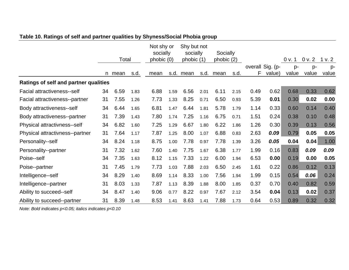|                                              |    | Total |      | Not shy or<br>socially<br>phobic (0) |      | Shy but not<br>socially<br>phobic (1) |      | Socially<br>phobic (2) |      |      |                            | 0 v. 1      | 0 v. 2      | 1 v. 2        |
|----------------------------------------------|----|-------|------|--------------------------------------|------|---------------------------------------|------|------------------------|------|------|----------------------------|-------------|-------------|---------------|
|                                              | n  | mean  | s.d. | mean                                 | s.d. | mean                                  | s.d. | mean                   | s.d. | F    | overall Sig. (p-<br>value) | p-<br>value | p-<br>value | $p-$<br>value |
| <b>Ratings of self and partner qualities</b> |    |       |      |                                      |      |                                       |      |                        |      |      |                            |             |             |               |
| Facial attractiveness--self                  | 34 | 6.59  | 1.83 | 6.88                                 | 1.59 | 6.56                                  | 2.01 | 6.11                   | 2.15 | 0.49 | 0.62                       | 0.68        | 0.33        | 0.62          |
| Facial attractiveness--partner               | 31 | 7.55  | 1.26 | 7.73                                 | 1.33 | 8.25                                  | 0.71 | 6.50                   | 0.93 | 5.39 | 0.01                       | 0.30        | 0.02        | 0.00          |
| Body attractiveness--self                    | 34 | 6.44  | 1.65 | 6.81                                 | 1.47 | 6.44                                  | 1.81 | 5.78                   | 1.79 | 1.14 | 0.33                       | 0.60        | 0.14        | 0.40          |
| Body attractiveness--partner                 | 31 | 7.39  | 1.43 | 7.80                                 | 1.74 | 7.25                                  | 1.16 | 6.75                   | 0.71 | 1.51 | 0.24                       | 0.38        | 0.10        | 0.48          |
| Physical attractivness--self                 | 34 | 6.82  | 1.60 | 7.25                                 | 1.29 | 6.67                                  | 1.80 | 6.22                   | 1.86 | 1.26 | 0.30                       | 0.39        | 0.13        | 0.56          |
| Physical attractivness--partner              | 31 | 7.64  | 1.17 | 7.87                                 | 1.25 | 8.00                                  | 1.07 | 6.88                   | 0.83 | 2.63 | 0.09                       | 0.79        | 0.05        | 0.05          |
| Personality--self                            | 34 | 8.24  | 1.18 | 8.75                                 | 1.00 | 7.78                                  | 0.97 | 7.78                   | 1.39 | 3.26 | 0.05                       | 0.04        | 0.04        | 1.00          |
| Personality--partner                         | 31 | 7.32  | 1.62 | 7.60                                 | 1.40 | 7.75                                  | 1.67 | 6.38                   | 1.77 | 1.99 | 0.16                       | 0.83        | 0.09        | 0.09          |
| Poise--self                                  | 34 | 7.35  | 1.63 | 8.12                                 | 1.15 | 7.33                                  | 1.22 | 6.00                   | 1.94 | 6.53 | 0.00                       | 0.19        | 0.00        | 0.05          |
| Poise--partner                               | 31 | 7.45  | 1.79 | 7.73                                 | 1.03 | 7.88                                  | 2.03 | 6.50                   | 2.45 | 1.61 | 0.22                       | 0.86        | 0.12        | 0.13          |
| Intelligence--self                           | 34 | 8.29  | 1.40 | 8.69                                 | 1.14 | 8.33                                  | 1.00 | 7.56                   | 1.94 | 1.99 | 0.15                       | 0.54        | 0.06        | 0.24          |
| Intelligence--partner                        | 31 | 8.03  | 1.33 | 7.87                                 | 1.13 | 8.39                                  | 1.88 | 8.00                   | 1.85 | 0.37 | 0.70                       | 0.40        | 0.82        | 0.59          |
| Ability to succeed--self                     | 34 | 8.47  | 1.40 | 9.06                                 | 0.77 | 8.22                                  | 0.97 | 7.67                   | 2.12 | 3.54 | 0.04                       | 0.13        | 0.02        | 0.37          |
| Ability to succeed--partner                  | 31 | 8.39  | 1.48 | 8.53                                 | 1.41 | 8.63                                  | 1.41 | 7.88                   | 1.73 | 0.64 | 0.53                       | 0.89        | 0.32        | 0.32          |

# **Table 10. Ratings of self and partner qualities by Shyness/Social Phobia group**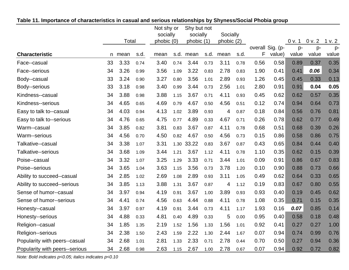|                                |    |       |      | Not shy or |      | Shy but not |      |           |      |      |                  |        |        |        |
|--------------------------------|----|-------|------|------------|------|-------------|------|-----------|------|------|------------------|--------|--------|--------|
|                                |    |       |      | socially   |      | socially    |      | Socially  |      |      |                  |        |        |        |
|                                |    | Total |      | phobic (0) |      | phobic (1)  |      | phobic(2) |      |      |                  | 0 v. 1 | 0 v. 2 | 1 v. 2 |
|                                |    |       |      |            |      |             |      |           |      |      | overall Sig. (p- | p-     | p-     | p-     |
| <b>Characteristic</b>          | n  | mean  | s.d. | mean       |      | s.d. mean   | s.d. | mean      | s.d. | F    | value)           | value  | value  | value  |
| Face--casual                   | 33 | 3.33  | 0.74 | 3.40       | 0.74 | 3.44        | 0.73 | 3.11      | 0.78 | 0.56 | 0.58             | 0.89   | 0.37   | 0.35   |
| Face--serious                  | 34 | 3.26  | 0.99 | 3.56       | 1.09 | 3.22        | 0.83 | 2.78      | 0.83 | 1.90 | 0.41             | 0.41   | 0.06   | 0.34   |
| Body--casual                   | 33 | 3.24  | 0.90 | 3.27       | 0.80 | 3.56        | 1.01 | 2.89      | 0.93 | 1.26 | 0.45             | 0.45   | 0.33   | 0.13   |
| Body--serious                  | 33 | 3.18  | 0.98 | 3.40       | 0.99 | 3.44        | 0.73 | 2.56      | 1.01 | 2.80 | 0.91             | 0.91   | 0.04   | 0.05   |
| Kindness--casual               | 34 | 3.88  | 0.98 | 3.88       | 1.15 | 3.67        | 0.71 | 4.11      | 0.93 | 0.45 | 0.62             | 0.62   | 0.57   | 0.35   |
| Kindness--serious              | 34 | 4.65  | 0.65 | 4.69       | 0.79 | 4.67        | 0.50 | 4.56      | 0.51 | 0.12 | 0.74             | 0.94   | 0.64   | 0.73   |
| Easy to talk to--casual        | 34 | 4.03  | 0.94 | 4.13       | 1.02 | 3.89        | 0.93 | 4         | 0.87 | 0.18 | 0.84             | 0.56   | 0.76   | 0.81   |
| Easy to talk to--serious       | 34 | 4.76  | 0.65 | 4.75       | 0.77 | 4.89        | 0.33 | 4.67      | 0.71 | 0.26 | 0.78             | 0.62   | 0.77   | 0.49   |
| Warm--casual                   | 34 | 3.85  | 0.82 | 3.81       | 0.83 | 3.67        | 0.87 | 4.11      | 0.78 | 0.68 | 0.51             | 0.68   | 0.39   | 0.26   |
| Warm--serious                  | 34 | 4.56  | 0.70 | 4.50       | 0.82 | 4.67        | 0.50 | 4.56      | 0.73 | 0.15 | 0.86             | 0.58   | 0.86   | 0.75   |
| Talkative--casual              | 34 | 3.38  | 1.07 | 3.31       | 1.30 | 33.22       | 0.83 | 3.67      | 0.87 | 0.43 | 0.65             | 0.84   | 0.44   | 0.40   |
| Talkative--serious             | 34 | 3.68  | 1.09 | 3.44       | 1.21 | 3.67        | 1.12 | 4.11      | 0.78 | 1.10 | 0.35             | 0.62   | 0.15   | 0.39   |
| Poise--casual                  | 34 | 3.32  | 1.07 | 3.25       | 1.29 | 3.33        | 0.71 | 3.44      | 1.01 | 0.09 | 0.91             | 0.86   | 0.67   | 0.83   |
| Poise--serious                 | 34 | 3.65  | 1.04 | 3.63       | 1.15 | 3.56        | 0.73 | 3.78      | 1.20 | 0.10 | 0.90             | 0.88   | 0.73   | 0.66   |
| Ability to succeed--casual     | 34 | 2.85  | 1.02 | 2.69       | 1.08 | 2.89        | 0.93 | 3.11      | 1.05 | 0.49 | 0.62             | 0.64   | 0.33   | 0.65   |
| Ability to succeed--serious    | 34 | 3.85  | 1.13 | 3.88       | 1.31 | 3.67        | 0.87 | 4         | 1.12 | 0.19 | 0.83             | 0.67   | 0.80   | 0.55   |
| Sense of humor--casual         | 34 | 3.97  | 0.94 | 4.19       | 0.91 | 3.67        | 1.00 | 3.89      | 0.93 | 0.93 | 0.40             | 0.19   | 0.45   | 0.62   |
| Sense of humor--serious        | 34 | 4.41  | 0.74 | 4.56       | 0.63 | 4.44        | 0.88 | 4.11      | 0.78 | 1.08 | 0.35             | 0.71   | 0.15   | 0.35   |
| Honesty--casual                | 34 | 3.97  | 0.97 | 4.19       | 0.91 | 3.44        | 0.73 | 4.11      | 1.17 | 1.93 | 0.16             | 0.07   | 0.85   | 0.14   |
| Honesty--serious               | 34 | 4.88  | 0.33 | 4.81       | 0.40 | 4.89        | 0.33 | 5         | 0.00 | 0.95 | 0.40             | 0.58   | 0.18   | 0.48   |
| Religion--casual               | 34 | 1.85  | 1.35 | 2.19       | 1.52 | 1.56        | 1.33 | 1.56      | 1.01 | 0.92 | 0.41             | 0.27   | 0.27   | 1.00   |
| Religion--serious              | 34 | 2.38  | 1.50 | 2.43       | 1.59 | 2.22        | 1.30 | 2.44      | 1.67 | 0.07 | 0.94             | 0.74   | 0.99   | 0.76   |
| Popularity with peers--casual  | 34 | 2.68  | 1.01 | 2.81       | 1.33 | 2.33        | 0.71 | 2.78      | 0.44 | 0.70 | 0.50             | 0.27   | 0.94   | 0.36   |
| Popularity with peers--serious | 34 | 2.68  | 0.98 | 2.63       | 1.15 | 2.67        | 1.00 | 2.78      | 0.67 | 0.07 | 0.94             | 0.92   | 0.72   | 0.82   |

## **Table 11. Importance of characteristics in casual and serious relationships by Shyness/Social Phobia group**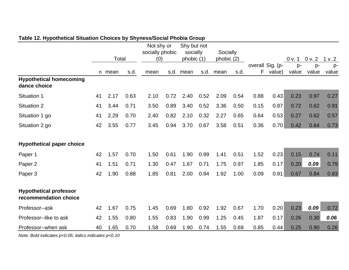| ╯                                                      |    |        |      | Not shy or<br>socially phobic |      | Shy but not<br>socially |      | Socially   |      |      |                            |             |             |               |
|--------------------------------------------------------|----|--------|------|-------------------------------|------|-------------------------|------|------------|------|------|----------------------------|-------------|-------------|---------------|
|                                                        |    | Total  |      | (0)                           |      | phobic (1)              |      | phobic (2) |      |      |                            | 0 v. 1      | 0 v. 2      | 1 v. 2        |
|                                                        |    | n mean | s.d. | mean                          | s.d. | mean                    | s.d. | mean       | s.d. | F    | overall Sig. (p-<br>value) | p-<br>value | p-<br>value | $p-$<br>value |
| <b>Hypothetical homecoming</b><br>dance choice         |    |        |      |                               |      |                         |      |            |      |      |                            |             |             |               |
| <b>Situation 1</b>                                     | 41 | 2.17   | 0.63 | 2.10                          | 0.72 | 2.40                    | 0.52 | 2.09       | 0.54 | 0.88 | 0.43                       | 0.23        | 0.97        | 0.27          |
| <b>Situation 2</b>                                     | 41 | 3.44   | 0.71 | 3.50                          | 0.89 | 3.40                    | 0.52 | 3.36       | 0.50 | 0.15 | 0.87                       | 0.72        | 0.62        | 0.91          |
| Situation 1 go                                         | 41 | 2.29   | 0.70 | 2.40                          | 0.82 | 2.10                    | 0.32 | 2.27       | 0.65 | 0.64 | 0.53                       | 0.27        | 0.62        | 0.57          |
| Situation 2 go                                         | 42 | 3.55   | 0.77 | 3.45                          | 0.94 | 3.70                    | 0.67 | 3.58       | 0.51 | 0.36 | 0.70                       | 0.42        | 0.64        | 0.73          |
| <b>Hypothetical paper choice</b>                       |    |        |      |                               |      |                         |      |            |      |      |                            |             |             |               |
| Paper 1                                                | 42 | 1.57   | 0.70 | 1.50                          | 0.61 | 1.90                    | 0.99 | 1.41       | 0.51 | 1.52 | 0.23                       | 0.15        | 0.74        | 0.11          |
| Paper 2                                                | 41 | 1.51   | 0.71 | 1.30                          | 0.47 | 1.67                    | 0.71 | 1.75       | 0.97 | 1.85 | 0.17                       | 0.20        | 0.09        | 0.79          |
| Paper 3                                                | 42 | 1.90   | 0.88 | 1.85                          | 0.81 | 2.00                    | 0.94 | 1.92       | 1.00 | 0.09 | 0.91                       | 0.67        | 0.84        | 0.83          |
| <b>Hypothetical professor</b><br>recommendation choice |    |        |      |                               |      |                         |      |            |      |      |                            |             |             |               |
| Professor--ask                                         | 42 | 1.67   | 0.75 | 1.45                          | 0.69 | 1.80                    | 0.92 | 1.92       | 0.67 | 1.70 | 0.20                       | 0.23        | 0.09        | 0.72          |
| Professor--like to ask                                 | 42 | 1.55   | 0.80 | 1.55                          | 0.83 | 1.90                    | 0.99 | 1.25       | 0.45 | 1.87 | 0.17                       | 0.26        | 0.30        | 0.06          |
| Professor--when ask                                    | 40 | 1.65   | 0.70 | 1.58                          | 0.69 | 1.90                    | 0.74 | 1.55       | 0.69 | 0.85 | 0.44                       | 0.25        | 0.90        | 0.26          |

## **Table 12. Hypothetical Situation Choices by Shyness/Social Phobia Group**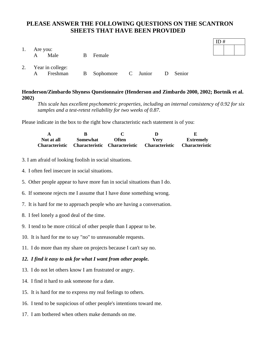## **PLEASE ANSWER THE FOLLOWING QUESTIONS ON THE SCANTRON SHEETS THAT HAVE BEEN PROVIDED**

| 1. | Are you:<br>Male<br>$\mathbf{A}$                                   | <sub>B</sub> | Female |  |  |
|----|--------------------------------------------------------------------|--------------|--------|--|--|
|    | 2. Year in college:<br>Freshman B Sophomore C Junior D Senior<br>A |              |        |  |  |

**Henderson/Zimbardo Shyness Questionnaire (Henderson and Zimbardo 2000, 2002; Bortnik et al. 2002)** 

*This scale has excellent psychometric properties, including an internal consistency of 0.92 for six samples and a test-retest reliability for two weeks of 0.87.* 

ID #

Please indicate in the box to the right how characteristic each statement is of you:

| A          |          |                                                             |      |                       |
|------------|----------|-------------------------------------------------------------|------|-----------------------|
| Not at all | Somewhat | Often                                                       | Verv | <b>Extremely</b>      |
|            |          | Characteristic Characteristic Characteristic Characteristic |      | <b>Characteristic</b> |

- 3. I am afraid of looking foolish in social situations.
- 4. I often feel insecure in social situations.
- 5. Other people appear to have more fun in social situations than I do.
- 6. If someone rejects me I assume that I have done something wrong.
- 7. It is hard for me to approach people who are having a conversation.
- 8. I feel lonely a good deal of the time.
- 9. I tend to be more critical of other people than I appear to be.
- 10. It is hard for me to say "no" to unreasonable requests.
- 11. I do more than my share on projects because I can't say no.

#### *12. I find it easy to ask for what I want from other people.*

- 13. I do not let others know I am frustrated or angry.
- 14. I find it hard to ask someone for a date.
- 15. It is hard for me to express my real feelings to others.
- 16. I tend to be suspicious of other people's intentions toward me.
- 17. I am bothered when others make demands on me.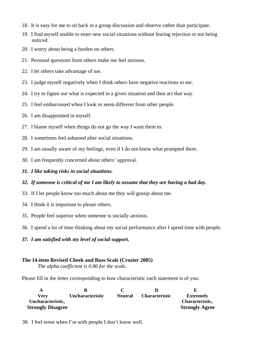- 18. It is easy for me to sit back in a group discussion and observe rather than participate.
- 19. I find myself unable to enter new social situations without fearing rejection or not being noticed.
- 20. I worry about being a burden on others.
- 21. Personal questions from others make me feel anxious.
- 22. I let others take advantage of me.
- 23. I judge myself negatively when I think others have negative reactions to me.
- 24. I try to figure out what is expected in a given situation and then act that way.
- 25. I feel embarrassed when I look or seem different from other people.
- 26. I am disappointed in myself.
- 27. I blame myself when things do not go the way I want them to.
- 28. I sometimes feel ashamed after social situations.
- 29. I am usually aware of my feelings, even if I do not know what prompted them.
- 30. I am frequently concerned about others' approval.
- *31. I like taking risks in social situations.*

#### *32. If someone is critical of me I am likely to assume that they are having a bad day.*

- 33. If I let people know too much about me they will gossip about me.
- 34. I think it is important to please others.
- 35. People feel superior when someone is socially anxious.
- 36. I spend a lot of time thinking about my social performance after I spend time with people.
- *37. I am satisfied with my level of social support.*

#### **The 14-item Revised Cheek and Buss Scale (Crozier 2005)**

*The alpha coefficient is 0.86 for the scale.* 

Please fill in the letter corresponding to how characteristic each statement is of you:

| Verv                     | Uncharacteristic | <b>Neutral</b> | <b>Characteristic</b> | <b>Extremely</b>      |
|--------------------------|------------------|----------------|-----------------------|-----------------------|
| Uncharacteristic,        |                  |                |                       | Characteristic,       |
| <b>Strongly Disagree</b> |                  |                |                       | <b>Strongly Agree</b> |

38. I feel tense when I'm with people I don't know well.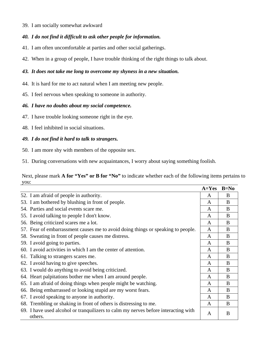39. I am socially somewhat awkward

### *40. I do not find it difficult to ask other people for information.*

- 41. I am often uncomfortable at parties and other social gatherings.
- 42. When in a group of people, I have trouble thinking of the right things to talk about.

### *43. It does not take me long to overcome my shyness in a new situation.*

- 44. It is hard for me to act natural when I am meeting new people.
- 45. I feel nervous when speaking to someone in authority.

#### *46. I have no doubts about my social competence.*

- 47. I have trouble looking someone right in the eye.
- 48. I feel inhibited in social situations.

### *49. I do not find it hard to talk to strangers.*

50. I am more shy with members of the opposite sex.

51. During conversations with new acquaintances, I worry about saying something foolish.

Next, please mark **A for "Yes" or B for "No"** to indicate whether each of the following items pertains to you:

|                                                                                               | $A=Yes$ | $B=No$ |
|-----------------------------------------------------------------------------------------------|---------|--------|
| 52. I am afraid of people in authority.                                                       | A       | B      |
| 53. I am bothered by blushing in front of people.                                             | A       | B      |
| 54. Parties and social events scare me.                                                       | A       | B      |
| 55. I avoid talking to people I don't know.                                                   | A       | B      |
| 56. Being criticized scares me a lot.                                                         | A       | B      |
| 57. Fear of embarrassment causes me to avoid doing things or speaking to people.              | A       | B      |
| 58. Sweating in front of people causes me distress.                                           | A       | B      |
| 59. I avoid going to parties.                                                                 | A       | B      |
| 60. I avoid activities in which I am the center of attention.                                 | A       | B      |
| 61. Talking to strangers scares me.                                                           | A       | B      |
| 62. I avoid having to give speeches.                                                          | A       | B      |
| 63. I would do anything to avoid being criticized.                                            | A       | B      |
| 64. Heart palpitations bother me when I am around people.                                     | A       | B      |
| 65. I am afraid of doing things when people might be watching.                                | A       | B      |
| 66. Being embarrassed or looking stupid are my worst fears.                                   | A       | B      |
| 67. I avoid speaking to anyone in authority.                                                  | A       | B      |
| 68. Trembling or shaking in front of others is distressing to me.                             | A       | B      |
| 69. I have used alcohol or tranquilizers to calm my nerves before interacting with<br>others. | A       | B      |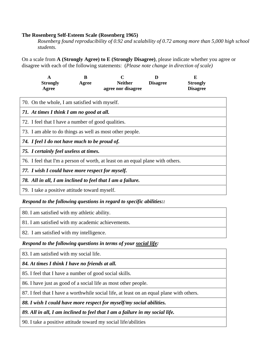#### **The Rosenberg Self-Esteem Scale (Rosenberg 1965)**

*Rosenberg found reproducibility of 0.92 and scalability of 0.72 among more than 5,000 high school students.* 

On a scale from **A (Strongly Agree) to E (Strongly Disagree)**, please indicate whether you agree or disagree with each of the following statements: (*Please note change in direction of scale)* 

|                                        | A<br><b>Strongly</b>                                                           | B<br>Agree | <b>Neither</b>                                             | D<br><b>Disagree</b> | E<br><b>Strongly</b> |  |  |  |
|----------------------------------------|--------------------------------------------------------------------------------|------------|------------------------------------------------------------|----------------------|----------------------|--|--|--|
|                                        | Agree                                                                          |            | agree nor disagree                                         |                      | <b>Disagree</b>      |  |  |  |
|                                        | 70. On the whole, I am satisfied with myself.                                  |            |                                                            |                      |                      |  |  |  |
|                                        | 71. At times I think I am no good at all.                                      |            |                                                            |                      |                      |  |  |  |
|                                        | 72. I feel that I have a number of good qualities.                             |            |                                                            |                      |                      |  |  |  |
|                                        | 73. I am able to do things as well as most other people.                       |            |                                                            |                      |                      |  |  |  |
|                                        | 74. I feel I do not have much to be proud of.                                  |            |                                                            |                      |                      |  |  |  |
| 75. I certainly feel useless at times. |                                                                                |            |                                                            |                      |                      |  |  |  |
|                                        | 76. I feel that I'm a person of worth, at least on an equal plane with others. |            |                                                            |                      |                      |  |  |  |
|                                        | 77. I wish I could have more respect for myself.                               |            |                                                            |                      |                      |  |  |  |
|                                        |                                                                                |            | 78. All in all, I am inclined to feel that I am a failure. |                      |                      |  |  |  |
|                                        | 79. I take a positive attitude toward myself.                                  |            |                                                            |                      |                      |  |  |  |

### *Respond to the following questions in regard to specific abilities::*

80. I am satisfied with my athletic ability.

81. I am satisfied with my academic achievements.

82. I am satisfied with my intelligence.

### *Respond to the following questions in terms of your social life:*

83. I am satisfied with my social life.

*84. At times I think I have no friends at all.* 

85. I feel that I have a number of good social skills.

86. I have just as good of a social life as most other people.

87. I feel that I have a worthwhile social life, at least on an equal plane with others.

*88. I wish I could have more respect for myself/my social abilities.* 

*89. All in all, I am inclined to feel that I am a failure in my social life.* 

90. I take a positive attitude toward my social life/abilities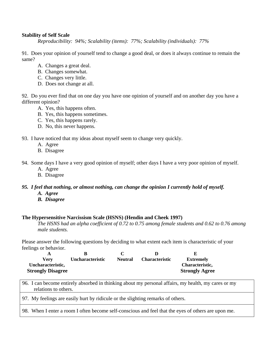#### **Stability of Self Scale**

*Reproducibility: 94%; Scalability (items): 77%; Scalability (individuals): 77%* 

91. Does your opinion of yourself tend to change a good deal, or does it always continue to remain the same?

- A. Changes a great deal.
- B. Changes somewhat.
- C. Changes very little.
- D. Does not change at all.

92. Do you ever find that on one day you have one opinion of yourself and on another day you have a different opinion?

- A. Yes, this happens often.
- B. Yes, this happens sometimes.
- C. Yes, this happens rarely.
- D. No, this never happens.

93. I have noticed that my ideas about myself seem to change very quickly.

- A. Agree
- B. Disagree

94. Some days I have a very good opinion of myself; other days I have a very poor opinion of myself.

- A. Agree
- B. Disagree

### *95. I feel that nothing, or almost nothing, can change the opinion I currently hold of myself.*

- *A. Agree*
- *B. Disagree*

#### **The Hypersensitive Narcissism Scale (HSNS) (Hendin and Cheek 1997)**

*The HSNS had an alpha coefficient of 0.72 to 0.75 among female students and 0.62 to 0.76 among male students.* 

Please answer the following questions by deciding to what extent each item is characteristic of your feelings or behavior.

| Verv                     | <b>Uncharacteristic</b> | <b>Neutral</b> | <b>Characteristic</b> | <b>Extremely</b>      |
|--------------------------|-------------------------|----------------|-----------------------|-----------------------|
| Uncharacteristic,        |                         |                |                       | Characteristic,       |
| <b>Strongly Disagree</b> |                         |                |                       | <b>Strongly Agree</b> |

96. I can become entirely absorbed in thinking about my personal affairs, my health, my cares or my relations to others.

97. My feelings are easily hurt by ridicule or the slighting remarks of others.

98. When I enter a room I often become self-conscious and feel that the eyes of others are upon me.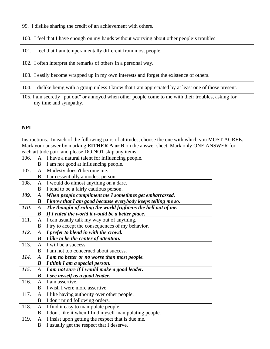99. I dislike sharing the credit of an achievement with others.

100. I feel that I have enough on my hands without worrying about other people's troubles

101. I feel that I am temperamentally different from most people.

102. I often interpret the remarks of others in a personal way.

103. I easily become wrapped up in my own interests and forget the existence of others.

104. I dislike being with a group unless I know that I am appreciated by at least one of those present.

105. I am secretly "put out" or annoyed when other people come to me with their troubles, asking for my time and sympathy.

# **NPI**

Instructions: In each of the following pairs of attitudes, choose the one with which you MOST AGREE. Mark your answer by marking **EITHER A or B** on the answer sheet. Mark only ONE ANSWER for each attitude pair, and please DO NOT skip any items.

|             |                  | cach attitude pair, and picase DO TOT $\sup$ any nems.        |
|-------------|------------------|---------------------------------------------------------------|
| 106.        | A                | I have a natural talent for influencing people.               |
|             | B                | I am not good at influencing people.                          |
| 107.        | A                | Modesty doesn't become me.                                    |
|             | B                | I am essentially a modest person.                             |
| 108.        | A                | I would do almost anything on a dare.                         |
|             | B                | I tend to be a fairly cautious person.                        |
| 109.        | $\boldsymbol{A}$ | When people compliment me I sometimes get embarrassed.        |
|             | B                | I know that I am good because everybody keeps telling me so.  |
| <i>110.</i> | $\boldsymbol{A}$ | The thought of ruling the world frightens the hell out of me. |
|             | $\boldsymbol{B}$ | If I ruled the world it would be a better place.              |
| 111.        | A                | I can usually talk my way out of anything.                    |
|             | B                | I try to accept the consequences of my behavior.              |
| 112.        | $\boldsymbol{A}$ | I prefer to blend in with the crowd.                          |
|             | B                | I like to be the center of attention.                         |
| 113.        | A                | I will be a success.                                          |
|             | B                | I am not too concerned about success.                         |
| 114.        | $\boldsymbol{A}$ | I am no better or no worse than most people.                  |
|             | B                | I think I am a special person.                                |
| 115.        | A                | I am not sure if I would make a good leader.                  |
|             | B                | I see myself as a good leader.                                |
| 116.        | $\mathsf{A}$     | I am assertive.                                               |
|             | B                | I wish I were more assertive.                                 |
| 117.        | $\mathbf{A}$     | I like having authority over other people.                    |
|             | B                | I don't mind following orders.                                |
| 118.        | A                | I find it easy to manipulate people.                          |
|             | B                | I don't like it when I find myself manipulating people.       |
| 119.        | $\mathbf{A}$     | I insist upon getting the respect that is due me.             |
|             | B                | I usually get the respect that I deserve.                     |
|             |                  |                                                               |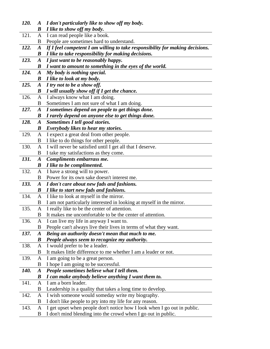| 120. | $\boldsymbol{A}$ | I don't particularly like to show off my body.                                                                                            |
|------|------------------|-------------------------------------------------------------------------------------------------------------------------------------------|
|      | B                | I like to show off my body.                                                                                                               |
| 121. | A                | I can read people like a book.                                                                                                            |
|      | B                | People are sometimes hard to understand.                                                                                                  |
| 122. | $\boldsymbol{A}$ | If I feel competent I am willing to take responsibility for making decisions.                                                             |
|      | B                | I like to take responsibility for making decisions.                                                                                       |
| 123. | $\boldsymbol{A}$ | I just want to be reasonably happy.                                                                                                       |
|      | B                | I want to amount to something in the eyes of the world.                                                                                   |
| 124. | $\boldsymbol{A}$ | My body is nothing special.                                                                                                               |
|      | $\boldsymbol{B}$ | I like to look at my body.                                                                                                                |
| 125. | $\boldsymbol{A}$ | I try not to be a show off.                                                                                                               |
|      | B                | I will usually show off if I get the chance.                                                                                              |
| 126. | A                | I always know what I am doing.                                                                                                            |
|      | B                | Sometimes I am not sure of what I am doing.                                                                                               |
| 127. | $\boldsymbol{A}$ | I sometimes depend on people to get things done.                                                                                          |
|      | B                | I rarely depend on anyone else to get things done.                                                                                        |
| 128. | $\boldsymbol{A}$ | Sometimes I tell good stories.                                                                                                            |
|      | B                | <b>Everybody likes to hear my stories.</b>                                                                                                |
| 129. | A                | I expect a great deal from other people.                                                                                                  |
|      | В                | I like to do things for other people.                                                                                                     |
| 130. | A                | I will never be satisfied until I get all that I deserve.                                                                                 |
|      | B                | I take my satisfactions as they come.                                                                                                     |
| 131. | $\boldsymbol{A}$ | Compliments embarrass me.                                                                                                                 |
|      | $\boldsymbol{B}$ | I like to be complimented.                                                                                                                |
| 132. | A                | I have a strong will to power.                                                                                                            |
|      | В                | Power for its own sake doesn't interest me.                                                                                               |
| 133. | $\boldsymbol{A}$ | I don't care about new fads and fashions.                                                                                                 |
|      | B                | I like to start new fads and fashions.                                                                                                    |
| 134. | A                | I like to look at myself in the mirror.                                                                                                   |
|      | B                | I am not particularly interested in looking at myself in the mirror.                                                                      |
| 135. | A                | I really like to be the center of attention.                                                                                              |
|      | B                | It makes me uncomfortable to be the center of attention.                                                                                  |
| 136. | A                | I can live my life in anyway I want to.                                                                                                   |
|      | В                | People can't always live their lives in terms of what they want.                                                                          |
| 137. | $\boldsymbol{A}$ | Being an authority doesn't mean that much to me.                                                                                          |
|      | $\boldsymbol{B}$ | People always seem to recognize my authority.                                                                                             |
| 138. | A                | I would prefer to be a leader.                                                                                                            |
|      | B                | It makes little difference to me whether I am a leader or not.                                                                            |
| 139. | A                | I am going to be a great person.                                                                                                          |
|      | B                | I hope I am going to be successful.                                                                                                       |
| 140. | $\boldsymbol{A}$ | People sometimes believe what I tell them.                                                                                                |
|      | $\boldsymbol{B}$ | I can make anybody believe anything I want them to.                                                                                       |
| 141. | A                | I am a born leader.                                                                                                                       |
|      |                  |                                                                                                                                           |
|      | B                | Leadership is a quality that takes a long time to develop.                                                                                |
| 142. | A                | I wish someone would someday write my biography.                                                                                          |
|      | В                | I don't like people to pry into my life for any reason.                                                                                   |
| 143. | A<br>B           | I get upset when people don't notice how I look when I go out in public.<br>I don't mind blending into the crowd when I go out in public. |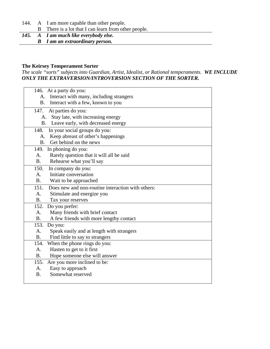144. A I am more capable than other people.

- B There is a lot that I can learn from other people.<br>145. A I am much like everybody else.
- *145. A I am much like everybody else. B I am an extraordinary person.*

# **The Keirsey Temperament Sorter**

*The scale "sorts" subjects into Guardian, Artist, Idealist, or Rational temperaments. WE INCLUDE ONLY THE EXTRAVERSION/INTROVERSION SECTION OF THE SORTER.*

|                | 146. At a party do you:                           |
|----------------|---------------------------------------------------|
| A.             | Interact with many, including strangers           |
| <b>B.</b>      | Interact with a few, known to you                 |
| 147.           | At parties do you:                                |
|                | Stay late, with increasing energy<br>A.           |
| <b>B.</b>      | Leave early, with decreased energy                |
| 148.           | In your social groups do you:                     |
| A.             | Keep abreast of other's happenings                |
| <b>B.</b>      | Get behind on the news                            |
| 149.           | In phoning do you:                                |
| A.             | Rarely question that it will all be said          |
| B <sub>1</sub> | Rehearse what you'll say                          |
| 150.           | In company do you:                                |
| A.             | Initiate conversation                             |
| <b>B.</b>      | Wait to be approached                             |
| 151.           | Does new and non-routine interaction with others: |
| A <sub>1</sub> | Stimulate and energize you                        |
| B <sub>1</sub> | Tax your reserves                                 |
| 152.           | Do you prefer:                                    |
| A <sub>1</sub> | Many friends with brief contact                   |
| <b>B.</b>      | A few friends with more lengthy contact           |
| 153.           | Do you:                                           |
| A.             | Speak easily and at length with strangers         |
| <b>B.</b>      | Find little to say to strangers                   |
| 154.           | When the phone rings do you:                      |
| A.             | Hasten to get to it first                         |
| B <sub>1</sub> | Hope someone else will answer                     |
| 155.           | Are you more inclined to be:                      |
| A.             | Easy to approach                                  |
| <b>B.</b>      | Somewhat reserved                                 |
|                |                                                   |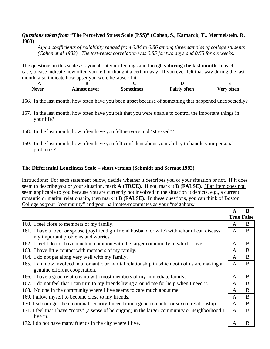# *Questions taken from* **"The Perceived Stress Scale (PSS)" (Cohen, S., Kamarck, T., Mermelstein, R. 1983)**

*Alpha coefficients of reliability ranged from 0.84 to 0.86 among three samples of college students (Cohen et al 1983). The test-retest correlation was 0.85 for two days and 0.55 for six weeks.* 

The questions in this scale ask you about your feelings and thoughts **during the last month**. In each case, please indicate how often you felt or thought a certain way. If you ever felt that way during the last month, also indicate how upset you were because of it.

| <b>Never</b> | <b>Almost never</b> | <b>Sometimes</b> | <b>Fairly often</b> | <b>Very often</b> |
|--------------|---------------------|------------------|---------------------|-------------------|

- 156. In the last month, how often have you been upset because of something that happened unexpectedly?
- 157. In the last month, how often have you felt that you were unable to control the important things in your life?
- 158. In the last month, how often have you felt nervous and "stressed"?
- 159. In the last month, how often have you felt confident about your ability to handle your personal problems?

# **The Differential Loneliness Scale – short version (Schmidt and Sermat 1983)**

Instructions: For each statement below, decide whether it describes you or your situation or not. If it does seem to describe you or your situation, mark **A (TRUE)**. If not, mark it **B (FALSE)**. If an item does not seem applicable to you because you are currently not involved in the situation it depicts, e.g., a current romantic or marital relationship, then mark it **B (FALSE)**. In these questions, you can think of Boston College as your "community" and your hallmates/roommates as your "neighbors."

|                                                                                                                                    | A            | B                 |
|------------------------------------------------------------------------------------------------------------------------------------|--------------|-------------------|
|                                                                                                                                    |              | <b>True False</b> |
| 160. I feel close to members of my family.                                                                                         | A            | B                 |
| 161. I have a lover or spouse (boyfriend girlfriend husband or wife) with whom I can discuss<br>my important problems and worries. | A            | B                 |
| 162. I feel I do not have much in common with the larger community in which I live                                                 | $\mathbf{A}$ | B                 |
| 163. I have little contact with members of my family.                                                                              | A            | B                 |
| 164. I do not get along very well with my family.                                                                                  | A            | B                 |
| 165. I am now involved in a romantic or marital relationship in which both of us are making a<br>genuine effort at cooperation.    | $\mathbf{A}$ | B                 |
| 166. I have a good relationship with most members of my immediate family.                                                          | A            | B                 |
| 167. I do not feel that I can turn to my friends living around me for help when I need it.                                         | A            | B                 |
| 168. No one in the community where I live seems to care much about me.                                                             | A            | B                 |
| 169. I allow myself to become close to my friends.                                                                                 | A            | B                 |
| 170. I seldom get the emotional security I need from a good romantic or sexual relationship.                                       | A            | B                 |
| 171. I feel that I have "roots" (a sense of belonging) in the larger community or neighborhood I<br>live in.                       | $\mathsf{A}$ | B                 |
| 172. I do not have many friends in the city where I live.                                                                          | A            | B                 |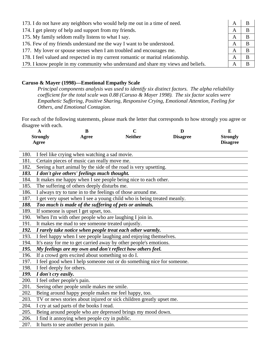| 173. I do not have any neighbors who would help me out in a time of need.         | A | В |
|-----------------------------------------------------------------------------------|---|---|
| 174. I get plenty of help and support from my friends.                            | A | B |
| 175. My family seldom really listens to what I say.                               | A | B |
| 176. Few of my friends understand me the way I want to be understood.             | A | в |
| 177. My lover or spouse senses when I am troubled and encourages me.              | A | B |
| 178. I feel valued and respected in my current romantic or marital relationship.  | A |   |
| 179. I know people in my community who understand and share my views and beliefs. | A |   |

# **Caruso & Mayer (1998)—Emotional Empathy Scale**

*Principal components analysis was used to identify six distinct factors. The alpha reliability coefficient for the total scale was 0.88 (Caruso & Mayer 1998). The six factor scales were Empathetic Suffering, Positive Sharing, Responsive Crying, Emotional Attention, Feeling for Others, and Emotional Contagion.* 

For each of the following statements, please mark the letter that corresponds to how strongly you agree or disagree with each.

|      | $\mathbf{A}$                                                                                                 | B                                                | $\mathbf C$                                                         | D | E               |
|------|--------------------------------------------------------------------------------------------------------------|--------------------------------------------------|---------------------------------------------------------------------|---|-----------------|
|      | <b>Neither</b><br><b>Strongly</b><br><b>Disagree</b><br>Agree                                                |                                                  |                                                                     |   | <b>Strongly</b> |
|      | Agree                                                                                                        |                                                  |                                                                     |   | <b>Disagree</b> |
| 180. |                                                                                                              | I feel like crying when watching a sad movie.    |                                                                     |   |                 |
| 181. |                                                                                                              | Certain pieces of music can really move me.      |                                                                     |   |                 |
| 182. |                                                                                                              |                                                  | Seeing a hurt animal by the side of the road is very upsetting.     |   |                 |
| 183. |                                                                                                              | I don't give others' feelings much thought.      |                                                                     |   |                 |
| 184. |                                                                                                              |                                                  |                                                                     |   |                 |
| 185. | It makes me happy when I see people being nice to each other.<br>The suffering of others deeply disturbs me. |                                                  |                                                                     |   |                 |
| 186. |                                                                                                              |                                                  | I always try to tune in to the feelings of those around me.         |   |                 |
| 187. | I get very upset when I see a young child who is being treated meanly.                                       |                                                  |                                                                     |   |                 |
| 188. |                                                                                                              |                                                  | Too much is made of the suffering of pets or animals.               |   |                 |
| 189. |                                                                                                              | If someone is upset I get upset, too.            |                                                                     |   |                 |
| 190. | When I'm with other people who are laughing I join in.                                                       |                                                  |                                                                     |   |                 |
| 191. | It makes me mad to see someone treated unjustly.                                                             |                                                  |                                                                     |   |                 |
| 192. | I rarely take notice when people treat each other warmly.                                                    |                                                  |                                                                     |   |                 |
| 193. |                                                                                                              |                                                  | I feel happy when I see people laughing and enjoying themselves.    |   |                 |
| 194. | It's easy for me to get carried away by other people's emotions.                                             |                                                  |                                                                     |   |                 |
| 195. |                                                                                                              |                                                  | My feelings are my own and don't reflect how others feel.           |   |                 |
| 196. |                                                                                                              | If a crowd gets excited about something so do I. |                                                                     |   |                 |
| 197. | I feel good when I help someone out or do something nice for someone.                                        |                                                  |                                                                     |   |                 |
| 198. | I feel deeply for others.                                                                                    |                                                  |                                                                     |   |                 |
| 199. | I don't cry easily.                                                                                          |                                                  |                                                                     |   |                 |
| 200. | I feel other people's pain.                                                                                  |                                                  |                                                                     |   |                 |
| 201. | Seeing other people smile makes me smile.                                                                    |                                                  |                                                                     |   |                 |
| 202. |                                                                                                              |                                                  | Being around happy people makes me feel happy, too.                 |   |                 |
| 203. |                                                                                                              |                                                  | TV or news stories about injured or sick children greatly upset me. |   |                 |
| 204. |                                                                                                              | I cry at sad parts of the books I read.          |                                                                     |   |                 |
| 205. |                                                                                                              |                                                  | Being around people who are depressed brings my mood down.          |   |                 |
| 206. |                                                                                                              | I find it annoying when people cry in public.    |                                                                     |   |                 |
| 207. |                                                                                                              | It hurts to see another person in pain.          |                                                                     |   |                 |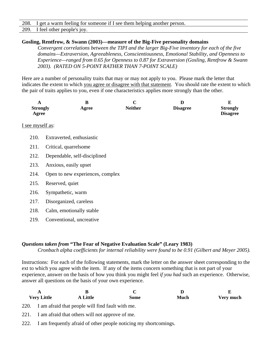| 208.<br>I get a warm feeling for someone if I see them helping another person. |
|--------------------------------------------------------------------------------|
|--------------------------------------------------------------------------------|

| 209. I feel other people's joy. |  |
|---------------------------------|--|

#### **Gosling, Rentfrow, & Swann (2003)—measure of the Big-Five personality domains**

*Convergent correlations between the TIPI and the larger Big-Five inventory for each of the five domains—Extraversion, Agreeableness, Conscientiousness, Emotional Stability, and Openness to Experience—ranged from 0.65 for Openness to 0.87 for Extraversion (Gosling, Rentfrow & Swann 2003). (RATED ON 5-POINT RATHER THAN 7-POINT SCALE)*

Here are a number of personality traits that may or may not apply to you. Please mark the letter that indicates the extent to which you agree or disagree with that statement. You should rate the extent to which the pair of traits applies to you, even if one characteristics applies more strongly than the other.

| $\bf{B}$<br>A<br><b>Strongly</b><br>Agree<br>Agree |                                  | $\mathbf C$<br><b>Neither</b> | D<br><b>Disagree</b> | E<br><b>Strongly</b><br><b>Disagree</b> |
|----------------------------------------------------|----------------------------------|-------------------------------|----------------------|-----------------------------------------|
| I see myself as:                                   |                                  |                               |                      |                                         |
| 210.                                               | Extraverted, enthusiastic        |                               |                      |                                         |
| 211.                                               | Critical, quarrelsome            |                               |                      |                                         |
| 212.                                               | Dependable, self-disciplined     |                               |                      |                                         |
| 213.                                               | Anxious, easily upset            |                               |                      |                                         |
| 214.                                               | Open to new experiences, complex |                               |                      |                                         |
| 215.                                               | Reserved, quiet                  |                               |                      |                                         |
| 216.                                               | Sympathetic, warm                |                               |                      |                                         |
| 217.                                               | Disorganized, careless           |                               |                      |                                         |
| 218.                                               | Calm, emotionally stable         |                               |                      |                                         |
| 219.                                               | Conventional, uncreative         |                               |                      |                                         |

#### *Questions taken from* **"The Fear of Negative Evaluation Scale" (Leary 1983)**

*Cronbach alpha coefficients for internal reliability were found to be 0.91 (Gilbert and Meyer 2005).*

Instructions: For each of the following statements, mark the letter on the answer sheet corresponding to the ext to which you agree with the item. If any of the items concern something that is not part of your experience, answer on the basis of how you think you might feel *if you had* such an experience. Otherwise, answer all questions on the basis of your own experience.

| D<br>Very much<br><b>Very Little</b><br><b>Much</b><br>A Little<br><b>Some</b> |                                                       |  |  |  |  |
|--------------------------------------------------------------------------------|-------------------------------------------------------|--|--|--|--|
|                                                                                | 220. I am afraid that people will find fault with me. |  |  |  |  |
| 221.                                                                           | I am afraid that others will not approve of me.       |  |  |  |  |

222. I am frequently afraid of other people noticing my shortcomings.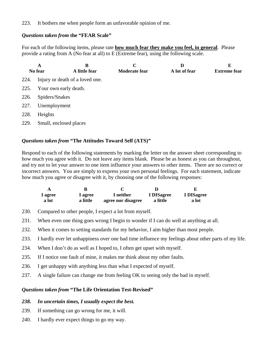223. It bothers me when people form an unfavorable opinion of me.

# *Questions taken from* **the "FEAR Scale"**

For each of the following items, please rate **how much fear they make you feel, in general**. Please provide a rating from A (No fear at all) to E (Extreme fear), using the following scale.

|      | A<br>No fear                    | B<br>A little fear | C<br><b>Moderate fear</b> | D<br>A lot of fear | Е<br><b>Extreme fear</b> |  |
|------|---------------------------------|--------------------|---------------------------|--------------------|--------------------------|--|
| 224. | Injury or death of a loved one. |                    |                           |                    |                          |  |
| 225. | Your own early death.           |                    |                           |                    |                          |  |
| 226. | Spiders/Snakes                  |                    |                           |                    |                          |  |
| 227. | Unemployment                    |                    |                           |                    |                          |  |
| 228. | Heights                         |                    |                           |                    |                          |  |
| 229. | Small, enclosed places          |                    |                           |                    |                          |  |

# *Questions taken from* **"The Attitudes Toward Self (ATS)"**

Respond to each of the following statements by marking the letter on the answer sheet corresponding to how much you agree with it. Do not leave any items blank. Please be as honest as you can throughout, and try not to let your answer to one item influence your answers to other items. There are no correct or incorrect answers. You are simply to express your own personal feelings. For each statement, indicate how much you agree or disagree with it, by choosing one of the following responses:

| A       |          |                    |            |            |
|---------|----------|--------------------|------------|------------|
| l agree | 1 agree  | I neither          | I DISagree | I DISagree |
| a lot   | a little | agree nor disagree | a little   | a lot      |

- 230. Compared to other people, I expect a lot from myself.
- 231. When even one thing goes wrong I begin to wonder if I can do well at anything at all.
- 232. When it comes to setting standards for my behavior, I aim higher than most people.
- 233. I hardly ever let unhappiness over one bad time influence my feelings about other parts of my life.
- 234. When I don't do as well as I hoped to, I often get upset with myself.
- 235. If I notice one fault of mine, it makes me think about my other faults.
- 236. I get unhappy with anything less than what I expected of myself.
- 237. A single failure can change me from feeling OK to seeing only the bad in myself.

# *Questions taken from* **"The Life Orientation Test-Revised"**

#### *238. In uncertain times, I usually expect the best.*

- 239. If something can go wrong for me, it will.
- 240. I hardly ever expect things to go my way.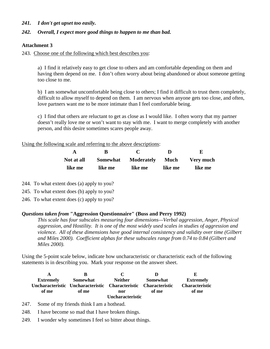### *241. I don't get upset too easily.*

#### *242. Overall, I expect more good things to happen to me than bad.*

#### **Attachment 3**

243. Choose one of the following which best describes you:

a) I find it relatively easy to get close to others and am comfortable depending on them and having them depend on me. I don't often worry about being abandoned or about someone getting too close to me.

b) I am somewhat uncomfortable being close to others; I find it difficult to trust them completely, difficult to allow myself to depend on them. I am nervous when anyone gets too close, and often, love partners want me to be more intimate than I feel comfortable being.

c) I find that others are reluctant to get as close as I would like. I often worry that my partner doesn't really love me or won't want to stay with me. I want to merge completely with another person, and this desire sometimes scares people away.

Using the following scale and referring to the above descriptions:

| Not at all |         | Somewhat Moderately Much Very much |         |         |
|------------|---------|------------------------------------|---------|---------|
| like me    | like me | like me                            | like me | like me |

244. To what extent does (a) apply to you?

245. To what extent does (b) apply to you?

246. To what extent does (c) apply to you?

#### *Questions taken from* **"Aggression Questionnaire" (Buss and Perry 1992)**

*This scale has four subscales measuring four dimensions—Verbal aggression, Anger, Physical aggression, and Hostility. It is one of the most widely used scales in studies of aggression and violence. All of these dimensions have good internal consistency and validity over time (Gilbert and Miles 2000). Coefficient alphas for these subscales range from 0.74 to 0.84 (Gilbert and Miles 2000).* 

Using the 5-point scale below, indicate how uncharacteristic or characteristic each of the following statements is in describing you. Mark your response on the answer sheet.

| A                | К                                                               | $\mathbf{C}$            |                 | ю                     |
|------------------|-----------------------------------------------------------------|-------------------------|-----------------|-----------------------|
| <b>Extremely</b> | Somewhat                                                        | <b>Neither</b>          | <b>Somewhat</b> | <b>Extremely</b>      |
|                  | Uncharacteristic Uncharacteristic Characteristic Characteristic |                         |                 | <b>Characteristic</b> |
| of me            | of me                                                           | nor                     | of me           | of me                 |
|                  |                                                                 | <b>Uncharacteristic</b> |                 |                       |

247. Some of my friends think I am a hothead.

248. I have become so mad that I have broken things.

249. I wonder why sometimes I feel so bitter about things.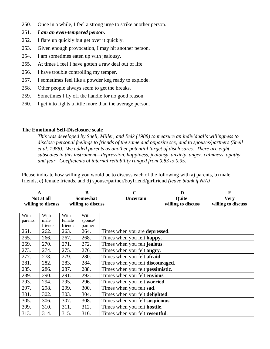- 250. Once in a while, I feel a strong urge to strike another person.
- 251. *I am an even-tempered person.*
- 252. I flare up quickly but get over it quickly.
- 253. Given enough provocation, I may hit another person.
- 254. I am sometimes eaten up with jealousy.
- 255. At times I feel I have gotten a raw deal out of life.
- 256. I have trouble controlling my temper.
- 257. I sometimes feel like a powder keg ready to explode.
- 258. Other people always seem to get the breaks.
- 259. Sometimes I fly off the handle for no good reason.
- 260. I get into fights a little more than the average person.

## **The Emotional Self-Disclosure scale**

*This was developed by Snell, Miller, and Belk (1988) to measure an individual's willingness to disclose personal feelings to friends of the same and opposite sex, and to spouses/partners (Snell et al. 1988). We added parents as another potential target of disclosures. There are eight subscales in this instrument—depression, happiness, jealousy, anxiety, anger, calmness, apathy, and fear. Coefficients of internal reliability ranged from 0.83 to 0.95.* 

Please indicate how willing you would be to discuss each of the following with a) parents, b) male friends, c) female friends, and d) spouse/partner/boyfriend/girlfriend *(leave blank if N/A)*

|         | $\mathbf A$<br>Not at all<br>willing to discuss |         | B<br><b>Somewhat</b><br>willing to discuss | $\mathbf C$<br>Uncertain                 | D<br>Quite<br>willing to discuss | E<br><b>Very</b><br>willing to discuss |
|---------|-------------------------------------------------|---------|--------------------------------------------|------------------------------------------|----------------------------------|----------------------------------------|
| With    | With                                            | With    | With                                       |                                          |                                  |                                        |
| parents | male                                            | female  | spouse/                                    |                                          |                                  |                                        |
|         | friends                                         | friends | partner                                    |                                          |                                  |                                        |
| 261.    | 262.                                            | 263.    | 264.                                       | Times when you are <b>depressed</b> .    |                                  |                                        |
| 265.    | 266.                                            | 267.    | 268.                                       | Times when you felt happy.               |                                  |                                        |
| 269.    | 270.                                            | 271.    | 272.                                       | Times when you felt jealous.             |                                  |                                        |
| 273.    | 274.                                            | 275.    | 276.                                       | Times when you felt <b>angry</b> .       |                                  |                                        |
| 277.    | 278.                                            | 279.    | 280.                                       | Times when you felt afraid.              |                                  |                                        |
| 281.    | 282.                                            | 283.    | 284.                                       | Times when you felt <b>discouraged</b> . |                                  |                                        |
| 285.    | 286.                                            | 287.    | 288.                                       | Times when you felt <b>pessimistic</b> . |                                  |                                        |
| 289.    | 290.                                            | 291.    | 292.                                       | Times when you felt envious.             |                                  |                                        |
| 293.    | 294.                                            | 295.    | 296.                                       | Times when you felt worried.             |                                  |                                        |
| 297.    | 298.                                            | 299.    | 300.                                       | Times when you felt sad.                 |                                  |                                        |
| 301.    | 302.                                            | 303.    | 304.                                       | Times when you felt delighted.           |                                  |                                        |
| 305.    | 306.                                            | 307.    | 308.                                       | Times when you felt suspicious.          |                                  |                                        |
| 309.    | 310.                                            | 311.    | 312.                                       | Times when you felt <b>hostile</b> .     |                                  |                                        |
| 313.    | 314.                                            | 315.    | 316.                                       | Times when you felt resentful.           |                                  |                                        |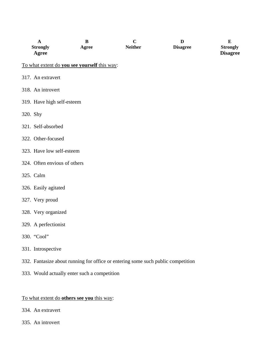|          | $\mathbf A$<br><b>Strongly</b><br>Agree                                          | $\bf{B}$<br>Agree | $\mathbf C$<br><b>Neither</b> | D<br><b>Disagree</b> | ${\bf E}$<br><b>Strongly</b><br><b>Disagree</b> |
|----------|----------------------------------------------------------------------------------|-------------------|-------------------------------|----------------------|-------------------------------------------------|
|          | To what extent do you see yourself this way:                                     |                   |                               |                      |                                                 |
|          | 317. An extravert                                                                |                   |                               |                      |                                                 |
|          | 318. An introvert                                                                |                   |                               |                      |                                                 |
|          | 319. Have high self-esteem                                                       |                   |                               |                      |                                                 |
| 320. Shy |                                                                                  |                   |                               |                      |                                                 |
|          | 321. Self-absorbed                                                               |                   |                               |                      |                                                 |
|          | 322. Other-focused                                                               |                   |                               |                      |                                                 |
|          | 323. Have low self-esteem                                                        |                   |                               |                      |                                                 |
|          | 324. Often envious of others                                                     |                   |                               |                      |                                                 |
|          | 325. Calm                                                                        |                   |                               |                      |                                                 |
|          | 326. Easily agitated                                                             |                   |                               |                      |                                                 |
|          | 327. Very proud                                                                  |                   |                               |                      |                                                 |
|          | 328. Very organized                                                              |                   |                               |                      |                                                 |
|          | 329. A perfectionist                                                             |                   |                               |                      |                                                 |
|          | 330. "Cool"                                                                      |                   |                               |                      |                                                 |
|          | 331. Introspective                                                               |                   |                               |                      |                                                 |
|          | 332. Fantasize about running for office or entering some such public competition |                   |                               |                      |                                                 |

333. Would actually enter such a competition

# To what extent do **others see you** this way:

- 334. An extravert
- 335. An introvert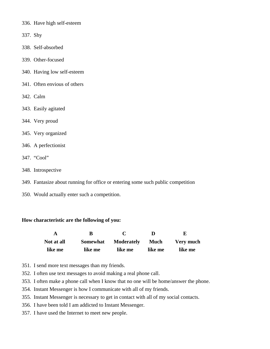- 336. Have high self-esteem
- 337. Shy
- 338. Self-absorbed
- 339. Other-focused
- 340. Having low self-esteem
- 341. Often envious of others
- 342. Calm
- 343. Easily agitated
- 344. Very proud
- 345. Very organized
- 346. A perfectionist
- 347. "Cool"
- 348. Introspective
- 349. Fantasize about running for office or entering some such public competition
- 350. Would actually enter such a competition.

#### **How characteristic are the following of you:**

|            |                 |            |         | H.        |
|------------|-----------------|------------|---------|-----------|
| Not at all | <b>Somewhat</b> | Moderately | Much    | Very much |
| like me    | like me         | like me    | like me | like me   |

- 351. I send more text messages than my friends.
- 352. I often use text messages to avoid making a real phone call.
- 353. I often make a phone call when I know that no one will be home/answer the phone.
- 354. Instant Messenger is how I communicate with all of my friends.
- 355. Instant Messenger is necessary to get in contact with all of my social contacts.
- 356. I have been told I am addicted to Instant Messenger.
- 357. I have used the Internet to meet new people.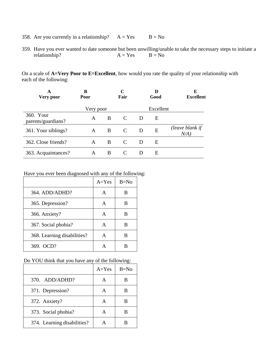- 358. Are you currently in a relationship?  $A = Yes$   $B = No$
- 359. Have you ever wanted to date someone but been unwilling/unable to take the necessary steps to initiate a relationship?  $A = Yes$   $B = No$

On a scale of **A=Very Poor to E=Excellent**, how would you rate the quality of your relationship with each of the following:

| Very poor                       | B<br><b>Poor</b> |   | C<br>Fair |   | Good      | E<br><b>Excellent</b>      |
|---------------------------------|------------------|---|-----------|---|-----------|----------------------------|
|                                 | Very poor        |   |           |   | Excellent |                            |
| 360. Your<br>parents/guardians? | A                | B | C         | D | E         |                            |
| 361. Your siblings?             | A                | B | C         | D | E         | (leave blank if<br>$N/A$ ) |
| 362. Close friends?             | A                | B | C         | D | E         |                            |
| 363. Acquaintances?             | A                | B | C         |   | Е         |                            |

Have you ever been diagnosed with any of the following:

|                             | $A = Yes$ | $B=No$ |
|-----------------------------|-----------|--------|
| 364. ADD/ADHD?              | A         | B      |
| 365. Depression?            | A         | В      |
| 366. Anxiety?               | A         | B      |
| 367. Social phobia?         | A         | В      |
| 368. Learning disabilities? | A         | В      |
| 369. OCD?                   |           |        |

Do YOU think that you have any of the following:

|                             | $A = Yes$ | $B=No$ |
|-----------------------------|-----------|--------|
| $370.$ ADD/ADHD?            |           |        |
| 371. Depression?            |           |        |
| 372. Anxiety?               |           |        |
| 373. Social phobia?         |           |        |
| 374. Learning disabilities? |           |        |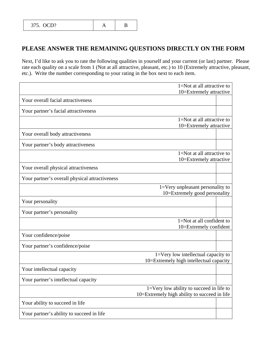# **PLEASE ANSWER THE REMAINING QUESTIONS DIRECTLY ON THE FORM**

Next, I'd like to ask you to rate the following qualities in yourself and your current (or last) partner. Please rate each quality on a scale from 1 (Not at all attractive, pleasant, etc.) to 10 (Extremely attractive, pleasant, etc.). Write the number corresponding to your rating in the box next to each item.

|                                                | 1=Not at all attractive to                   |  |
|------------------------------------------------|----------------------------------------------|--|
|                                                | 10=Extremely attractive                      |  |
| Your overall facial attractiveness             |                                              |  |
| Your partner's facial attractiveness           |                                              |  |
|                                                | 1=Not at all attractive to                   |  |
|                                                | 10=Extremely attractive                      |  |
| Your overall body attractiveness               |                                              |  |
| Your partner's body attractiveness             |                                              |  |
|                                                | $1 = Not$ at all attractive to               |  |
|                                                | 10=Extremely attractive                      |  |
| Your overall physical attractiveness           |                                              |  |
| Your partner's overall physical attractiveness |                                              |  |
|                                                | 1=Very unpleasant personality to             |  |
|                                                | 10=Extremely good personality                |  |
| Your personality                               |                                              |  |
| Your partner's personality                     |                                              |  |
|                                                | 1=Not at all confident to                    |  |
|                                                | 10=Extremely confident                       |  |
| Your confidence/poise                          |                                              |  |
| Your partner's confidence/poise                |                                              |  |
|                                                | 1=Very low intellectual capacity to          |  |
|                                                | 10=Extremely high intellectual capacity      |  |
| Your intellectual capacity                     |                                              |  |
| Your partner's intellectual capacity           |                                              |  |
|                                                | $1=$ Very low ability to succeed in life to  |  |
|                                                | 10=Extremely high ability to succeed in life |  |
| Your ability to succeed in life                |                                              |  |
| Your partner's ability to succeed in life      |                                              |  |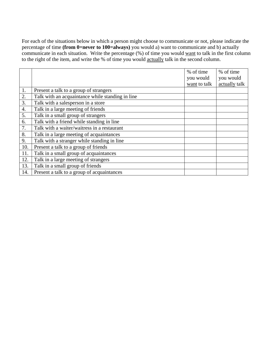For each of the situations below in which a person might choose to communicate or not, please indicate the percentage of time **(from 0=never to 100=always)** you would a) want to communicate and b) actually communicate in each situation. Write the percentage (%) of time you would want to talk in the first column to the right of the item, and write the % of time you would actually talk in the second column.

|     |                                                  | % of time    | % of time     |
|-----|--------------------------------------------------|--------------|---------------|
|     |                                                  | you would    | you would     |
|     |                                                  | want to talk | actually talk |
| 1.  | Present a talk to a group of strangers           |              |               |
| 2.  | Talk with an acquaintance while standing in line |              |               |
| 3.  | Talk with a salesperson in a store               |              |               |
| 4.  | Talk in a large meeting of friends               |              |               |
| 5.  | Talk in a small group of strangers               |              |               |
| 6.  | Talk with a friend while standing in line        |              |               |
| 7.  | Talk with a waiter/waitress in a restaurant      |              |               |
| 8.  | Talk in a large meeting of acquaintances         |              |               |
| 9.  | Talk with a stranger while standing in line      |              |               |
| 10. | Present a talk to a group of friends             |              |               |
| 11. | Talk in a small group of acquaintances           |              |               |
| 12. | Talk in a large meeting of strangers             |              |               |
| 13. | Talk in a small group of friends                 |              |               |
| 14. | Present a talk to a group of acquaintances       |              |               |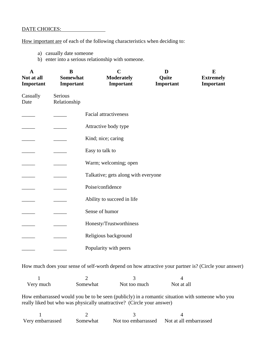# DATE CHOICES:

How important are of each of the following characteristics when deciding to:

- a) casually date someone
- b) enter into a serious relationship with someone.

| $\mathbf A$<br>Not at all<br>Important | B<br><b>Somewhat</b><br>Important | $\mathbf C$<br><b>Moderately</b><br>Important | D<br>Quite<br>Important | $\bf{E}$<br><b>Extremely</b><br>Important |
|----------------------------------------|-----------------------------------|-----------------------------------------------|-------------------------|-------------------------------------------|
| Casually<br>Date                       | Serious<br>Relationship           |                                               |                         |                                           |
|                                        |                                   | <b>Facial attractiveness</b>                  |                         |                                           |
|                                        |                                   | Attractive body type                          |                         |                                           |
|                                        |                                   | Kind; nice; caring                            |                         |                                           |
|                                        |                                   | Easy to talk to                               |                         |                                           |
|                                        |                                   | Warm; welcoming; open                         |                         |                                           |
|                                        |                                   | Talkative; gets along with everyone           |                         |                                           |
|                                        |                                   | Poise/confidence                              |                         |                                           |
|                                        |                                   | Ability to succeed in life                    |                         |                                           |
|                                        |                                   | Sense of humor                                |                         |                                           |
|                                        |                                   | Honesty/Trustworthiness                       |                         |                                           |
|                                        |                                   | Religious background                          |                         |                                           |
|                                        |                                   | Popularity with peers                         |                         |                                           |

How much does your sense of self-worth depend on how attractive your partner is? (Circle your answer)

| Very much | Somewhat | Not too much | Not at all |
|-----------|----------|--------------|------------|

How embarrassed would you be to be seen (publicly) in a romantic situation with someone who you really liked but who was physically unattractive? (Circle your answer)

| Very embarrassed | Somewhat | Not too embarrassed | Not at all embarrassed |
|------------------|----------|---------------------|------------------------|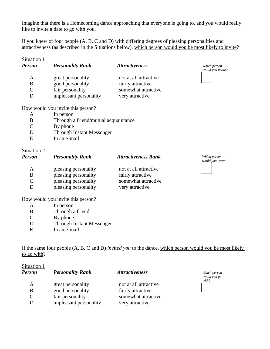Imagine that there is a Homecoming dance approaching that everyone is going to, and you would really like to invite a date to go with you.

If you knew of four people (A, B, C and D) with differing degrees of pleasing personalities and attractiveness (as described in the Situations below), which person would you be most likely to invite?

| Situation 1<br><b>Person</b> | <b>Personality Rank</b>           | <i><b>Attractiveness</b></i> | Which person<br>would you invite? |
|------------------------------|-----------------------------------|------------------------------|-----------------------------------|
| A                            | great personality                 | not at all attractive        |                                   |
| B                            | good personality                  | fairly attractive            |                                   |
| $\mathsf{C}$                 | fair personality                  | somewhat attractive          |                                   |
| D                            | unpleasant personality            | very attractive              |                                   |
|                              | How would you invite this person? |                              |                                   |
|                              | In nerson                         |                              |                                   |

- A In person
- B Through a friend/mutual acquaintance
- C By phone
- D Through Instant Messenger<br>E In an e-mail
- In an e-mail

# Situation 2

| <b>Person</b> | <b>Personality Rank</b> | <b>Attractiveness Rank</b> | Which person<br>would you invite? |
|---------------|-------------------------|----------------------------|-----------------------------------|
| A             | pleasing personality    | not at all attractive      |                                   |
| B             | pleasing personality    | fairly attractive          |                                   |
| C             | pleasing personality    | somewhat attractive        |                                   |
|               | pleasing personality    | very attractive            |                                   |

How would you invite this person?

- A In person
- B Through a friend
- C By phone
- D Through Instant Messenger
- E In an e-mail

If the same four people (A, B, C and D) *invited you* to the dance, which person would you be most likely to go with?

| Situation 1<br><b>Person</b> | <b>Personality Rank</b> | <i><b>Attractiveness</b></i> | Which person<br>would you go |
|------------------------------|-------------------------|------------------------------|------------------------------|
| A                            | great personality       | not at all attractive        | with?                        |
| B                            | good personality        | fairly attractive            |                              |
| $\mathsf{C}$                 | fair personality        | somewhat attractive          |                              |
|                              | unpleasant personality  | very attractive              |                              |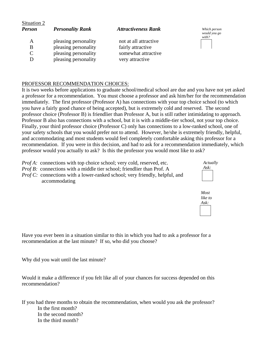| Situation 2<br><b>Person</b> | <b>Personality Rank</b> | <b>Attractiveness Rank</b> | Which person<br>would you go<br>with? |
|------------------------------|-------------------------|----------------------------|---------------------------------------|
| A                            | pleasing personality    | not at all attractive      |                                       |
| B                            | pleasing personality    | fairly attractive          |                                       |
|                              | pleasing personality    | somewhat attractive        |                                       |
|                              | pleasing personality    | very attractive            |                                       |

# PROFESSOR RECOMMENDATION CHOICES:

It is two weeks before applications to graduate school/medical school are due and you have not yet asked a professor for a recommendation. You must choose a professor and ask him/her for the recommendation immediately. The first professor (Professor A) has connections with your top choice school (to which you have a fairly good chance of being accepted), but is extremely cold and reserved. The second professor choice (Professor B) is friendlier than Professor A, but is still rather intimidating to approach. Professor B also has connections with a school, but it is with a middle-tier school, not your top choice. Finally, your third professor choice (Professor C) only has connections to a low-ranked school, one of your safety schools that you would prefer not to attend. However, he/she is extremely friendly, helpful, and accommodating and most students would feel completely comfortable asking this professor for a recommendation. If you were in this decision, and had to ask for a recommendation immediately, which professor would you actually to ask? Is this the professor you would most like to ask?

- *Prof A:* connections with top choice school; very cold, reserved, etc. *Prof B:* connections with a middle tier school; friendlier than Prof. A
- *Prof C:* connections with a lower-ranked school; very friendly, helpful, and accommodating





Have you ever been in a situation similar to this in which you had to ask a professor for a recommendation at the last minute? If so, who did you choose?

Why did you wait until the last minute?

Would it make a difference if you felt like all of your chances for success depended on this recommendation?

If you had three months to obtain the recommendation, when would you ask the professor? In the first month? In the second month? In the third month?